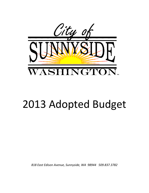

# 2013 Adopted Budget

*818 East Edison Avenue, Sunnyside, WA 98944 509.837.3782*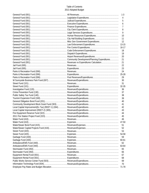#### Table of Contents 2013 Adopted Budget

|  | 1-3   |
|--|-------|
|  | 4     |
|  | 5     |
|  | 6     |
|  | 7     |
|  | 8     |
|  | 9     |
|  | 10    |
|  | 11    |
|  | 12    |
|  |       |
|  |       |
|  | 18    |
|  | 19    |
|  | 20    |
|  | 21    |
|  | 21    |
|  | 22    |
|  | 23    |
|  | 24    |
|  |       |
|  | 29    |
|  | 30    |
|  | 31    |
|  |       |
|  | 36    |
|  | 37    |
|  | 38    |
|  | 39    |
|  | 40    |
|  | 41    |
|  | 42    |
|  | 43    |
|  | 44    |
|  | 45    |
|  | 46    |
|  | 47-50 |
|  | 51    |
|  | 52    |
|  | 53    |
|  | 54-58 |
|  | 59    |
|  | 60-61 |
|  | 62    |
|  | 63-64 |
|  | 65    |
|  | 66    |
|  | 67    |
|  | 68    |
|  | 69    |
|  | 70    |
|  | 71-78 |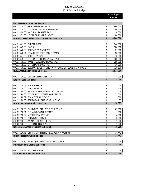|                                                                  |          | 2013 Adopted<br><b>Budget</b> |
|------------------------------------------------------------------|----------|-------------------------------|
|                                                                  |          |                               |
| 001 GENERAL FUND REVENUES                                        |          |                               |
| 001.311.10.00 REAL PROPERTY TAXES                                | \$       | 1,860,000                     |
| 001.313.10.00 LOCAL RETAIL SALES & USE TAX                       | \$       | 2,090,000                     |
| 001.313.60.00 NATURAL GAS USE TAX                                | \$       | 130,000                       |
| 001.313.71.00 LOCAL CRIMINAL JUSTICE                             | \$       | 180,000                       |
| Property, Retail Sales, Use Tax Revenues Sub-Total               | \$       | 4,260,000                     |
| 001.316.41.00 ELECTRIC 6%                                        | \$       | 840,000                       |
| 001.316.43.00 GAS 6%                                             | \$       | 160,000                       |
| 001.316.46.00 TELEVISION CABLE 6%                                | \$       | 21,000                        |
| 001.316.46.01 FRANCHISE FEES CABLE TV 3%                         | \$       | 50,000                        |
| 001.316.47.00 TELEPHONE 6%                                       | \$       | 70,000                        |
| 001.316.49.00 OTHER TELECOMMUNICATIONS                           | \$       | 300,000                       |
| 001.316.70.00 WATER, SEWER, GARBAGE TAX                          | \$       | 359,265                       |
| 001.316.75.00 OTHER GARBAGE TAX                                  | \$       | 16,000                        |
| 001.316.70.00 12% INCREASE IN UTILITY RATE WATER, SEWER, GARBAGE | \$       | 718,530                       |
| <b>Bus. &amp; Occupation Taxes Sub-Total</b>                     | \$       | 2,534,796                     |
| 001.317.20.00 LEASEHOLD EXCISE TAX                               |          |                               |
| <b>Excise Taxes Sub-Total</b>                                    | \$<br>\$ | 8,000<br>8,000                |
|                                                                  |          |                               |
| 001.321.30.01 POLICE SECURITY                                    | \$       | 21,000                        |
| 001.321.70.00 AMUSEMENTS                                         | \$       | 500                           |
| 001.321.80.00 PENALTIES ON BUSINESS LICENSES                     | \$       | 1,000                         |
| 001.321.90.00 OTHER BUS LICENSES & PERMITS                       | \$       | 75,000                        |
| 001.321.90.02 SOLICITORS LICENSE                                 | \$       | 1,000                         |
| 001.321.90.03 TEMPORARY BUSINESS LICENSE                         | \$       | 75                            |
| <b>Bus. Licenses &amp; Permits Sub-Total</b>                     | \$       | 98,575                        |
| 001.322.10.00 BUILDINGS, STRUCTURES & EQUIP                      |          | 65,000                        |
| 001.322.10.01 C.G. & SIDEWALK PERMIT                             | \$<br>\$ | 1,000                         |
| 001.322.10.02 MECHANICAL PERMIT                                  | \$       | 4,000                         |
| 001.322.10.03 PLUMBING PERMIT                                    | \$       | 3,000                         |
| 001.322.30.00 ANIMAL LICENSE (DOG)                               | \$       | 1,000                         |
| 001.322.90.00 OTHER NON-BUSINESS                                 | \$       | 1,300                         |
| Non-Bus. Licenses & Permits Sub-Total                            | \$       | 75,300                        |
|                                                                  |          |                               |
| 001.331.16.71 CHRP-COPS HIRING RECOVERY PROGRAM                  | \$       | 34,441                        |
| <b>Direct Federal Grants Sub-Total</b>                           | \$       | 34,441                        |
| 001.333.20.60 WTSC (FEDERAL PASS THRU FUNDS)                     | \$       | 8,000                         |
| <b>Indirect Federal Grants Sub-Total</b>                         | \$       | 8,000                         |
|                                                                  |          |                               |
| 001.335.00.91 PUD PRIVILEGE TAX                                  | \$       | 27,000                        |
| <b>State Shared Revenues Sub-Total</b>                           | \$       | 27,000                        |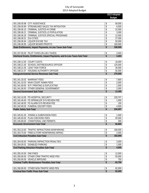|                                |                                                                                     |                                | 2013 Adopted     |
|--------------------------------|-------------------------------------------------------------------------------------|--------------------------------|------------------|
|                                |                                                                                     |                                | <b>Budget</b>    |
|                                | 001.336.00.98 CITY ASSISTANCE                                                       | \$                             | 58,000           |
|                                | 001.336.00.99 STREAMLINED SALES TAX MITIGATION                                      | \$                             | 6,500            |
|                                | 001.336.06.10 CRIMINAL JUSTICE-HI CRIME                                             | \$                             | 22,000           |
|                                | 001.336.06.21 CRIMINAL JUSTICE-LO POPULATION                                        | \$                             | 3,000            |
|                                | 001.336.06.26 CRIMINAL JUSTICE-SPECIAL PROGRAMS                                     | \$                             | 12,000           |
| 001.336.06.51 DUI-CITIES       |                                                                                     | \$                             | 27,000           |
|                                | 001.336.06.94 LIQUOR EXCISE TAX                                                     | \$                             | 50,000           |
|                                | 001.336.06.95 LIQUOR BOARD PROFITS                                                  | \$                             | 160,000          |
|                                | State Entitlements, Impact Payments, in-Lieu Taxes Sub-Total                        | \$                             | 338,500          |
|                                |                                                                                     |                                |                  |
|                                | 001.337.00.00 PILOT TAXES (IN LIEU TAXES)                                           | \$                             | 3,403            |
|                                | Interlocal Grants, Entitlements, Impact Payments, and In-Lieu Taxes Sub-Total       | \$                             | 3,403            |
|                                |                                                                                     |                                |                  |
|                                | 001.338.12.00 COURT COSTS                                                           | \$                             | 18,000           |
|                                | 001.338.21.00 SCHOOL DIST\RESOURCE OFFICER                                          | \$                             | 125,000          |
|                                | 001.338.21.05 LEAD TASK FORCE                                                       | \$                             | 35,000           |
|                                | 001.338.21.07 HOUSING AUTHORITY OFFICER                                             | $\overline{\mathcal{L}}$       | 92,000           |
|                                | Intergovernmental Service Revenues Sub-Total                                        | \$                             | 270,000          |
|                                |                                                                                     |                                |                  |
|                                | 001.341.33.02 WARRANT FEES<br>001.341.33.03 MUNI COURT ADMIN FEES                   | \$<br>\$                       | 7,800            |
|                                |                                                                                     |                                | 2,000            |
|                                | 001.341.69.00 W P, PRINTING & DUPLICATING<br>001.341.90.00 OTHER GENERAL GOVERNMENT | \$<br>$\overline{\mathcal{L}}$ | 1,500<br>2,000   |
|                                | <b>General Government Sub-Total</b>                                                 | \$                             | 13,300           |
|                                |                                                                                     |                                |                  |
|                                | 001.342.10.05 PD HOSPITAL SECURITY                                                  | \$                             | 228,707          |
|                                | 001.342.46.00 FD SPRINKLER SYS REVIEW FEE                                           | \$                             | 1,000            |
|                                | 001.342.48.00 FD ALARM SYS REVIEW FEE                                               | \$                             | 100              |
|                                | 001.342.90.03 FUNERAL ESCORT FEES                                                   | \$                             | 4,500            |
| <b>Public Safety Sub-Total</b> |                                                                                     | \$                             | 234,307          |
|                                |                                                                                     |                                |                  |
|                                | 001.345.81.00 ZONING & SUBDIVISION FEES                                             | \$                             | 1,500            |
|                                | 001.345.83.00 PLAN CHECKING FEES                                                    | \$                             | 55,000           |
|                                | 001.345.89.00 CONDITIONAL USE PERMITS                                               | \$                             | 300              |
|                                | <b>Economic Environment Sub-Total</b>                                               | \$                             | 56,800           |
|                                |                                                                                     |                                |                  |
|                                | 001.353.10.00 TRAFFIC INFRACTIONS-NONPARKING                                        | \$                             | 180,000          |
|                                | 001.353.70.00 FINES & FORF-NONPARKING INFRAC                                        | \$                             | 2,000            |
|                                | <b>Civil Infraction Penalties Sub-Total</b>                                         | \$                             | 182,000          |
|                                | 001.354.00.00 PARKING INFRACTION PENALTIES                                          | \$                             | 3,000            |
| 001.354.00.01                  | <b>DISABLED PARKING</b>                                                             | \$                             | 1,500            |
|                                | <b>Civil Parking Infraction Penalties Sub-Total</b>                                 | \$                             | 4,500            |
|                                |                                                                                     |                                |                  |
| 001.355.20.00 DWI FINES        |                                                                                     | \$                             | 12,000           |
|                                | 001.355.80.00 OTHER CRIM TRAFFIC MISD PEN                                           | \$                             | 50,000           |
|                                | 001.355.90.00 VEHICLE IMPOUND                                                       | \$                             | 750              |
|                                | <b>Criminal Traffic Misdemeanor Penalties Sub-Total</b>                             | \$                             | 62,750           |
|                                | 001.356.90.00 OTHER NON-TRAFFIC MISD PEN                                            |                                |                  |
|                                | <b>Criminal Non-Traffic Fines Sub-Total</b>                                         | \$<br>\$                       | 62,000<br>62,000 |
|                                |                                                                                     |                                |                  |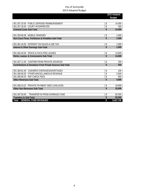|                                                                     |                               | 2013 Adopted  |
|---------------------------------------------------------------------|-------------------------------|---------------|
|                                                                     |                               | <b>Budget</b> |
|                                                                     |                               |               |
| 001.357.33.00 PUBLIC DEFENSE REIMBURSEMENT                          | \$                            | 14,000        |
| 001.357.35.00 COURT INTERPRETER                                     | \$                            | 300           |
| <b>Criminal Costs Sub-Total</b>                                     | \$                            | 14,300        |
|                                                                     |                               |               |
| 001.359.90.08 MOBILE VENDORS                                        | \$                            | 1,000         |
| Non-Court Fines, Forfeitures & Penalties Sub-Total                  | \$                            | 1,000         |
|                                                                     |                               |               |
| 001.361.40.00 INTEREST ON SALES & USE TAX                           | \$                            | 1,000         |
| <b>Interest &amp; Other Earnings Sub-Total</b>                      | \$                            | 1,000         |
|                                                                     |                               |               |
| 001.362.50.00 SPACE & FACILITIES LEASES                             | \$                            | 13,000        |
| Rents, Leases, & Concessions Sub-Total                              | \$                            | 13,000        |
|                                                                     |                               |               |
| 001.367.11.00 CONTRIB FROM PRIVATE SOURCES                          | \$<br>$\overline{\mathbf{S}}$ | 250           |
| <b>Contributions &amp; Donations From Private Sources Sub-Total</b> |                               | 250           |
| 001.369.81.00 CASHIERS OVERAGES/SHORTAGES                           | \$                            | 100           |
| 001.369.90.00 OTHER MISCELLANEOUS REVENUE                           | \$                            | 3,500         |
| 001.369.90.03 NSF CHECK FEES                                        | \$                            | 900           |
| <b>Other Revenues Sub-Total</b>                                     | \$                            | 4,500         |
|                                                                     |                               |               |
| 001.389.10.01 PRIVATE PAYMENT-SIED LOAN (K2R)                       | \$                            | 18,008        |
| <b>Other Non-Revenues Sub-Total</b>                                 | \$                            | 18,008        |
|                                                                     |                               |               |
| TRANSFER IN FROM GARBAGE FUND<br>001.397.00.00                      | \$                            | 82,000        |
| <b>Transfers In Sub-Total</b>                                       | \$                            | 82,000        |
| <b>GENERAL FUND REVENUES</b><br>Total                               | \$                            | 8,407,730     |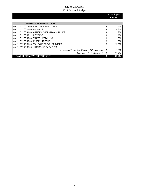| 11                                | <b>LEGISLATIVE EXPENDITURES</b>                 |              |
|-----------------------------------|-------------------------------------------------|--------------|
|                                   | 001.11.511.60.12.00 PART TIME EMPLOYEES         | 37,200       |
| 001.11.511.60.21.00 BENEFITS      |                                                 | 4,800        |
|                                   | 001.11.511.60.31.00 OFFICE & OPERATING SUPPLIES | 200          |
| 001.11.511.60.42.11 POSTAGE       |                                                 | 100          |
|                                   | 001.11.511.60.43.00 TRAVEL & TRAINING           | 1,000        |
| 001.11.511.60.49.00 MISCELLANEOUS |                                                 | 500          |
|                                   | 001.11.511.70.51.00 YAK CO ELECTION SERVICES    | 13,000       |
|                                   | 001.11.511.70.95.00 INTERFUND PAYMENTS          |              |
|                                   | Information Technology Equipment Replacement    | \$<br>1.000  |
|                                   | Information Technology M&O                      | \$<br>11,404 |
|                                   | <b>Total LEGISLATIVE EXPENDITURES</b>           | 69,204       |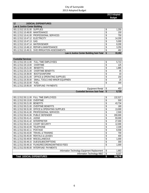| 12<br><b>JUDICIAL EXPENDITURES</b>              |    |        |
|-------------------------------------------------|----|--------|
| Law & Justice Center Building                   |    |        |
| 001.12.512.10.31.00 SUPPLIES                    | ¢  | 1,250  |
| 001.12.512.10.48.00 MAINTENANCE                 |    | 150    |
| 001.12.512.10.41.00 PROFESSIONAL SERVICES       |    | 750    |
| 001.12.512.10.47.12 ELECTRICITY                 |    | 14,200 |
| 001.12.512.10.47.13 GAS                         |    | 5,000  |
| 001.12.512.10.47.14 WATER/SEWER                 |    | 8,200  |
| 001.12.512.10.48.10 REPAIR & MAINTENANCE        |    | 3,250  |
| 001.12.512.10.49.31 SVID IRRIGATION ASSESSMENTS |    | 482    |
| Law & Justice Center Building Sub-Total         | \$ | 33,282 |

| <b>Custodial Services</b> |                                        |                                     |   |       |
|---------------------------|----------------------------------------|-------------------------------------|---|-------|
| 001.12.512.20.11.00       | <b>FULL TIME EMPLOYEES</b>             |                                     | ¢ | 5,713 |
| 001.12.512.20.13.00       | <b>OVERTIME</b>                        |                                     |   | 125   |
| 001.12.512.20.21.00       | <b>BENEFITS</b>                        |                                     |   | 1,885 |
| 001.12.512.20.21.00       | <b>OVERTIME BENEFITS</b>               |                                     |   | 45    |
| 001.12.512.20.36.00       | <b>BOOTS/UNIFORM</b>                   |                                     |   | 33    |
| 001.12.512.20.31.00       | <b>OFFICE &amp; OPERATING SUPPLIES</b> |                                     | S | 150   |
| 001.12.512.20.35.00       | SMALL TOOLS AND MINOR EQUIPMEN         |                                     |   | 25    |
| 001.12.512.20.32.00       | <b>FUEL</b>                            |                                     |   | 300   |
| 001.12.512.20.95.00       | INTERFUND PAYMENTS                     |                                     |   |       |
|                           |                                        | Equipment Rental                    | S | 453   |
|                           |                                        | <b>Custodial Services Sub-Total</b> |   | 8,729 |

| 001.12.512.50.11.00<br><b>FULL TIME EMPLOYEES</b>             |                                              | \$<br>132,527 |
|---------------------------------------------------------------|----------------------------------------------|---------------|
| 001.12.512.50.13.00<br>OVERTIME                               |                                              | \$<br>500     |
| 001.12.512.50.21.00<br><b>BENEFITS</b>                        |                                              | \$<br>43,734  |
| 001.12.512.50.21.00<br><b>OVERTIME BENEFITS</b>               |                                              | \$<br>180     |
| 001.12.512.50.31.00<br><b>OFFICE &amp; OPERATING SUPPLIES</b> |                                              | \$<br>13,000  |
| PROFESSIONAL SERVICES<br>001.12.512.50.41.00                  |                                              | \$<br>2,500   |
| <b>PUBLIC DEFENDER</b><br>001.12.512.50.41.06                 |                                              | \$<br>200,000 |
| 001.12.512.50.41.41<br><b>JUDGE</b>                           |                                              | \$<br>93,000  |
| 001.12.512.50.41.42<br><b>INTERPRETER</b>                     |                                              | \$<br>27,000  |
| 001.12.512.50.41.43<br><b>COURT SECURITY</b>                  |                                              | \$<br>12,000  |
| 001.12.512.50.42.09<br><b>TELEPHONE</b>                       |                                              | \$<br>2,339   |
| 001.12.512.50.42.11<br><b>POSTAGE</b>                         |                                              | \$<br>6,558   |
| <b>TRAVEL &amp; TRAINING</b><br>001.12.512.50.43.00           |                                              | \$<br>700     |
| <b>RENTALS &amp; LEASES</b><br>001.12.512.50.45.00            |                                              | \$<br>400     |
| 001.12.512.50.49.00<br><b>MISCELLANEOUS</b>                   |                                              | \$<br>1,000   |
| 001.12.512.50.49.15<br>DUES/SUBSCRIPTIONS                     |                                              | \$<br>300     |
| FILING/RECORDING/WITNESS FEES<br>001.12.512.50.49.16          |                                              | \$<br>1,000   |
| 001.12.512.50.95.00<br>INTERFUND PAYMENTS                     |                                              |               |
|                                                               | Information Technology Equipment Replacement | \$<br>1,663   |
|                                                               | Information Technology M&O                   | \$<br>8,337   |
| <b>Total JUDICIAL EXPENDITURES</b>                            |                                              | \$<br>588,748 |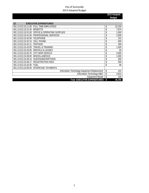| 13<br><b>EXECUTIVE EXPENDITURES</b>                           |    |        |
|---------------------------------------------------------------|----|--------|
| 001.13.513.10.11.00<br>FULL TIME EMPLOYEES                    | \$ | 22,150 |
| 001.13.513.10.21.00<br><b>BENEFITS</b>                        | \$ | 7,974  |
| <b>OFFICE &amp; OPERATING SUPPLIES</b><br>001.13.513.10.31.00 | \$ | 1,000  |
| PROFESSIONAL SERVICES<br>001.13.513.10.41.00                  | \$ | 2,500  |
| 001.13.513.10.42.09<br><b>TELEPHONE</b>                       | \$ | 222    |
| 001.13.513.10.42.10<br><b>CELL PHONE</b>                      | \$ | 600    |
| 001.13.513.10.42.11<br><b>POSTAGE</b>                         | \$ | 300    |
| 001.13.513.10.43.00<br><b>TRAVEL &amp; TRAINING</b>           | \$ | 1,500  |
| 001.13.513.10.45.00<br><b>RENTALS &amp; LEASES</b>            | \$ | 50     |
| CITY MGR VEHICLE<br>001.13.513.10.45.70                       | \$ | 3,000  |
| 001.13.513.10.49.00<br><b>MISCELLANEOUS</b>                   | \$ | 1,000  |
| DUES/SUBSCRIPTIONS<br>001.13.513.10.49.15                     | \$ | 500    |
| <b>REGISTRATION FEES</b><br>001.13.513.10.49.17               | \$ | 500    |
| 001.13.513.10.32.00<br><b>FUEL</b>                            | \$ | 96     |
| INTERFUND PAYMENTS<br>001.13.513.10.95.00                     |    |        |
| Information Technology Equipment Replacement                  | \$ | 415    |
| Information Technology M&O                                    | \$ | 4,814  |
| <b>Equipment Rental</b>                                       | \$ | 145    |
| Total EXECUTIVE EXPENDITURES                                  | \$ | 46,766 |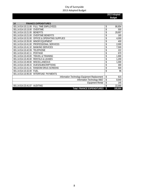| 14                           | <b>FINANCE EXPENDITURES</b>                  |               |
|------------------------------|----------------------------------------------|---------------|
| 001.14.514.10.11.00          | <b>FULL TIME EMPLOYEES</b>                   | \$<br>86,854  |
| 001.14.514.10.13.00          | <b>OVERTIME</b>                              | \$<br>500     |
| 001.14.514.10.21.00          | <b>BENEFITS</b>                              | \$<br>29,957  |
| 001.14.514.10.21.00          | <b>OVERTIME BENEFITS</b>                     | \$<br>165     |
| 001.14.514.10.31.00          | <b>OFFICE &amp; OPERATING SUPPLIES</b>       | \$<br>4,000   |
| 001.14.514.10.35.00          | <b>MINOR EOUIPMENT</b>                       | \$<br>400     |
| 001.14.514.10.41.00          | PROFESSIONAL SERVICES                        | \$<br>2,000   |
| 001.14.514.10.41.32          | <b>BANKING SERVICES</b>                      | \$<br>7,500   |
| 001.14.514.10.42.09          | <b>TELEPHONE</b>                             | \$<br>222     |
| 001.14.514.10.42.11          | <b>POSTAGE</b>                               | \$<br>670     |
| 001.14.514.10.43.00          | <b>TRAVEL &amp; TRAINING</b>                 | \$<br>1,900   |
| 001.14.514.10.45.00          | <b>RENTALS &amp; LEASES</b>                  | \$<br>1,200   |
| 001.14.514.10.49.00          | <b>MISCELLANEOUS</b>                         | \$<br>1,000   |
| 001.14.514.10.49.15          | <b>DUES/SUBSCRIPTIONS</b>                    | \$<br>300     |
| 001.14.514.10.41.41          | RANDOM DRUG SCREENS                          | \$<br>500     |
| 001.14.514.10.32.00          | <b>FUEL</b>                                  | \$<br>96      |
| 001.14.514.10.95.00          | <b>INTERFUND PAYMENTS</b>                    |               |
|                              | Information Technology Equipment Replacement | \$<br>615     |
|                              | Information Technology M&O                   | \$<br>8,640   |
|                              | <b>Equipment Rental</b>                      | \$<br>145     |
| 001.14.514.23.41.07 AUDITING |                                              | \$<br>22,000  |
|                              | <b>Total FINANCE EXPENDITURES</b>            | \$<br>168,664 |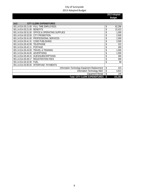| 14.3                | <b>CITY CLERK EXPENDITURES</b>                  |               |
|---------------------|-------------------------------------------------|---------------|
|                     | 001.14.514.30.11.00 FULL TIME EMPLOYEES         | \$<br>62,286  |
| 001.14.514.30.21.00 | <b>BENEFITS</b>                                 | \$<br>22,423  |
|                     | 001.14.514.30.31.00 OFFICE & OPERATING SUPPLIES | \$<br>1,000   |
| 001.14.514.30.32.00 | <b>CITY PROMOTION</b>                           | \$<br>2,500   |
| 001.14.514.30.41.00 | <b>PROFESSIONAL SERVICES</b>                    | \$<br>1,000   |
| 001.14.514.30.41.31 | CODE PUBLISHING                                 | \$<br>2,500   |
| 001.14.514.30.42.09 | <b>TELEPHONE</b>                                | \$<br>222     |
| 001.14.514.30.42.11 | <b>POSTAGE</b>                                  | \$<br>300     |
| 001.14.514.30.43.00 | TRAVEL & TRAINING                               | \$<br>1,500   |
| 001.14.514.30.44.00 | ADVERTISING                                     | \$<br>1,500   |
| 001.14.514.30.49.15 | DUES/SUBSCRIPTIONS                              | \$<br>300     |
| 001.14.514.30.49.17 | <b>REGISTRATION FEES</b>                        | \$<br>300     |
| 001.14.514.30.32.00 | FUEL                                            | \$<br>96      |
| 001.14.514.30.95.00 | INTERFUND PAYMENTS                              |               |
|                     | Information Technology Equipment Replacement    | \$<br>415     |
|                     | Information Technology M&O                      | \$<br>4,814   |
|                     | <b>Equipment Rental</b>                         | 145           |
|                     | <b>Total CITY CLERK EXPENDITURES</b>            | \$<br>101,301 |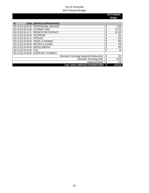| 15                                    | <b>LEGAL SERVICES EXPENDITURES</b>           |             |
|---------------------------------------|----------------------------------------------|-------------|
|                                       |                                              |             |
|                                       | 001.15.515.20.41.00 PROFESSIONAL SERVICES    | \$<br>1,000 |
| 001.15.515.20.41.06 ATTORNEY FEES     |                                              | 67,154      |
|                                       | 001.15.515.20.41.31 PROSECUTOR CONTRACT      | 61,200      |
| 001.15.515.20.42.09 TELEPHONE         |                                              | \$<br>222   |
| 001.15.515.20.42.11 POSTAGE           |                                              | \$<br>500   |
| 001.15.515.20.43.00 TRAVEL & TRAINING |                                              | \$<br>500   |
| 001.15.515.20.45.00 RENTALS & LEASES  |                                              | \$<br>150   |
| 001.15.515.20.49.00 MISCELLANEOUS     |                                              | 500         |
| 001.15.515.20.32.00 FUEL              |                                              | \$<br>96    |
|                                       | 001.15.515.20.95.00 INTERFUND PAYMENTS       |             |
|                                       | Information Technology Equipment Replacement | \$<br>215   |
|                                       | Information Technology M&O                   | \$<br>2,533 |
|                                       | Equipment Rental                             | 145         |
|                                       | <b>Total LEGAL SERVICES EXPENDITURES</b>     | 134,215     |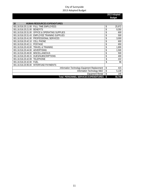| 16<br><b>HUMAN RESOURCES EXPENDITURES</b>                     |              |
|---------------------------------------------------------------|--------------|
| 001.16.516.20.11.00<br><b>FULL TIME EMPLOYEES</b>             | \$<br>25,972 |
| 001.16.516.20.21.00<br><b>BENEFITS</b>                        | \$<br>9,350  |
| <b>OFFICE &amp; OPERATING SUPPLIES</b><br>001.16.516.20.31.00 | \$<br>600    |
| 001.16.516.20.31.43 EMPLOYEE TRAINING SUPPLIES                | \$<br>500    |
| PROFESSIONAL SERVICES<br>001.16.516.20.41.00                  | \$<br>3,000  |
| 001.16.516.20.42.10<br><b>CELL PHONE</b>                      | \$<br>600    |
| 001.16.516.20.42.11<br><b>POSTAGE</b>                         | \$<br>650    |
| <b>TRAVEL &amp; TRAINING</b><br>001.16.516.20.43.00           | \$<br>1,800  |
| 001.16.516.20.44.00<br>ADVERTISING                            | \$<br>1,500  |
| 001.16.516.20.49.00<br><b>MISCELLANEOUS</b>                   | \$<br>500    |
| <b>DUES/SUBSCRIPTIONS</b><br>001.16.516.20.49.15              | \$<br>400    |
| 001.16.516.20.42.09<br>TELEPHONE                              | \$<br>222    |
| 001.16.516.20.32.00 FUEL                                      | \$<br>96     |
| 001.16.516.20.95.00 INTERFUND PAYMENTS                        |              |
| Information Technology Equipment Replacement                  | \$<br>415    |
| Information Technology M&O                                    | \$<br>5.139  |
| <b>Equipment Rental</b>                                       | \$<br>145    |
| Total PERSONNEL SERVICES EXPENDITURES \$                      | 50,744       |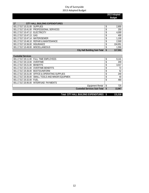**2013 Adopted Budget** 

| 17                                | CITY HALL BUILDING EXPENDITURES           |         |
|-----------------------------------|-------------------------------------------|---------|
| 001.17.517.10.31.00 SUPPLIES      |                                           | 2,800   |
|                                   | 001.17.517.10.41.00 PROFESSIONAL SERVICES | 250     |
| 001.17.517.10.47.12 ELECTRICITY   |                                           | 4,000   |
| 001.17.517.10.47.13 GAS           |                                           | 400     |
| 001.17.517.10.47.14 WATER/SEWER   |                                           | 1,100   |
|                                   | 001.17.517.10.48.10 REPAIR & MAINTENANCE  | 2,500   |
| 001.17.517.10.36.00 INSURANCE     |                                           | 104,951 |
| 001.17.517.10.49.00 MISCELLANEOUS |                                           | 1,550   |
|                                   | City Hall Building Sub-Total \$           | 117,551 |

| <b>Custodial Services</b>                          |           |
|----------------------------------------------------|-----------|
| 001.17.517.20.11.00 FULL TIME EMPLOYEES            | 9.141     |
| 001.17.517.20.13.00 OVERTIME                       | 200       |
| 001.17.517.20.21.00 BENEFITS                       | 3,017     |
| 001.17.517.20.21.00 OVERTIME BENEFITS              | 72        |
| 001.17.517.20.36.00 BOOTS/UNIFORM                  | 52        |
| 001.17.517.20.31.00 OFFICE & OPERATING SUPPLIES    | 240       |
| 001.17.517.20.35.00 SMALL TOOLS AND MINOR EQUIPMEN | 40        |
| 001.17.517.20.32.00 FUEL                           | 480       |
| 001.17.517.20.95.00 INTERFUND PAYMENTS             |           |
| Equipment Rental                                   | \$<br>725 |
| <b>Custodial Services Sub-Total</b>                | 13,967    |

 **Total CITY HALL BUILDING EXPENDITURES** \$ 131,518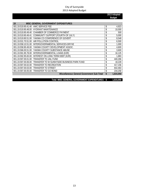**2013 Adopted Budget** 

| 19<br>MISC GENERAL GOVERNMENT EXPENDITURES                        |                 |
|-------------------------------------------------------------------|-----------------|
| AWC SERVICE FEE<br>001.19.519.90.41.40                            | \$<br>4,923     |
| <b>HYDRANT MAINTENANCE</b><br>001.19.519.90.48.00                 | \$<br>10,000    |
| CHAMBER OF COMMERCE PAYMENT<br>001.19.519.90.49.40                | \$<br>500       |
| COMMUNITY SUPPORT (FOURTH OF JULY)<br>001.19.519.90.49.41         | \$<br>5.000     |
| YAKIMA CO CONFERENCE OF GOVERT<br>001.19.519.90.51.00             | \$<br>8,548     |
| AIR POLLUTION CONTROL<br>001.19.531.70.51.00                      | \$<br>6,500     |
| INTERGOVERNMENTAL SERVICES-DRYVE<br>001.19.558.10.51.00           | \$<br>1.000     |
| YAKIMA COUNTY DEVELOPMENT ASSOC.<br>001.19.558.90.49.00           | \$<br>4,600     |
| YAKIMA COUNTY SUBSTANCE ABUSE<br>001.19.566.00.51.00              | \$<br>3,600     |
| INTERGOVERNMENTAL LOANS (K2R)<br>001.19.591.95.78.00              | \$<br>16,125    |
| INTEREST ON LONG TERM DEBT (K2R)<br>001.19.592.95.83.00           | \$<br>1,883     |
| TRANSFER TO JAIL FUND<br>001.19.597.00.01.00                      | \$<br>440,266   |
| TRANSFER TO W SUNNYSIDE BUSINESS PARK FUND<br>001.19.597.00.06.00 | \$<br>18,228    |
| <b>TRANSFER TO RECREATION</b><br>001.19.597.00.02.00              | \$<br>417,156   |
| 001.19.597.00.03.00<br>TRANSFER TO STREET                         | \$<br>642,463   |
| TRANSFER TO GO BOND<br>001.19.597.00.05.00                        | \$<br>234,258   |
| Miscellaneous General Government Sub-Total                        | \$<br>1.815.050 |

 **Total MISC GENERAL GOVERNMENT EXPENDITURES \$ 1,815,050**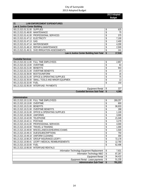| 21<br><b>LAW ENFORCEMENT EXPENDITURES</b>       |           |
|-------------------------------------------------|-----------|
| Law & Justice Center Building                   |           |
| 001.21.521.01.31.00 SUPPLIES                    | \$<br>625 |
| 001.21.521.01.48.00 MAINTENANCE                 | 75        |
| 001.21.521.01.41.00 PROFESSIONAL SERVICES       | 375       |
| 001.21.521.01.47.12 ELECTRICITY                 | 7,100     |
| 001.21.521.01.47.13 GAS                         | 2,400     |
| 001.21.521.01.47.14 WATER/SEWER                 | 4,200     |
| 001.21.521.01.48.10 REPAIR & MAINTENANCE        | 2,500     |
| 001.21.521.01.49.31 SVID IRRIGATION ASSESSMENTS | \$<br>241 |
| Law & Justice Center Building Sub-Total \$      | 17.516    |

| <b>Custodial Services</b>         |                                                    |                                     |    |       |
|-----------------------------------|----------------------------------------------------|-------------------------------------|----|-------|
|                                   | 001.21.521.02.11.00 FULL TIME EMPLOYEES            |                                     |    | 2,857 |
| 001.21.521.02.13.00 OVERTIME      |                                                    |                                     |    | 63    |
| 001.21.521.02.21.00 BENEFITS      |                                                    |                                     |    | 943   |
|                                   | 001.21.521.02.21.00 OVERTIME BENEFITS              |                                     |    | 23    |
| 001.21.521.02.36.00 BOOTS/UNIFORM |                                                    |                                     |    | 16    |
|                                   | 001.21.521.02.31.00 OFFICE & OPERATING SUPPLIES    |                                     |    | 75    |
|                                   | 001.21.521.02.35.00 SMALL TOOLS AND MINOR EQUIPMEN |                                     |    | 13    |
| 001.21.521.02.32.00 FUEL          |                                                    |                                     |    | 150   |
|                                   | 001.21.521.02.95.00 INTERFUND PAYMENTS             |                                     |    |       |
|                                   |                                                    | Equipment Rental                    |    | 227   |
|                                   |                                                    | <b>Custodial Services Sub-Total</b> | -S | 4,366 |

| Administration      |                                              |               |
|---------------------|----------------------------------------------|---------------|
| 001.21.521.10.11.00 | <b>FULL TIME EMPLOYEES</b>                   | \$<br>269,257 |
| 001.21.521.10.13.00 | <b>OVERTIME</b>                              | \$<br>800     |
| 001.21.521.10.21.00 | <b>BENEFITS</b>                              | \$<br>96,933  |
| 001.21.521.10.21.00 | <b>OVERTIME BENEFITS</b>                     | \$<br>288     |
| 001.21.521.10.31.00 | <b>OFFICE &amp; OPERATING SUPPLIES</b>       | \$<br>1,100   |
| 001.21.521.10.36.00 | <b>UNIFORMS</b>                              | \$<br>3,000   |
| 001.21.521.10.42.09 | <b>TELEPHONE</b>                             | \$<br>21,049  |
| 001.21.521.10.42.11 | <b>POSTAGE</b>                               | \$<br>3,279   |
| 001.21.521.10.41.00 | PROFESSIONAL SERVICES                        | \$<br>4,000   |
| 001.21.521.10.43.00 | <b>TRAVEL &amp; TRAINING</b>                 | \$<br>1,000   |
| 001.21.521.10.49.00 | MISCELLANEOUS/HEARING EXAMS                  | \$<br>1,500   |
| 001.21.521.10.49.15 | <b>DUES/SUBSCRIPTIONS</b>                    | \$<br>750     |
| 001.21.521.10.49.18 | UNIFORM CLEANING                             | \$<br>300     |
| 001.21.521.10.90.25 | <b>GROUP INSURANCE-LEOFF I</b>               | \$<br>72,178  |
| 001.21.521.10.90.41 | LEOFF I MEDICAL REIMBURSEMENTS               | \$<br>12,760  |
| 001.21.521.10.32.00 | <b>FUEL</b>                                  | \$<br>62,496  |
| 001.21.521.10.95.00 | <b>INTERFUND RENTALS</b>                     |               |
|                     | Information Technology Equipment Replacement | \$<br>7,631   |
|                     | Information Technology M&O                   | \$<br>87,267  |
|                     | <b>Equipment Rental</b>                      | \$<br>94,410  |
|                     | Equipment Rental - Lease payments            | \$<br>51,235  |
|                     | <b>Administration Sub-Total</b>              | \$<br>791,233 |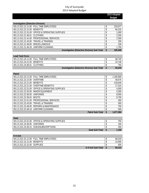**2013 Adopted Budget** 

| <b>Investigation (Detective Division)</b>       |                                                     |               |
|-------------------------------------------------|-----------------------------------------------------|---------------|
| 001.21.521.21.11.00 FULL TIME EMPLOYEES         |                                                     | 233,977       |
| 001.21.521.21.21.00 BENEFITS                    |                                                     | 84,232        |
| 001.21.521.21.31.00 OFFICE & OPERATING SUPPLIES |                                                     | 1,000         |
| 001.21.521.21.36.01 CLOTHING                    |                                                     | 2,250         |
| 001.21.521.21.41.00 PROFESSIONAL SERVICES       |                                                     | 1,500         |
| 001.21.521.21.43.00 TRAVEL & TRAINING           |                                                     | 200           |
| 001.21.521.21.49.00 MISCELLANEOUS               |                                                     | 100           |
| 001.21.521.21.49.18 UNIFORM CLEANING            |                                                     | 1,750         |
|                                                 | <b>Investigation (Detective Division) Sub-Total</b> | \$<br>325,009 |

| Lead Task Force              |                                         |                                                     |        |
|------------------------------|-----------------------------------------|-----------------------------------------------------|--------|
|                              | 001.21.521.24.11.00 FULL TIME EMPLOYEES |                                                     | 68.745 |
| 001.21.521.24.21.00 BENEFITS |                                         |                                                     | 24.748 |
| 001.21.521.24.36.01 CLOTHING |                                         |                                                     | 750    |
|                              |                                         | <b>Investigation (Detective Division) Sub-Total</b> | 94.243 |

**Lead Task Force**

| Patrol                       |                                                 |        |           |
|------------------------------|-------------------------------------------------|--------|-----------|
|                              | 001.21.521.22.11.00 FULL TIME EMPLOYEES         | \$     | 1,165,690 |
| 001.21.521.22.13.00 OVERTIME |                                                 |        | 48,675    |
| 001.21.521.22.21.00 BENEFITS |                                                 |        | 419,646   |
|                              | 001.21.521.22.21.00 OVERTIME BENEFITS           |        | 17,523    |
|                              | 001.21.521.22.31.00 OFFICE & OPERATING SUPPLIES |        | 4,000     |
|                              | 001.21.521.22.35.00 MINOR EOUIPMENT             |        | 3,000     |
| 001.21.521.22.36.00 UNIFORMS |                                                 |        | 8,000     |
| 001.21.521.22.36.02          | <b>BOOTS</b>                                    |        | 8,700     |
|                              | 001.21.521.22.41.00 PROFESSIONAL SERVICES       | \$     | 350       |
| 001.21.521.22.43.00          | TRAVEL & TRAINING                               |        | 300       |
| 001.21.521.22.48.00          | REPAIRS & MAINTENANCE                           | ¢<br>Φ | 700       |
|                              | 001.21.521.22.49.18 UNIFORM CLEANING            | \$     | 500       |
|                              | <b>Patrol Sub-Total</b>                         |        | 1.677.084 |

| Swat                         |                                                 |                       |       |
|------------------------------|-------------------------------------------------|-----------------------|-------|
|                              | 001.21.521.23.31.00 OFFICE & OPERATING SUPPLIES |                       | 750   |
| 001.21.521.23.36.00 UNIFORMS |                                                 |                       | 150   |
|                              | 001.21.521.23.49.15 DUES/SUBSCRIPTIONS          |                       | 250   |
|                              |                                                 | <b>Swat Sub-Total</b> | 1.150 |

| K-9 Unit                     |                                         |    |        |
|------------------------------|-----------------------------------------|----|--------|
|                              | 001.21.521.31.11.00 FULL TIME EMPLOYEES |    | 68,319 |
| 001.21.521.31.21.00 BENEFITS |                                         | .D | 24.595 |
| 001.21.521.31.31.00 SUPPLIES |                                         |    | 500    |
|                              | K-9 Unit Sub-Total                      |    | 93.414 |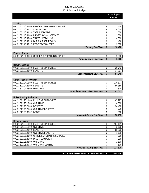**2013 Adopted Budget** 

| <b>Training</b>                   |                                                 |           |
|-----------------------------------|-------------------------------------------------|-----------|
|                                   | 001.21.521.40.31.00 OFFICE & OPERATING SUPPLIES | 500       |
| 001.21.521.40.31.31 AMMUNITION    |                                                 | 6,000     |
| 001.21.521.40.31.33 TASER RELOADS |                                                 | \$<br>500 |
|                                   | 001.21.521.40.41.00 PROFESSIONAL SERVICES       | 2,000     |
|                                   | 001.21.521.40.43.00 TRAVEL & TRAINING           | 6,000     |
|                                   | 001.21.521.40.49.15 DUES/SUBSCRIPTIONS          | 400       |
|                                   | 001.21.521.40.49.17 REGISTRATION FEES           | 3,000     |
|                                   | <b>Training Sub-Total</b>                       | 18,400    |

| <b>Property Room</b> |                                                 |                                |       |
|----------------------|-------------------------------------------------|--------------------------------|-------|
|                      | 001.21.521.91.31.00 OFFICE & OPERATING SUPPLIES |                                | 2.000 |
|                      |                                                 | <b>Property Room Sub-Total</b> | 2,000 |

| Data Processing                         |                                  |        |
|-----------------------------------------|----------------------------------|--------|
| 001.21.521.93.11.00 FULL TIME EMPLOYEES |                                  | 39.742 |
| 001.21.521.93.21.00 BENEFITS            |                                  | 14,307 |
|                                         | <b>Data Processing Sub-Total</b> | 54.049 |

| SCHOOL RESOURCE UITICER                  |  |         |
|------------------------------------------|--|---------|
| 001.21.521.94.11.00 FULL TIME EMPLOYEES  |  | 139.87  |
| 001.21.521.94.21.00 BENEFITS             |  | 50.356  |
| 001.21.521.94.36.00 UNIFORMS             |  | 800     |
| <b>School Resource Officer Sub-Total</b> |  | 191.033 |

**School Resource Officer**

| <b>HUD - Housing Authority</b>          |        |
|-----------------------------------------|--------|
| 001.21.521.95.11.00 FULL TIME EMPLOYEES | 67,995 |
| 001.21.521.95.13.00 OVERTIME            | 4,000  |
| 001.21.521.95.21.00 BENEFITS            | 24,478 |
| 001.21.521.95.21.00 OVERTIME BENEFITS   | 1,440  |
| 001.21.521.95.36.02 BOOTS               | 300    |
| <b>Housing Authority Sub-Total</b>      | 98,213 |

| <b>Hospital Security</b>     |                                                 |         |
|------------------------------|-------------------------------------------------|---------|
|                              | 001.21.521.96.11.00 FULL TIME EMPLOYEES         | 154,191 |
| 001.21.521.96.13.00 OVERTIME |                                                 | 3,100   |
| 001.21.521.96.21.00 BENEFITS |                                                 | 55,509  |
|                              | 001.21.521.96.21.00 OVERTIME BENEFITS           | 1,116   |
|                              | 001.21.521.96.31.00 OFFICE & OPERATING SUPPLIES | 200     |
|                              | 001.21.521.96.35.00 MINOR EOUIPMENT             | 700     |
| 001.21.521.96.36.00 UNIFORMS |                                                 | 2,500   |
|                              | 001.21.521.96.49.18 UNIFORM CLEANING            | 500     |
|                              | <b>Hospital Security Sub-Total</b>              | 217,816 |

## **Total LAW ENFORCEMENT EXPENDITURES 3,585,526 \$**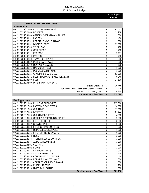| 22<br><b>FIRE CONTROL EXPENDITURES</b>       |                                              |               |
|----------------------------------------------|----------------------------------------------|---------------|
| Administration                               |                                              |               |
| 001.22.522.10.11.00                          | <b>FULL TIME EMPLOYEES</b>                   | \$<br>67,552  |
| 001.22.522.10.21.00<br><b>BENEFITS</b>       |                                              | \$<br>23,938  |
| 001.22.522.10.31.00                          | <b>OFFICE &amp; OPERATING SUPPLIES</b>       | \$<br>800     |
| 001.22.522.10.31.31<br><b>PAGERS</b>         |                                              | \$<br>400     |
| 001.22.522.10.35.31                          | PORTABLE/MOBILE RADIOS                       | \$<br>800     |
| 001.22.522.10.41.31<br><b>DISPATCH FEES</b>  |                                              | \$<br>22,000  |
| 001.22.522.10.42.09<br><b>TELEPHONE</b>      |                                              | \$<br>200     |
| 001.22.522.10.42.10<br><b>CELL PHONE</b>     |                                              | \$<br>1,200   |
| 001.22.522.10.42.11<br><b>POSTAGE</b>        |                                              | \$<br>2,137   |
| 001.22.522.10.42.19<br><b>PAGERS</b>         |                                              | \$<br>400     |
| 001.22.522.10.43.00                          | <b>TRAVEL &amp; TRAINING</b>                 | \$<br>200     |
| 001.22.522.10.44.32                          | PUBLIC SAFETY ADS                            | \$<br>600     |
| 001.22.522.10.45.00                          | <b>RENTALS &amp; LEASES</b>                  | \$<br>100     |
| 001.22.522.10.48.31<br><b>RADIO CONTRACT</b> |                                              | \$<br>1,000   |
| 001.22.522.10.49.15                          | <b>DUES/SUBSCRIPTIONS</b>                    | \$<br>1,300   |
| 001.22.522.10.90.25                          | <b>GROUP INSURANCE-LEOFF I</b>               | \$<br>52,266  |
| 001.22.522.10.90.41                          | LEOFF I MEDICAL REIMBURSEMENTS               | \$<br>9,240   |
| 001.22.522.10.32.00<br><b>FUEL</b>           |                                              | \$<br>13,536  |
| 001.22.522.10.95.00                          | <b>INTERFUND PAYMENTS</b>                    |               |
|                                              | <b>Equipment Rental</b>                      | \$<br>20,445  |
|                                              | Information Technology Equipment Replacement | \$<br>620     |
|                                              | Information Technology M&O                   | \$<br>6,855   |
|                                              | <b>Administration Sub-Total</b>              | \$<br>225,589 |

| <b>Fire Suppression</b> |                                         |               |
|-------------------------|-----------------------------------------|---------------|
|                         | 001.22.522.20.11.00 FULL TIME EMPLOYEES | \$<br>227,066 |
| 001.22.522.20.12.00     | PART TIME EMPLOYEES                     | \$<br>16,000  |
| 001.22.522.20.13.00     | <b>OVERTIME</b>                         | \$<br>12,500  |
| 001.22.522.20.21.00     | <b>BENEFITS</b>                         | \$<br>81,744  |
| 001.22.522.20.21.00     | <b>OVERTIME BENEFITS</b>                | \$<br>4,500   |
| 001.22.522.20.31.00     | <b>OFFICE &amp; OPERATING SUPPLIES</b>  | \$<br>2,000   |
| 001.22.522.20.31.31     | <b>FIREFIGHTING PPE</b>                 | \$<br>5,000   |
| 001.22.522.20.31.32     | <b>SCBA SUPPLIES</b>                    | \$<br>2,500   |
| 001.22.522.20.31.33     | FIRE FIGHTING SUPPLIES                  | \$<br>4,000   |
| 001.22.522.20.31.34     | ROPE RESCUE SUPPLIES                    | \$<br>1,000   |
| 001.22.522.20.35.31     | <b>FIREFIGHTING TURNOUTS</b>            | \$<br>6,000   |
| 001.22.522.20.35.32     | <b>HOSE</b>                             | \$<br>2,000   |
| 001.22.522.20.35.34     | TRENCH RESCUE SUPPLIES                  | \$<br>1,000   |
| 001.22.522.20.35.35     | AMMONIA EOUIPMENT                       | \$<br>1,000   |
| 001.22.522.20.36.01     | <b>CLOTHING</b>                         | \$<br>4,000   |
| 001.22.522.20.36.02     | <b>BOOTS</b>                            | \$<br>1,000   |
| 001.22.522.20.41.31     | <b>FIRE PUMP TESTS</b>                  | \$<br>1,000   |
| 001.22.522.20.41.32     | ANNUAL PHYSICALS                        | \$<br>1,400   |
| 001.22.522.20.41.35     | CONTAMINATION TESTING                   | \$<br>400     |
| 001.22.522.20.48.00     | <b>REPAIRS &amp; MAINTENANCE</b>        | \$<br>2,000   |
| 001.22.522.20.48.32     | COMPRESSOR/BREATHING AIR                | \$<br>3,600   |
| 001.22.522.20.49.00     | <b>MISCELLANEOUS</b>                    | \$<br>700     |
| 001.22.522.20.49.18     | UNIFORM CLEANING                        | \$<br>1,800   |
|                         | <b>Fire Suppression Sub-Total</b>       | \$<br>382,210 |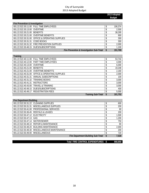**2013 Adopted Budget** 

| Fire Prevention & Investigation |                                                      |    |         |
|---------------------------------|------------------------------------------------------|----|---------|
|                                 | 001.22.522.30.11.00 FULL TIME EMPLOYEES              | ¢  | 106.374 |
| 001.22.522.30.13.00 OVERTIME    |                                                      |    | 2,500   |
| 001.22.522.30.21.00 BENEFITS    |                                                      |    | 38,295  |
|                                 | 001.22.522.30.21.00 OVERTIME BENEFITS                |    | 900     |
|                                 | 001.22.522.30.31.00 OFFICE & OPERATING SUPPLIES      |    | 300     |
| 001.22.522.30.31.31 CODE BOOKS  |                                                      | \$ | 300     |
|                                 | 001.22.522.30.31.32 FIRE PREVENTION SUPPLIES         |    | 2,000   |
|                                 | 001.22.522.30.49.15 DUES/SUBSCRIPTIONS               |    | 1,100   |
|                                 | <b>Fire Prevention &amp; Investigation Sub-Total</b> | S  | 151.769 |

| <b>Training</b>                    |                                                 |     |         |
|------------------------------------|-------------------------------------------------|-----|---------|
|                                    | 001.22.522.40.11.00 FULL TIME EMPLOYEES         | \$  | 53,744  |
|                                    | 001.22.522.40.12.00 PART TIME EMPLOYEES         |     | 4,000   |
| 001.22.522.40.13.00 OVERTIME       |                                                 |     | 6,000   |
| 001.22.522.40.21.00 BENEFITS       |                                                 | \$  | 19,348  |
|                                    | 001.22.522.40.21.00 OVERTIME BENEFITS           |     | 2,160   |
|                                    | 001.22.522.40.31.00 OFFICE & OPERATING SUPPLIES |     | 2,000   |
|                                    | 001.22.522.40.31.31 ANNUAL SUBSCRIPTIONS        | \$  | 100     |
| 001.22.522.40.31.32 TRAINING BOOKS |                                                 | \$. | 3,000   |
| 001.22.522.40.41.31                | <b>INSTRUCTORS</b>                              |     | 3,000   |
|                                    | 001.22.522.40.43.00 TRAVEL & TRAINING           | \$  | 3,000   |
|                                    | 001.22.522.40.49.15 DUES/SUBSCRIPTIONS          | \$  | 400     |
|                                    | 001.22.522.40.49.17 REGISTRATION FEES           |     | 5,000   |
|                                    | <b>Training Sub-Total</b>                       |     | 101,752 |

| <b>Fire Department Building</b>   |                                               |                                           |          |       |
|-----------------------------------|-----------------------------------------------|-------------------------------------------|----------|-------|
|                                   | 001.22.522.50.31.22 CLEANING SUPPLIES         |                                           |          | 600   |
|                                   | 001.22.522.50.31.31 MISCELLANEOUS SUPPLIES    |                                           |          | 200   |
|                                   | 001.22.522.50.41.00 PROFESSIONAL SERVICES     |                                           |          | 80    |
|                                   | 001.22.522.50.36.45 RENTALS & LEASES          |                                           |          | 200   |
| 001.22.522.50.47.12 ELECTRICITY   |                                               |                                           |          | 1,500 |
| 001.22.522.50.47.13 GAS           |                                               |                                           |          | 1,200 |
| 001.22.522.50.47.14 WATER/SEWER   |                                               |                                           | \$       | 750   |
|                                   | 001.22.522.50.48.10 REPAIR & MAINTENANCE      |                                           |          | 80    |
|                                   | 001.22.522.50.48.20 BUILDING MAINTENANCE      |                                           |          | 2,000 |
|                                   | 001.22.522.50.48.30 MISCELLANEOUS MAINTENANCE |                                           |          | 200   |
| 001.22.522.50.49.00 MISCELLANEOUS |                                               |                                           | \$       | 720   |
|                                   |                                               | <b>Fire Department Building Sub-Total</b> | <b>S</b> | 7.530 |

 **Total FIRE CONTROL EXPENDITURES \$ 868,850**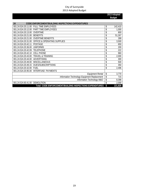| CODE ENFORCEMENT/BUILDING INSPECTIONS EXPENDITURES<br>24      |               |
|---------------------------------------------------------------|---------------|
| <b>FULL TIME EMPLOYEES</b><br>001.24.524.20.11.00             | \$<br>142,410 |
| PART TIME EMPLOYEES<br>001.24.524.20.12.00                    | \$<br>1,000   |
| 001.24.524.20.13.00<br><b>OVERTIME</b>                        | \$<br>800     |
| 001.24.524.20.21.00<br><b>BENEFITS</b>                        | \$<br>51,267  |
| 001.24.524.20.21.00<br><b>OVERTIME BENEFITS</b>               | \$<br>288     |
| 001.24.524.20.31.00<br><b>OFFICE &amp; OPERATING SUPPLIES</b> | \$<br>3,500   |
| 001.24.524.20.42.11<br><b>POSTAGE</b>                         | \$<br>650     |
| 001.24.524.20.36.00<br><b>UNIFORMS</b>                        | \$<br>200     |
| 001.24.524.20.42.09<br>TELEPHONE                              | \$<br>222     |
| 001.24.524.20.42.10<br>CELL PHONE                             | \$<br>960     |
| 001.24.524.20.43.00<br>TRAVEL & TRAINING                      | \$<br>2,000   |
| <b>ADVERTISING</b><br>001.24.524.20.44.00                     | \$<br>300     |
| 001.24.524.20.49.00<br><b>MISCELLANEOUS</b>                   | \$<br>500     |
| 001.24.524.20.49.15<br><b>DUES/SUBSCRIPTIONS</b>              | \$<br>350     |
| 001.24.524.20.32.00<br><b>FUEL</b>                            | \$<br>2,496   |
| <b>INTERFUND</b><br>001.24.524.20.95.00<br><b>PAYMENTS</b>    |               |
| <b>Equipment Rental</b>                                       | \$<br>3,770   |
| Information Technology Equipment Replacement                  | \$<br>715     |
| Information Technology M&O                                    | \$<br>8,398   |
| 001.24.524.60.41.00<br>DEMOLITION                             | \$<br>2,000   |
| Total CODE ENFORCEMENT/BUILDING INSPECTIONS EXPENDITURES      | \$<br>221,826 |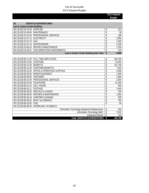|                                                               | 2013 Adopted  |
|---------------------------------------------------------------|---------------|
|                                                               | <b>Budget</b> |
| 28<br><b>DISPATCH EXPENDITURES</b>                            |               |
| Law & Justice Center Building                                 |               |
| 001.28.528.10.31.00<br><b>SUPPLIES</b>                        | \$<br>313     |
| <b>MAINTENANCE</b><br>001.28.528.10.48.00                     | \$<br>38      |
| 001.28.528.10.41.00 PROFESSIONAL SERVICES                     | \$<br>188     |
| 001.28.528.10.47.12 ELECTRICITY                               | \$<br>3,650   |
| 001.28.528.10.47.13<br>GAS                                    | \$<br>1,200   |
| 001.28.528.10.47.14 WATER/SEWER                               | \$<br>2,100   |
| 001.28.528.10.48.10<br><b>REPAIR &amp; MAINTENANCE</b>        | \$<br>1,250   |
| SVID IRRIGATION ASSESSMENTS<br>001.28.528.10.49.31            | \$<br>120     |
| Law & Justice Center Building Sub-Total                       | \$<br>8,858   |
|                                                               |               |
| 001.28.528.80.11.00 FULL TIME EMPLOYEES                       | \$<br>282,765 |
| <b>OVERTIME</b><br>001.28.528.80.13.00                        | \$<br>22,000  |
| 001.28.528.80.21.00<br><b>BENEFITS</b>                        | \$<br>101,796 |
| <b>OVERTIME BENEFITS</b><br>001.28.528.80.21.00               | \$<br>7,920   |
| <b>OFFICE &amp; OPERATING SUPPLIES</b><br>001.28.528.80.31.00 | \$<br>3,000   |
| <b>MINOR EQUIPMENT</b><br>001.28.528.80.35.00                 | \$<br>1,000   |
| <b>UNIFORMS</b><br>001.28.528.80.36.00                        | \$<br>1,800   |
| 001.28.528.80.41.00<br>PROFESSIONAL SERVICES                  | \$<br>3,000   |
| <b>TELEPHONE</b><br>001.28.528.80.42.09                       | \$<br>21,049  |
| 001.28.528.80.42.10<br><b>CELL PHONE</b>                      | \$<br>600     |
| <b>POSTAGE</b><br>001.28.528.80.42.11                         | \$<br>1,640   |
| <b>RENTALS &amp; LEASES</b><br>001.28.528.80.45.00            | \$<br>150     |
| 001.28.528.80.48.00<br><b>REPAIRS &amp; MAINTENANCE</b>       | \$<br>1,000   |
| UNIFORM CLEANING<br>001.28.528.80.49.18                       | \$<br>500     |
| 001.28.528.80.36.02<br><b>BOOT ALLOWANCE</b>                  | \$<br>750     |
| 001.28.528.80.32.00<br><b>FUEL</b>                            | \$<br>96      |
| <b>INTERFUND PAYMENTS</b><br>001.28.528.80.95.00              |               |
| Information Technology Equipment Replacement                  | \$<br>616     |
| Information Technology M&O                                    | \$<br>7,020   |
| <b>Equipment Rental</b>                                       | \$<br>145     |
| <b>Total DISPATCH EXPENDITURES</b>                            | \$<br>465,705 |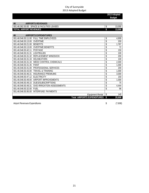|                                                           |    | 2013 Adopted<br><b>Budget</b> |
|-----------------------------------------------------------|----|-------------------------------|
|                                                           |    |                               |
| <b>AIRPORTS REVENUES</b><br>46                            |    |                               |
| <b>SPACE &amp; FACILITIES LEASES</b><br>001.46.362.50.00  | \$ | 13,000                        |
| <b>TOTAL AIRPORT REVENUES</b>                             | \$ | 13,000                        |
|                                                           |    |                               |
| <b>AIRPORTS EXPENDITURES</b><br>46                        |    |                               |
| 001.46.546.50.11.00<br><b>FULL TIME EMPLOYEES</b>         | \$ | 4,909                         |
| <b>OVERTIME</b><br>001.46.546.50.13.00                    | \$ | 200                           |
| 001.46.546.50.21.00<br><b>BENFFITS</b>                    | \$ | 1,767                         |
| 001.46.546.50.13.00<br><b>OVERTIME BENEFITS</b>           | \$ | 72                            |
| 001.46.546.50.42.11<br><b>POSTAGE</b>                     | \$ | 150                           |
| <b>LIGHTBULBS</b><br>001.46.546.50.31.31                  | \$ | 100                           |
| 001.46.546.50.31.32<br>REPLACEMENT WINDSOCK               | \$ | 200                           |
| 001.46.546.50.31.33<br><b>DELINEATORS</b>                 | \$ | 100                           |
| 001.46.546.50.31.34<br><b>WEED CONTROL CHEMICALS</b>      | \$ | 2,000                         |
| 001.46.546.50.31.35<br><b>PAINT</b>                       | \$ | 1,000                         |
| 001.46.546.50.41.00<br>PROFESSIONAL SERVICES              | \$ | 200                           |
| 001.46.546.50.43.00<br><b>TRAVEL &amp; TRAINING</b>       | \$ | 1,000                         |
| <b>INSURANCE PREMIUMS</b><br>001.46.546.50.46.31          | \$ | 3,000                         |
| <b>ELECTRICITY</b><br>001.46.546.50.47.12                 | \$ | 150                           |
| 001.46.546.50.49.00<br>AIRPORT IMPROVEMENTS               | \$ | 1,000                         |
| 001.46.546.50.49.15<br><b>DUES/SUBSCRIPTIONS</b>          | \$ | 75                            |
| <b>SVID IRRIGATION ASSESSMENTS</b><br>001.46.546.50.49.31 | \$ | 4,444                         |
| 001.46.546.50.32.00<br><b>FUFI</b>                        | \$ | 96                            |
| 001.46.546.50.95.00<br><b>INTERFUND PAYMENTS</b>          |    |                               |
| <b>Equipment Rental</b>                                   | \$ | 145                           |
| <b>Total AIRPORTS EXPENDITURES</b>                        | \$ | 20,608                        |

Airport Revenues-Expenditures (7,608)  $(7,608)$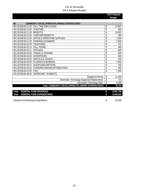**2013 Adopted Budget** 

| COMMUNITY DEVELOPMENT/PLANNING EXPENDITURES<br>58             |                 |
|---------------------------------------------------------------|-----------------|
| 001.58.558.60.11.00<br><b>FULL TIME EMPLOYEES</b>             | \$<br>27,867    |
| 001.58.558.60.13.00<br>OVERTIME                               | \$<br>500       |
| 001.58.558.60.21.00<br><b>BENEFITS</b>                        | \$<br>10,032    |
| 001.58.558.60.21.00<br><b>OVERTIME BENEFITS</b>               | \$<br>180       |
| 001.58.558.60.31.00<br><b>OFFICE &amp; OPERATING SUPPLIES</b> | \$<br>1,000     |
| 001.58.558.60.41.25<br><b>HEARINGS EXAMINER</b>               | \$<br>2,500     |
| 001.58.558.60.42.09<br><b>TFI FPHONF</b>                      | \$<br>222       |
| <b>CELL PHONE</b><br>001.58.558.60.42.10                      | \$<br>480       |
| 001.58.558.60.42.11<br><b>POSTAGE</b>                         | \$<br>600       |
| 001.58.558.60.43.00<br><b>TRAVEL &amp; TRAINING</b>           | \$<br>500       |
| 001.58.558.60.44.00<br><b>ADVERTISING</b>                     | \$<br>600       |
| <b>RENTALS &amp; LEASES</b><br>001.58.558.60.45.00            | \$<br>200       |
| 001.58.558.60.49.00<br><b>FLOWERS &amp; BANNERS</b>           | \$<br>7.000     |
| <b>DUES/SUBSCRIPTIONS</b><br>001.58.558.60.49.15              | \$<br>200       |
| 001.58.558.60.49.16<br>FILING/RECORDING/WITNESS FEES          | \$<br>400       |
| 001.58.558.60.32.00<br><b>FUEL</b>                            | \$<br>7,296     |
| 001.58.558.60.95.00<br><b>INTERFUND PAYMENTS</b>              |                 |
| <b>Equipment Rental</b>                                       | \$<br>11,020    |
| Information Technology Equipment Replacement                  | \$<br>715       |
| Information Technology M&O                                    | \$<br>8,398     |
| Total COMMUNITY DEVELOPMENT/PLANNING EXPENDITURES             | \$<br>79,710    |
|                                                               |                 |
| <b>GENERAL FUND REVENUES</b><br>Total                         | \$<br>8,407,730 |
| <b>GENERAL FUND EXPENDITURES</b><br><b>Total</b>              | \$<br>8,348,434 |

General Fund Revenues-Expenditures 69,296 \$59,296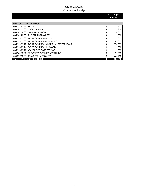| <b>JAIL FUND REVENUES</b><br>005                       |               |
|--------------------------------------------------------|---------------|
| 005.333.93.55 HIDTA                                    | \$<br>1,500   |
| 005.342.37.00 BOOKING FEES                             | \$<br>250     |
| 005.342.36.00 HOME DETENTION                           | \$<br>10,000  |
| 005.342.90.00 FINGERPRINTING FEES                      | \$<br>500     |
| R/B PRISONERS-MABTON<br>005.338.23.00                  | 12,000        |
| R/B PRISONERS-ELLENSBURG<br>005.338.23.08              | 48,000        |
| R/B PRISONERS-US MARSHAL EASTERN WASH<br>005.338.23.12 | \$<br>250,000 |
| R/B PRISONERS-LYNNWOOD<br>005.338.23.14                | \$<br>5,000   |
| WA DEPT OF CORRECTIONS<br>005.338.23.21                | \$<br>12,000  |
| PRISONERS COMMISSARY FUNDS<br>005.341.70.01            | \$<br>25,000  |
| 005.397.00.00 TRANSFER IN FROM 001                     | \$<br>440,266 |
| <b>JAIL FUND REVENUES</b><br><b>Total</b>              | 804,516       |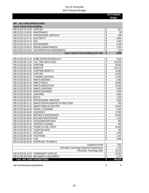**2013 Adopted Budget** 

| 005 JAIL FUND EXPENDITURES                                             |                                              |          |              |
|------------------------------------------------------------------------|----------------------------------------------|----------|--------------|
| Law & Justice Center Building<br>005.23.523.10.31.00 SUPPLIES          |                                              | \$       | 313          |
| 005.23.523.10.48.00 MAINTENANCE                                        |                                              | \$       | 38           |
| 005.23.523.10.41.00 PROFESSIONAL SERVICES                              |                                              | \$       | 188          |
| 005.23.523.10.47.12 ELECTRICITY                                        |                                              | \$       | 3,600        |
| 005.23.523.10.47.13 GAS                                                |                                              | \$       | 1,200        |
| 005.23.523.10.47.14 WATER/SEWER                                        |                                              | \$       | 2,100        |
| 005.23.523.10.48.10 REPAIR & MAINTENANCE                               |                                              | \$       | 1,250        |
| 005.23.523.10.49.31 SVID IRRIGATION ASSESSMENTS                        |                                              | \$       | 120          |
|                                                                        | Law & Justice Center Building Sub-Total      | \$       | 8,808        |
| 005.23.523.20.51.00 HOME DETENTION RENTALS                             |                                              | \$       | 6,000        |
| 005.23.523.60.11.00 FULL TIME EMPLOYEES                                |                                              | \$       | 334,656      |
| 005.23.523.60.13.00 OVERTIME                                           |                                              | \$       | 28,000       |
| 005.23.523.60.21.00 BENEFITS                                           |                                              | \$       | 120,476      |
| 005.23.523.60.21.00 OVERTIME BENEFITS                                  |                                              | \$       | 10,080       |
| 005.23.523.60.31.00 SUPPLIES                                           |                                              | \$       | 15,000       |
| 005.23.523.60.31.22 CLEANING SUPPLIES                                  |                                              | \$       | 11,000       |
| 005.23.523.60.31.32 INMATE BEDDING                                     |                                              | \$       | 2,900        |
| 005.23.523.60.31.33 INMATE MEALS                                       |                                              | \$       | 90,980       |
| 005.23.523.60.31.34 INMATE MEDICATION                                  |                                              | \$       | 10,000       |
| 005.23.523.60.31.35 INMATE UNIFORMS                                    |                                              | \$       | 3,000        |
| 005.23.523.60.35.00 MINOR EQUIPMENT                                    |                                              | \$       | 3,000        |
| 005.23.523.60.36.00 UNIFORMS                                           |                                              | \$       | 3,000        |
| 005.23.523.60.36.02 BOOTS<br>005.23.523.60.41.00 PROFESSIONAL SERVICES |                                              | \$       | 1,200        |
| INMATE DENTAL/DENTIST EXTRACTIONS<br>005.23.523.60.41.31               |                                              | \$<br>\$ | 1,000<br>500 |
| 005.23.523.60.41.32 INMATE MEDICAL/DOCTOR                              |                                              | \$       | 20,000       |
| <b>TRAVEL &amp; TRAINING</b><br>005.23.523.60.43.00                    |                                              | \$       | 2,500        |
| 005.23.523.60.46.00<br><b>INSURANCE</b>                                |                                              | \$       | 17,492       |
| <b>REPAIRS &amp; MAINTENANCE</b><br>005.23.523.60.48.00                |                                              | \$       | 30,000       |
| 005.23.523.60.48.20 BUILDING MAINTENANCE                               |                                              | \$       | 1,100        |
| 005.23.523.60.49.15 DUES/SUBSCRIPTIONS                                 |                                              | \$       | 500          |
| 005.23.523.60.49.18 UNIFORM CLEANING                                   |                                              | \$       | 800          |
| 005.23.523.60.51.00 YAKIMA CO JAIL COSTS                               |                                              | \$       | 20,000       |
| 005.23.523.60.31.33 TASER RELOADS                                      |                                              | \$       | 300          |
| 005.23.523.60.42.11 POSTAGE                                            |                                              | \$       | 1,640        |
| 005.23.523.60.42.09 TELEPHONE                                          |                                              | \$       | 2,340        |
| 005.23.523.60.32.00 FUEL                                               |                                              | \$       | 4,896        |
| 005.23.523.60.95.00 INTERFUND PAYMENTS                                 | <b>Equipment Rental</b>                      | \$       | 7,395        |
|                                                                        | Information Technology Equipment Replacement | \$       | 1,416        |
|                                                                        | Information Technology M&O                   | \$       | 16,224       |
| 005.23.523.91.31.00 COMMISSARY SUPPLIES                                |                                              | \$       | 25,000       |
| 005.23.594.60.64.00 MACHINERY & EQUIPMENT                              |                                              | \$       | 3,313        |
| <b>Total JAIL FUND EXPENDITURES</b>                                    |                                              | \$       | 804,516      |

Jail Fund Revenues-Expenditures **6 and 1** and 2 and 2 and 2 and 3 and 3 and 3 and 3 and 3 and 3 and 3 and 3 and 3 and 3 and 3 and 3 and 3 and 3 and 3 and 3 and 3 and 3 and 3 and 3 and 3 and 3 and 3 and 3 and 3 and 3 and 3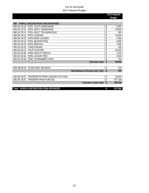|                                                    | 2013 Adopted  |
|----------------------------------------------------|---------------|
|                                                    | <b>Budget</b> |
|                                                    |               |
| <b>PARKS &amp; RECREATION FUND REVENUES</b><br>006 |               |
| POOL YOUTH ADMISSIONS<br>006.347.30.10             | \$<br>6,000   |
| 006.347.30.12<br>POOL ADULT ADMISSIONS             | \$<br>30,000  |
| 006.347.30.13<br>POOL ADULT TEN SWIM PASS          | \$<br>500     |
| 006.347.30.14<br>POOL LESSONS                      | \$<br>10,000  |
| 006.347.30.15<br><b>LIFEGUARD CLASSES</b>          | \$<br>2,000   |
| POOL SEASON PASS<br>006.347.30.16                  | \$<br>5,000   |
| 006.347.30.18<br><b>POOL RENTALS</b>               | \$<br>7,000   |
| <b>CONCESSIONS</b><br>006.347.60.10                | \$<br>100     |
| YOUTH SOCCER<br>006.347.60.22                      | \$<br>20,000  |
| 006.347.60.80<br>PARK FACILITY RENTAL              | \$<br>3,200   |
| PARK LEAGUE FEES<br>006.347.60.82                  | \$<br>3,500   |
| 006.347.60.84<br>PARK TOURNAMENT FEES              | \$<br>750     |
| Pool Sub-Total                                     | \$<br>88,050  |
|                                                    |               |
| 006.369.90.00<br>OTHER MISC REVENUE                | \$<br>100     |
| Miscellaneous Revenue Sub-Total                    | \$<br>100     |
|                                                    |               |
| TRANSFER IN FROM LODGING TAX FUND<br>006.397.00.02 | \$<br>32,000  |
| 006.397.00.01<br>TRANSFER FROM FUND 001            | \$<br>417,156 |
| <b>Transfers In Sub-Total</b>                      | \$<br>449,156 |
|                                                    |               |
| <b>Total PARKS &amp; RECREATION FUND REVENUES</b>  | \$<br>537,306 |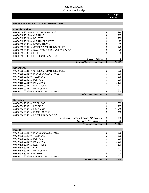**2013 Adopted Budget** 

#### **006 PARKS & RECREATION FUND EXPENDITURES**

**Recreation**

| <b>Custodial Services</b>         |                                                     |                                     |     |        |
|-----------------------------------|-----------------------------------------------------|-------------------------------------|-----|--------|
|                                   | 006.70.518.20.11.00 FULL TIME EMPLOYEES             |                                     |     | 11,998 |
| 006.70.518.20.13.00 OVERTIME      |                                                     |                                     |     | 265    |
| 006.70.518.20.21.00 BENEFITS      |                                                     |                                     |     | 3,959  |
|                                   | 006.70.518.20.21.00 OVERTIME BENEFITS               |                                     |     | 95     |
| 006.70.518.20.36.00 BOOTS/UNIFORM |                                                     |                                     | ¢   | 52     |
|                                   | 006.70.518.20.31.00 OFFICE & OPERATING SUPPLIES     |                                     | ጥ   | 240    |
|                                   | 006.70.518.20.35.00 SMALL TOOLS AND MINOR EQUIPMENT |                                     |     | 40     |
| 006.70.518.20.32.00 FUEL          |                                                     |                                     |     | 630    |
|                                   | 006.70.518.20.95.00 INTERFUND PAYMENTS              |                                     |     |        |
|                                   |                                                     | Equipment Rental                    |     | 952    |
|                                   |                                                     | <b>Custodial Services Sub-Total</b> | \$. | 18,231 |

| <b>Senior Center</b>            |                                                 |       |
|---------------------------------|-------------------------------------------------|-------|
|                                 | 006.70.555.00.31.00 OFFICE & OPERATING SUPPLIES | 200   |
|                                 | 006.70.555.00.41.00 PROFESSIONAL SERVICES       | 100   |
| 006.70.555.00.42.09 TELEPHONE   |                                                 | 165   |
| 006.70.555.00.42.11 POSTAGE     |                                                 | 300   |
| 006.70.555.00.46.00 INSURANCE   |                                                 | 2,500 |
| 006.70.555.00.47.12 ELECTRICITY |                                                 | 1,400 |
| 006.70.555.00.47.14 WATER/SEWER |                                                 | 3,000 |
|                                 | 006.70.555.00.48.00 REPAIRS & MAINTENANCE       | 200   |
|                                 | <b>Senior Center Sub-Total</b>                  | 7.865 |

| Recreation                                   |        |
|----------------------------------------------|--------|
| 006.70.574.20.42.09 TELEPHONE                | 1,500  |
| 006.70.574.20.42.11 POSTAGE                  | 765    |
| 006.70.574.20.46.00 INSURANCE                | 12,480 |
| 006.70.574.20.49.00 MISCELLANEOUS            | 100    |
| 006.70.574.20.95.00 INTERFUND PAYMENTS       |        |
| Information Technology Equipment Replacement | 100    |
| Information Technology M&O                   | 1,222  |
| <b>Recreation Sub-Total</b>                  | 16,167 |

| <b>Museum</b>                   |                                           |        |
|---------------------------------|-------------------------------------------|--------|
|                                 | 006.70.575.30.41.00 PROFESSIONAL SERVICES | 100    |
| 006.70.575.30.42.09 TELEPHONE   |                                           | 600    |
| 006.70.575.30.42.11 POSTAGE     |                                           | 300    |
| 006.70.575.30.46.00 INSURANCE   |                                           | 2,500  |
| 006.70.575.30.47.12 ELECTRICITY |                                           | 800    |
| 006.70.575.30.47.13 GAS         |                                           | 1,000  |
| 006.70.575.30.47.14 WATER/SEWER |                                           | 1,200  |
| 006.70.575.30.47.40 INTERNET    |                                           | 200    |
|                                 | 006.70.575.30.48.00 REPAIRS & MAINTENANCE | 32,000 |
|                                 | Museum Sub-Total                          | 38,700 |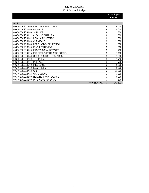| Pool                |                                  |               |
|---------------------|----------------------------------|---------------|
| 006.70.576.20.12.00 | PART TIME EMPLOYEES              | \$<br>70,000  |
| 006.70.576.20.21.00 | <b>BENEFITS</b>                  | \$<br>14,000  |
| 006.70.576.20.31.00 | <b>SUPPLIES</b>                  | \$<br>300     |
| 006.70.576.20.31.22 | <b>CLEANING SUPPLIES</b>         | \$<br>1,000   |
| 006.70.576.20.31.42 | POOL SUPPLIES/REC                | \$<br>1,000   |
| 006.70.576.20.31.43 | <b>CHEMICALS</b>                 | \$<br>11,000  |
| 006.70.576.20.31.46 | LIFEGUARD SUPPLIES/REC           | \$<br>1,000   |
| 006.70.576.20.35.00 | <b>MINOR EOUIPMENT</b>           | \$<br>500     |
| 006.70.576.20.41.00 | PROFESSIONAL SERVICES            | \$<br>200     |
| 006.70.576.20.41.24 | PRE-EMPLOYMENT DRUG SCREEN       | \$<br>1,100   |
| 006.70.576.20.41.40 | <b>CPR CLASS FOR LIFEGUARDS</b>  | \$<br>1,000   |
| 006.70.576.20.42.09 | <b>TELEPHONE</b>                 | \$<br>1,712   |
| 006.70.576.20.42.11 | <b>POSTAGE</b>                   | \$<br>700     |
| 006.70.576.20.46.00 | <b>INSURANCE</b>                 | \$<br>9,000   |
| 006.70.576.20.47.12 | <b>ELECTRICITY</b>               | \$<br>8,000   |
| 006.70.576.20.47.13 | GAS                              | \$<br>13,000  |
| 006.70.576.20.47.14 | <b>WATER/SEWER</b>               | \$<br>3,600   |
| 006.70.576.20.48.00 | <b>REPAIRS &amp; MAINTENANCE</b> | \$<br>5,000   |
| 006.70.576.20.51.00 | INTERGOVERNMENTAL                | \$<br>500     |
|                     | <b>Pool Sub-Total</b>            | \$<br>142,612 |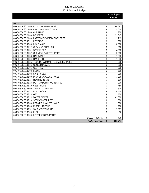**2013 Adopted** 

|                     |                                    | <b>Budget</b> |
|---------------------|------------------------------------|---------------|
|                     |                                    |               |
| Parks               |                                    |               |
| 006.70.576.80.11.00 | <b>FULL TIME EMPLOYEES</b>         | \$<br>60,682  |
| 006.70.576.80.12.00 | PART TIME EMPLOYEES                | \$<br>35,000  |
| 006.70.576.80.13.00 | <b>OVERTIME</b>                    | \$<br>1,700   |
| 006.70.576.80.21.00 | <b>BENEFITS</b>                    | \$<br>21,845  |
| 006.70.576.80.21.00 | PART TIME/OVERTIME BENEFITS        | \$<br>13,212  |
| 006.70.576.80.42.11 | <b>POSTAGE</b>                     | \$<br>1,000   |
| 006.70.576.80.46.00 | <b>INSURANCE</b>                   | \$<br>8,000   |
| 006.70.576.80.31.22 | <b>CLEANING SUPPLIES</b>           | \$<br>800     |
| 006.70.576.80.31.31 | SPRINKLERS                         | \$<br>4,000   |
| 006.70.576.80.31.32 | <b>CHEMICALS &amp; FERTILIZERS</b> | \$<br>3,300   |
| 006.70.576.80.31.33 | HARDWARE                           | \$<br>1,500   |
| 006.70.576.80.31.34 | <b>HAND TOOLS</b>                  | \$<br>1,000   |
| 006.70.576.80.31.35 | TOOL REPAIR/MAINTENANCE SUPPLIES   | \$<br>300     |
| 006.70.576.80.31.36 | <b>COOLER/POWDER PKT</b>           | \$<br>300     |
| 006.70.576.80.36.01 | <b>CLOTHING</b>                    | \$<br>600     |
| 006.70.576.80.36.02 | <b>BOOTS</b>                       | \$<br>150     |
| 006.70.576.80.36.03 | <b>SAFETY GEAR</b>                 | \$<br>200     |
| 006.70.576.80.41.00 | PROFESSIONAL SERVICES              | \$<br>3,700   |
| 006.70.576.80.41.27 | <b>HEARING TESTS</b>               | \$<br>100     |
| 006.70.576.80.41.28 | DOT RANDOM DRUG TESTING            | \$<br>200     |
| 006.70.576.80.42.10 | <b>CELL PHONE</b>                  | \$<br>480     |
| 006.70.576.80.43.00 | <b>TRAVEL &amp; TRAINING</b>       | \$<br>300     |
| 006.70.576.80.47.12 | <b>ELECTRICITY</b>                 | \$<br>6,500   |
| 006.70.576.80.47.13 | GAS                                | \$<br>2,100   |
| 006.70.576.80.47.14 | <b>WATER/SEWER</b>                 | \$<br>62,500  |
| 006.70.576.80.47.29 | <b>STORMWATER FEES</b>             | \$<br>600     |
| 006.70.576.80.48.00 | <b>REPAIRS &amp; MAINTENANCE</b>   | \$<br>1,000   |
| 006.70.576.80.49.00 | <b>MISCELLANEOUS</b>               | \$<br>100     |
| 006.70.576.80.49.51 | SVID ASSESSMENTS                   | \$<br>5,307   |
| 006.70.576.80.32.00 | <b>FUEL</b>                        | \$<br>96      |
| 006.70.576.80.95.00 | <b>INTERFUND PAYMENTS</b>          |               |
|                     | <b>Equipment Rental</b>            | \$<br>145     |
|                     | Parks Sub-Total                    | \$<br>236,717 |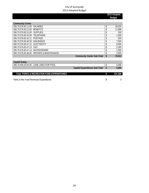| 2013 Adopted  |  |
|---------------|--|
| <b>Budget</b> |  |

| <b>Community Center</b>         |                                           |              |
|---------------------------------|-------------------------------------------|--------------|
| 006.70.576.83.11.00 SALARIES    |                                           | 36,025       |
| 006.70.576.83.21.00 BENEFITS    |                                           | 11,888       |
| 006.70.576.83.31.00 SUPPLIES    |                                           | 300          |
| 006.70.576.83.42.09 TELEPHONE   |                                           | 1,500        |
| 006.70.576.83.42.11 POSTAGE     |                                           | 500          |
| 006.70.576.83.46.00 INSURANCE   |                                           | \$<br>7,500  |
| 006.70.576.83.47.12 ELECTRICITY |                                           | 8,500        |
| 006.70.576.83.47.13 GAS         |                                           | 2,300        |
| 006.70.576.83.47.14 WATER/SEWER |                                           | 1,500        |
|                                 | 006.70.576.83.48.00 REPAIRS & MAINTENANCE | 2,000        |
|                                 | <b>Community Center Sub-Total</b>         | \$<br>72,013 |

| Capital Outlay                             |                                |         |
|--------------------------------------------|--------------------------------|---------|
| 006.70.594.20.64.00 LANE LINES FOR POOL    |                                | 5.000   |
|                                            | Capital Expenditures Sub-Total | 5.000   |
|                                            |                                |         |
| Total PARKS & RECREATION FUND EXPENDITURES |                                | 537.306 |
|                                            |                                |         |

Parks & Rec Fund Revenues-Expenditures **by a strategie of the Contract Contract Contract Contract Contract Contract Contract Contract Contract Contract Contract Contract Contract Contract Contract Contract Contract Contrac**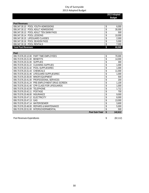|                                                         | 2013 Adopted |               |
|---------------------------------------------------------|--------------|---------------|
|                                                         |              | <b>Budget</b> |
|                                                         |              |               |
| <b>Pool Revenues</b>                                    |              |               |
| 006.347.30.10 POOL YOUTH ADMISSIONS                     | \$           | 6,000         |
| 006.347.30.12<br>POOL ADULT ADMISSIONS                  | \$           | 30,000        |
| 006.347.30.13<br>POOL ADULT TEN SWIM PASS               | \$           | 500           |
| POOL LESSONS<br>006.347.30.14                           | \$           | 10,000        |
| 006.347.30.15<br><b>LIFEGUARD CLASSES</b>               | \$           | 2,000         |
| POOL SEASON PASS<br>006.347.30.16                       | \$           | 5,000         |
| 006.347.30.18 POOL RENTALS                              | \$           | 7,000         |
| <b>Total Pool Revenues</b>                              | \$           | 60,500        |
|                                                         |              |               |
| Pool                                                    |              |               |
| PART TIME EMPLOYEES<br>006.70.576.20.12.00              | \$           | 70,000        |
| 006.70.576.20.21.00<br><b>BENEFITS</b>                  | \$           | 14,000        |
| <b>SUPPLIES</b><br>006.70.576.20.31.00                  | \$           | 300           |
| 006.70.576.20.31.22 CLEANING SUPPLIES                   | \$           | 1,000         |
| 006.70.576.20.31.42 POOL SUPPLIES/REC                   | \$           | 1,000         |
| <b>CHEMICALS</b><br>006.70.576.20.31.43                 | \$           | 11,000        |
| LIFEGUARD SUPPLIES/REC<br>006.70.576.20.31.46           | \$           | 1,000         |
| 006.70.576.20.35.00<br>MINOR EQUIPMENT                  | \$           | 500           |
| PROFESSIONAL SERVICES<br>006.70.576.20.41.00            | \$           | 200           |
| PRE-EMPLOYMENT DRUG SCREEN<br>006.70.576.20.41.24       | \$           | 1,100         |
| CPR CLASS FOR LIFEGUARDS<br>006.70.576.20.41.40         | \$           | 1,000         |
| 006.70.576.20.42.09<br><b>TELEPHONE</b>                 | \$           | 1,712         |
| <b>POSTAGE</b><br>006.70.576.20.42.11                   | \$           | 700           |
| 006.70.576.20.46.00<br><b>INSURANCE</b>                 | \$           | 9,000         |
| <b>ELECTRICITY</b><br>006.70.576.20.47.12               | \$           | 8,000         |
| 006.70.576.20.47.13<br>GAS                              | \$           | 13,000        |
| <b>WATER/SEWER</b><br>006.70.576.20.47.14               | \$           | 3,600         |
| 006.70.576.20.48.00<br><b>REPAIRS &amp; MAINTENANCE</b> | \$           | 5,000         |
| 006.70.576.20.51.00<br>INTERGOVERNMENTAL                | \$           | 500           |
| Pool Sub-Total                                          | \$           | 142,612       |

Pool Revenues-Expenditures (82,112)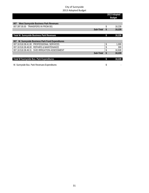|                                                     |           | 2013 Adopted<br><b>Budget</b> |        |
|-----------------------------------------------------|-----------|-------------------------------|--------|
|                                                     |           |                               |        |
| West Sunnyside Business Park Revenues<br>007        |           |                               |        |
| 007.397.00.00 TRANSFERS IN FROM 001                 |           | \$                            | 18,228 |
|                                                     | Sub-Total | \$                            | 18,228 |
|                                                     |           |                               |        |
| Total W. Sunnyside Business Park Revenues           |           | \$                            | 18,228 |
|                                                     |           |                               |        |
| W. Sunnyside Business Park Fund Expenditures<br>007 |           |                               |        |
| 007.18.518.38.41.00 PROFESSIONAL SERVICES           |           | \$                            | 1,000  |
| 007.18.518.38.48.00 REPAIRS & MAINTENANCE           |           |                               | 300    |
| 007.18.518.38.49.31 SVID IRRIGATION ASSESSMENT      |           | \$                            | 16,928 |
|                                                     | Sub-Total | \$                            | 18,228 |
|                                                     |           |                               |        |
| Total W Sunnyside Bus. Park Expenditures            |           | \$                            | 18,228 |
|                                                     |           |                               |        |
| W. Sunnyside Bus. Park Revenues-Expenditures        |           | \$                            |        |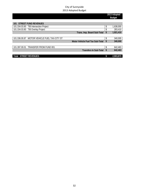|                                              | 2013 Adopted<br><b>Budget</b> |           |
|----------------------------------------------|-------------------------------|-----------|
|                                              |                               |           |
| <b>STREET FUND REVENUES</b><br>101           |                               |           |
| 101.334.03.80 TIB Intersection Project       | \$                            | 1,638,000 |
| 101.334.03.80 TIB Overlay Project            |                               | 283,410   |
| Trans. Imp. Board Sub-Total                  | \$                            | 1,921,410 |
|                                              |                               |           |
| 101.336.00.87 MOTOR VEHICLE FUEL TAX-CITY ST | \$                            | 340,000   |
| <b>Motor Vehicle Fuel Tax Sub-Total</b>      | \$                            | 340,000   |
|                                              |                               |           |
| 101.397.00.01 TRANSFER FROM FUND 001         | \$                            | 642,463   |
| <b>Transfers In Sub-Total</b>                | \$                            | 642,463   |
|                                              |                               |           |
| <b>Total STREET REVENUES</b>                 |                               | 2,903,873 |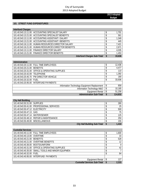**2013 Adopted Budget** 

#### **101 STREET FUND EXPENDITURES**

| <b>Interfund Charges</b> |                                                       |                                    |          |        |
|--------------------------|-------------------------------------------------------|------------------------------------|----------|--------|
|                          | 101.40.543.13.11.00 ACCOUNTING SPECIALIST SALARY      |                                    |          | 1.701  |
|                          | 101.40.543.13.21.00 ACCOUNTING SPECIALIST BENEFITS    |                                    |          | 561    |
|                          | 101.40.543.13.11.00 ACCOUNTING ASSISTANT I SALARY     |                                    |          | 1,349  |
|                          | 101.40.543.13.21.00 ACCOUNTING ASSISTANT I BENEFITS   |                                    |          | 445    |
|                          | 101.40.543.16.11.00 HUMAN RESOURCES DIRECTOR SALARY   |                                    |          | 7,421  |
|                          | 101.40.543.16.21.00 HUMAN RESOURCES DIRECTOR BENEFITS |                                    |          | 2,671  |
|                          | 101.40.543.13.11.00 FINANCE DIRECTOR SALARY           |                                    |          | 4,035  |
|                          | 101.40.543.13.21.00 FINANCE DIRECTOR BENEFITS         |                                    |          | 1,453  |
|                          |                                                       | <b>Interfund Charges Sub-Total</b> | <b>S</b> | 19,636 |

| Administration                                  |    |         |
|-------------------------------------------------|----|---------|
| 101.40.543.20.11.00 FULL TIME EMPLOYEES         | \$ | 12,436  |
| 101.40.543.20.21.00 BENEFITS                    |    | 4,477   |
| 101.40.543.20.31.00 OFFICE & OPERATING SUPPLIES |    | 110     |
| 101.40.543.20.42.09 TELEPHONE                   |    | 1,392   |
| 101.40.543.20.45.70 PW DIRECTOR VEHICLE         |    | 180     |
| 101.40.543.20.32.00 FUEL                        | \$ | 33,936  |
| 101.40.543.20.95.00 INTERFUND PAYMENTS          |    |         |
| Information Technology Equipment Replacement    | \$ | 858     |
| Information Technology M&O                      | \$ | 10,185  |
| <b>Equipment Rental</b>                         | S  | 51,258  |
| <b>Administration Sub-Total</b>                 | S  | 114,832 |

| <b>City Hall Building</b>         |                                           |                                     |       |
|-----------------------------------|-------------------------------------------|-------------------------------------|-------|
| 101.40.543.50.31.00 SUPPLIES      |                                           |                                     | 280   |
|                                   | 101.40.543.50.41.00 PROFESSIONAL SERVICES |                                     | 25    |
| 101.40.543.50.47.12 ELECTRICITY   |                                           |                                     | 500   |
| 101.40.543.50.47.13 GAS           |                                           |                                     | 75    |
| 101.40.543.50.47.14 WATER/SEWER   |                                           |                                     | 125   |
|                                   | 101.40.543.50.48.10 REPAIR & MAINTENANCE  |                                     | 250   |
| 101.40.543.50.49.00 MISCELLANEOUS |                                           |                                     | 155   |
|                                   |                                           | <b>City Hall Building Sub-Total</b> | 1,410 |

| <b>Custodial Services</b>         |                                                    |                                     |   |       |
|-----------------------------------|----------------------------------------------------|-------------------------------------|---|-------|
|                                   | 101.40.543.40.11.00 FULL TIME EMPLOYEES            |                                     |   | 1,600 |
| 101.40.543.40.13.00 OVERTIME      |                                                    |                                     |   | 33    |
| 101.40.543.40.21.00 BENEFITS      |                                                    |                                     |   | 528   |
|                                   | 101.40.543.40.21.00 OVERTIME BENEFITS              |                                     |   | 12    |
| 101.40.543.40.36.00 BOOTS/UNIFORM |                                                    |                                     |   | 9     |
|                                   | 101.40.543.40.31.00 OFFICE & OPERATING SUPPLIES    |                                     |   | 42    |
|                                   | 101.40.543.40.35.00 SMALL TOOLS AND MINOR EQUIPMEN |                                     |   |       |
| 101.40.543.40.32.00 FUEL          |                                                    |                                     |   | 84    |
|                                   | 101.40.543.40.95.00 INTERFUND PAYMENTS             |                                     |   |       |
|                                   |                                                    | <b>Equipment Rental</b>             |   | 127   |
|                                   |                                                    | <b>Custodial Services Sub-Total</b> | S | 2,315 |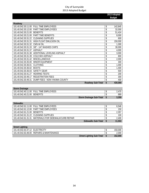|                     |                               | 2013 Adopted<br><b>Budget</b> |
|---------------------|-------------------------------|-------------------------------|
|                     |                               |                               |
| Roadway             |                               |                               |
| 101.40.542.30.11.00 | FULL TIME EMPLOYEES           | \$<br>142,845                 |
| 101.40.542.30.12.00 | <b>PART TIME EMPLOYEES</b>    | \$<br>32,000                  |
| 101.40.542.30.21.00 | <b>BENEFITS</b>               | \$<br>51,424                  |
| 101.40.542.30.21.00 | <b>PART TIME BENEFITS</b>     | \$<br>8,000                   |
| 101.40.542.30.31.22 | <b>CLEANING SUPPLIES</b>      | \$<br>600                     |
| 101.40.542.30.31.31 | HIGH FLOAT EMULSION OIL       | \$<br>150,000                 |
| 101.40.542.30.31.32 | CMS-W OIL                     | \$<br>1,300                   |
| 101.40.542.30.31.33 | 3/8" - 1/4" WASHED CHIPS      | \$<br>30,000                  |
| 101.40.542.30.31.37 | <b>ASPHALT</b>                | \$<br>4,000                   |
| 101.40.542.30.31.38 | ADDITIONAL LEVELING ASPHALT   | \$<br>3,000                   |
| 101.40.542.30.31.39 | <b>COLD MIX ASPHALT</b>       | \$<br>800                     |
| 101.40.542.30.31.42 | <b>MISCELLANEOUS</b>          | \$<br>2,000                   |
| 101.40.542.30.35.00 | <b>MINOR EQUIPMENT</b>        | \$<br>300                     |
| 101.40.542.30.36.01 | <b>CLOTHING</b>               | \$<br>1,000                   |
| 101.40.542.30.36.02 | <b>BOOTS</b>                  | \$<br>1,400                   |
| 101.40.542.30.36.03 | <b>SAFETY GEAR</b>            | \$<br>500                     |
| 101.40.542.30.41.27 | <b>HEARING TESTS</b>          | \$<br>200                     |
| 101.40.542.30.49.17 | <b>REGISTRATION FEES</b>      | \$<br>300                     |
| 101.40.542.30.49.31 | DUMP FEES - NON-YAKIMA COUNTY | \$<br>400                     |
|                     | Roadway Sub-Total             | \$<br>430,069                 |

| <b>Storm Drainage</b>                   |                                 |       |
|-----------------------------------------|---------------------------------|-------|
| 101.40.542.40.11.00 FULL TIME EMPLOYEES |                                 |       |
| 101.40.542.40.21.00 BENEFITS            |                                 | 889   |
|                                         | <b>Storm Drainage Sub-Total</b> | 3,359 |

| <b>Sidewalks</b>             |                                                        |                     |                  |
|------------------------------|--------------------------------------------------------|---------------------|------------------|
|                              | 101.40.542.61.11.00 FULL TIME EMPLOYEES                |                     | 6.546            |
|                              | 101.40.542.61.12.00 PART TIME FMPLOYEES                |                     | 150              |
| 101 40 542 61 21 00 BENEFITS |                                                        |                     | 2.357            |
|                              | 101.40.542.61.31.22 CLEANING SUPPLIES                  |                     | 100 <sub>1</sub> |
|                              | 101.40.542.61.31.31 MATERIALS FOR SIDEWALK/CURB REPAIR |                     | 2,400            |
|                              |                                                        | Sidewalks Sub-Total | 11.553           |

| <b>Street Lighting</b>                    |                                  |  |         |
|-------------------------------------------|----------------------------------|--|---------|
| 101.40.542.63.47.12 ELECTRICITY           |                                  |  | 150,000 |
| 101.40.542.63.48.00 REPAIRS & MAINTENANCE |                                  |  | 2,000   |
|                                           | <b>Street Lighting Sub-Total</b> |  | 152,000 |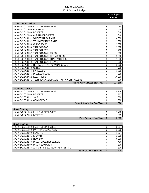| <b>Traffic Control Devices</b> |                                          |               |
|--------------------------------|------------------------------------------|---------------|
| 101.40.542.64.11.00            | <b>FULL TIME EMPLOYEES</b>               | \$<br>32,080  |
| 101.40.542.64.13.00            | <b>OVERTIME</b>                          | \$<br>1,500   |
| 101.40.542.64.21.00            | <b>BENEFITS</b>                          | \$<br>11,549  |
| 101.40.542.64.21.00            | <b>OVERTIME BENEFITS</b>                 | \$<br>540     |
| 101.40.542.64.31.31            | <b>WHITE TRAFFIC PAINT</b>               | \$<br>10,000  |
| 101.40.542.64.31.32            | YELLOW TRAFFIC PAINT                     | \$<br>12,500  |
| 101.40.542.64.31.33            | <b>GLASS BEADS</b>                       | \$<br>2,500   |
| 101.40.542.64.31.34            | <b>TRAFFIC SIGNS</b>                     | \$<br>2,500   |
| 101.40.542.64.31.35            | <b>TRAFFIC POST</b>                      | \$<br>1,200   |
| 101.40.542.64.31.37            | TRAFFIC SIGNAL BULBS                     | \$<br>500     |
| 101.40.542.64.31.38            | TRAFFIC SIGNAL PED MODULES               | \$<br>2,500   |
| 101.40.542.64.31.39            | TRAFFIC SIGNAL LOAD SWITCHES             | \$<br>1,800   |
| 101.40.542.64.31.40            | TRAFFIC SIGNAL RELAYS                    | \$<br>600     |
| 101.40.542.64.31.41            | HOT TAPE (TRAFFIC MARKING TAPE)          | \$<br>2,000   |
| 101.40.542.64.31.42            | CONES                                    | \$<br>700     |
| 101.40.542.64.31.44            | <b>BARICADES</b>                         | \$<br>1,000   |
| 101.40.542.64.31.45            | <b>MISCELLANEOUS</b>                     | \$<br>600     |
| 101.40.542.64.47.12            | <b>ELECTRICITY</b>                       | \$<br>30,000  |
| 101.40.542.64.48.31            | TECHNICAL ASSISTANCE-TRAFFIC CONTROLLERS | \$<br>300     |
|                                | <b>Traffic Control Devices Sub-Total</b> | \$<br>114,369 |

| Snow & Ice Control              |                                         |        |
|---------------------------------|-----------------------------------------|--------|
|                                 | 101.40.542.66.11.00 FULL TIME EMPLOYEES | 4,909  |
| 101.40.542.66.21.00 BENEFITS    |                                         | 1,767  |
| 101.40.542.66.31.32 SALT        |                                         | 2,000  |
| 101.40.542.66.31.33 GEO-MELT CT |                                         | 3,000  |
|                                 | <b>Snow &amp; Ice Control Sub-Total</b> | 11.676 |

| <b>Street Cleaning</b>                  |                                  |       |
|-----------------------------------------|----------------------------------|-------|
| 101.40.542.67.11.00 FULL TIME EMPLOYEES |                                  | $-4'$ |
| 101.40.542.67.21.00 BENEFITS            |                                  | 889   |
|                                         | <b>Street Cleaning Sub-Total</b> | 3.359 |

| <b>Street Cleaning</b>                               |        |
|------------------------------------------------------|--------|
| 101.40.542.70.11.00 FULL TIME EMPLOYEES              | 5.094  |
| 101.40.542.70.12.00 PART TIME EMPLOYEES              | 2,000  |
| 101.40.542.70.21.00 BENEFITS                         | 1,834  |
| 101.40.542.70.31.31 KROVAR                           | 2,200  |
| 101.40.542.70.31.32 ROUND-UP                         | 9,000  |
| 101.40.542.70.31.33 MISC, TOOLS, HOSES, ECT.         | 400    |
| 101.40.542.70.35.00 MINOR EQUIPMENT                  | 300    |
| 101.40.542.70.48.33 ANNUAL FIRE EXTINGUISHER TESTING | 300    |
| <b>Street Cleaning Sub-Total</b>                     | 21,128 |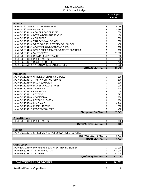**2013 Adopted Budget** 

| Roadside            |                                                   |     |        |
|---------------------|---------------------------------------------------|-----|--------|
|                     | 101.40.542.90.11.00 FULL TIME EMPLOYEES           | \$  | 26,099 |
| 101.40.542.90.21.00 | <b>BENEFITS</b>                                   | \$  | 9,396  |
|                     | 101.40.542.90.31.38 COOLER/POWDER PCKTS           | \$  | 500    |
| 101.40.542.90.41.28 | DOT RANDOM DRUG TESTING                           | \$  | 400    |
| 101.40.542.90.42.10 | <b>CELL PHONE</b>                                 | \$  | 1,000  |
|                     | 101.40.542.90.43.33 TRAFFIC SIGNAL SCHOOL         | \$  | 1,000  |
| 101.40.542.90.43.34 | WEED CONTROL CERTIFICATION SCHOOL                 | \$  | 450    |
| 101.40.542.90.44.32 | ADVERTISING BID-SEALCOAT CHIPS                    | \$  | 100    |
| 101.40.542.90.44.33 | SPCL NOTICES RELATED TO STREET CLOSURES           | \$  | 100    |
| 101.40.542.90.47.14 | <b>WATER/SEWER</b>                                | \$  | 17,500 |
| 101.40.542.90.48.00 | <b>REPAIRS &amp; MAINTENANCE</b>                  | \$  | 300    |
| 101.40.542.90.49.00 | <b>MISCELLANEOUS</b>                              | \$  | 300    |
| 101.40.542.90.49.17 | <b>REGISTRATION FEES</b>                          | \$  | 400    |
|                     | 101.40.542.90.51.00 YAK CO SANITARY LANDFILL FEES | \$  | 1,000  |
|                     | Roadside Sub-Total                                | \$. | 58,545 |

| Management                        |                                                 |    |        |
|-----------------------------------|-------------------------------------------------|----|--------|
|                                   | 101.40.543.10.31.00 OFFICE & OPERATING SUPPLIES | ¢  | 100    |
|                                   | 101.40.543.10.31.31 TRAFFIC CONTROL REPAIRS     |    | 500    |
|                                   | 101.40.543.10.35.00 MINOR EQUIPMENT             | \$ | 100    |
|                                   | 101.40.543.10.41.00 PROFESSIONAL SERVICES       |    | 900    |
| 101.40.543.10.42.09 TELEPHONE     |                                                 |    | 4,400  |
| 101.40.543.10.42.10 CELL PHONE    |                                                 |    | 400    |
| 101.40.543.10.42.11 POSTAGE       |                                                 |    | 895    |
| 101.40.543.10.44.00 ADVERTISING   |                                                 |    | 100    |
|                                   | 101.40.543.10.45.00 RENTALS & LEASES            |    | 100    |
| 101.40.543.10.46.00 INSURANCE     |                                                 | \$ | 8,746  |
| 101.40.543.10.49.00 MISCELLANEOUS |                                                 |    | 1,000  |
|                                   | 101.40.543.10.49.17 REGISTRATION FEES           |    | 400    |
|                                   | <b>Management Sub-Total</b>                     | \$ | 17,641 |

| <b>General Services</b>           |     |
|-----------------------------------|-----|
| 101.40.543.30.49.00 MISCELLANEOUS | 100 |
| <b>General Services Sub-Total</b> | 100 |

| <b>Facilities</b>                                            |            |
|--------------------------------------------------------------|------------|
| 101.40.543.50.95.31 STREET'S SHARE- PUBLIC WORKS SER EXPENSE |            |
| Public Works Service Center                                  | $8.47^{4}$ |
| <b>Facilities Sub-Total</b>                                  | 8.471      |

| Capital Outlay                    |                                                           |                          |           |
|-----------------------------------|-----------------------------------------------------------|--------------------------|-----------|
|                                   | 101.40.594.42.64.00 MACHINERY & EOUIPMENT TRAFFIC SIGNALS |                          | 12.000    |
|                                   | 101.40.595.30.65.33 TIB - INTERSECTION                    |                          | 1.638.000 |
| 101.40.595.30.65.34 TIB - OVERLAY |                                                           |                          | 283,410   |
|                                   |                                                           | Capital Outlay Sub-Total | 1.933.410 |
|                                   |                                                           |                          |           |

| <b>Total STREET FUND EXPENDITURES</b> | 2.903.873 |
|---------------------------------------|-----------|
| Street Fund Revenues-Expenditures     |           |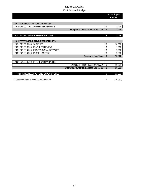|                                                 |                                              | 2013 Adopted<br><b>Budget</b> |
|-------------------------------------------------|----------------------------------------------|-------------------------------|
|                                                 |                                              |                               |
| <b>INVESTIGATIVE FUND REVENUES</b><br>120       |                                              |                               |
| 120.356.50.00 DRUG FUND ASSESSMENTS             | \$                                           | 2,000                         |
|                                                 | <b>Drug Fund Assessments Sub-Total</b><br>\$ | 2,000                         |
|                                                 |                                              |                               |
| <b>INVESTIGATIVE FUND REVENUES</b><br>Total     | \$                                           | 2,000                         |
|                                                 |                                              |                               |
| <b>INVESTIGATIVE FUND EXPENDITURES</b><br>120   |                                              |                               |
| 120.21.521.30.31.00<br><b>SUPPLIES</b>          | \$                                           | 10,000                        |
| 120.21.521.30.35.00 MINOR EQUIPMENT             | \$                                           | 1,000                         |
| 120.21.521.30.41.00 PROFESSIONAL SERVICES       | \$                                           | 2,000                         |
| 120.21.521.30.49.00 MISCELLANEOUS               | \$                                           | 2,000                         |
|                                                 | \$<br><b>Operating Sub-Total</b>             | 15,000                        |
|                                                 |                                              |                               |
| 120.21.521.30.95.00<br>INTERFUND PAYMENTS       |                                              |                               |
|                                                 | \$<br>Equipment Rental - Lease Payments      | 16,931                        |
| Interfund Payments & Leases Sub-Total           | \$                                           | 16,931                        |
|                                                 |                                              |                               |
| Total INVESTIGATIVE FUND EXPENDITURES           | \$                                           | 31,931                        |
| <b>Investigative Fund Revenues-Expenditures</b> | \$                                           | (29, 931)                     |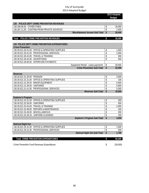|                                                                              |                          | 2013 Adopted<br><b>Budget</b> |
|------------------------------------------------------------------------------|--------------------------|-------------------------------|
|                                                                              |                          |                               |
| POLICE DEPT CRIME PREVENTION REVENUES<br>130                                 |                          |                               |
| 130.356.90.00 OTHER FINES                                                    | \$                       | 26,000                        |
| 130.367.11.00 CONTRIB FROM PRIVATE SOURCES<br>Miscellaneous Income Sub-Total | \$<br>\$                 | 2,400<br>28,400               |
|                                                                              |                          |                               |
| POLICE CRIME PREVENTION REVENUES<br><b>Total</b>                             | \$                       | 28,400                        |
| 130 POLICE DEPT CRIME PREVENTION EXPENDITURES                                |                          |                               |
| <b>Crime Prevention</b>                                                      |                          |                               |
| 130.30.521.30.31.00<br><b>OFFICE &amp; OPERATING SUPPLIES</b>                | \$                       | 1,000                         |
| 130.30.521.30.41.00 PROFESSIONAL SERVICES                                    | \$                       | 2,000                         |
| 130.30.521.30.43.00 TRAVEL & TRAINING                                        | \$                       | 500                           |
| 130.30.521.30.44.00 ADVERTISING                                              | \$                       | 500                           |
| 130.30.521.30.95.00<br><b>INTERFUND PAYMENTS</b>                             |                          |                               |
| Equipment Rental - Lease payments                                            | \$                       | 28,000                        |
| <b>Crime Prevention Sub-Total</b>                                            | $\overline{\mathbf{S}}$  | 32,000                        |
|                                                                              |                          |                               |
| <b>Reserves</b>                                                              |                          |                               |
| 130.30.521.31.26.00 PENSION                                                  | \$                       | 3,500                         |
| 130.30.521.31.31.00 OFFICE & OPERATING SUPPLIES                              | \$                       | 100                           |
| 130.30.521.31.35.00 MINOR EQUIPMENT                                          | \$                       | 5,000                         |
| 130.30.521.31.36.00 UNIFORMS                                                 | \$                       | 5,900                         |
| PROFESSIONAL SERVICES<br>130.30.521.31.41.00                                 | \$                       | 5,000                         |
| Reserves Sub-Total                                                           | $\overline{\mathsf{s}}$  | 19,500                        |
| <b>Explorer's Program</b>                                                    |                          |                               |
| 130.30.521.32.31.00 OFFICE & OPERATING SUPPLIES                              | \$                       | 300                           |
| 130.30.521.32.36.00 UNIFORMS                                                 | \$                       | 500                           |
| 130.30.521.32.43.00 TRAVEL & TRAINING                                        | \$                       | 2,000                         |
| 130.30.521.32.48.00 REPAIRS & MAINTENANCE                                    | \$                       | 100                           |
| MISCELLANEOUS<br>130.30.521.32.49.00                                         | \$                       | 200                           |
| 130.30.521.32.49.18 UNIFORM CLEANING                                         | $\overline{\mathcal{L}}$ | 100                           |
| Explorer's Program Sub-Total                                                 | \$                       | 3,200                         |
|                                                                              |                          |                               |
| <b>National Night Out</b>                                                    |                          |                               |
| 130.30.521.35.31.00 OFFICE & OPERATING SUPPLIES                              | \$                       | 1,500                         |
| 130.30.521.35.41.00<br>PROFESSIONAL SERVICES                                 | \$                       | 200                           |
| <b>National Night Out Sub-Total</b>                                          | \$                       | 1,700                         |
|                                                                              |                          |                               |
| <b>Total CRIME PREVENTION EXPENDITURES</b>                                   | \$                       | 56,400                        |

Crime Prevention Fund Revenues-Expenditures (28,000)  $(28,000)$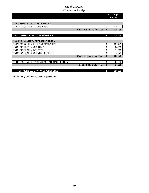| <b>Budget</b><br><b>PUBLIC SAFETY TAX REVENUES</b><br>140<br>140.313.73.00 PUBLIC SAFETY TAX<br>\$<br><b>Public Safety Tax Sub-Total</b><br>\$<br>PUBLIC SAFETY TAX REVENUES<br>\$<br>PUBLIC SAFETY TAX EXPENDITURES<br>140<br><b>FULL TIME EMPLOYEES</b><br>\$<br>140.21.521.22.11.00 | 2013 Adopted |
|----------------------------------------------------------------------------------------------------------------------------------------------------------------------------------------------------------------------------------------------------------------------------------------|--------------|
| <b>TotaL</b>                                                                                                                                                                                                                                                                           |              |
|                                                                                                                                                                                                                                                                                        |              |
|                                                                                                                                                                                                                                                                                        |              |
|                                                                                                                                                                                                                                                                                        | 330,000      |
|                                                                                                                                                                                                                                                                                        | 330,000      |
|                                                                                                                                                                                                                                                                                        |              |
|                                                                                                                                                                                                                                                                                        | 330,000      |
|                                                                                                                                                                                                                                                                                        |              |
|                                                                                                                                                                                                                                                                                        |              |
|                                                                                                                                                                                                                                                                                        | 202,743      |
| 140.21.521.22.13.00<br><b>OVERTIME</b><br>\$                                                                                                                                                                                                                                           | 24,000       |
| 140.21.521.22.21.00<br>\$<br><b>BENEFITS</b>                                                                                                                                                                                                                                           | 72,990       |
| 140.21.521.22.21.00<br><b>OVERTIME BENEFITS</b><br>\$                                                                                                                                                                                                                                  | 8,640        |
| \$<br><b>Police Personnel Sub-Total</b>                                                                                                                                                                                                                                                | 308,373      |
|                                                                                                                                                                                                                                                                                        |              |
| 140.21.539.30.51.00 YAKIMA COUNTY HUMANE SOCIETY<br>\$                                                                                                                                                                                                                                 | 21,600       |
| \$<br><b>Humane Society Sub-Total</b>                                                                                                                                                                                                                                                  | 21,600       |
|                                                                                                                                                                                                                                                                                        |              |
| Total PUBLIC SAFETY TAX EXPENDITURES<br>\$                                                                                                                                                                                                                                             | 329,973      |
|                                                                                                                                                                                                                                                                                        |              |

Public Safety Tax Fund Revenues-Expenditures 27 by the state of the state  $\frac{1}{27}$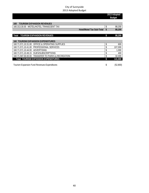|                                                               | 2013 Adopted<br><b>Budget</b> |          |
|---------------------------------------------------------------|-------------------------------|----------|
|                                                               |                               |          |
| <b>TOURISM EXPANSION REVENUES</b><br>160                      |                               |          |
| 160.313.30.00 MOTEL/HOTEL TRANSCIENT TAX                      | \$                            | 88,200   |
| <b>Hotel/Motel Tax Sub-Total</b>                              |                               | 88,200   |
|                                                               |                               |          |
| <b>TOURISM EXPANSION REVENUES</b><br>Total                    | \$                            | 88,200   |
|                                                               |                               |          |
| <b>160 TOURISM EXPANSION EXPENDITURES</b>                     |                               |          |
| <b>OFFICE &amp; OPERATING SUPPLIES</b><br>160.71.571.10.31.00 | \$                            | 600      |
| PROFESSIONAL SERVICES<br>160.71.571.10.41.00                  | \$                            | 107,000  |
| 160.71.571.10.44.00 ADVERTISING                               | \$                            | 1,000    |
| <b>DUES/SUBSCRIPTIONS</b><br>160.71.571.10.49.15              | \$                            | 400      |
| TRANSFER TO PARKS & RECREATION<br>160.71.597.00.00.00         |                               | 32,000   |
| <b>Total TOURISM EXPANSION EXPENDITURES</b>                   | \$                            | 141,000  |
|                                                               |                               |          |
| Tourism Expansion Fund Revenues-Expenditures                  | \$                            | (52,800) |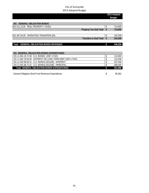|                                                            |      | 2013 Adopted<br><b>Budget</b> |
|------------------------------------------------------------|------|-------------------------------|
|                                                            |      |                               |
| <b>GENERAL OBLIGATION BONDS</b><br>201                     |      |                               |
| 201.311.10.00 REAL PROPERTY TAXES                          |      | 714,000                       |
| <b>Property Tax Sub-Total</b>                              | - \$ | 714,000                       |
|                                                            |      |                               |
| 201.397.00.00 OPERATING TRANSFERS (IN)                     | \$   | 234,258                       |
| <b>Transfers In Sub-Total</b>                              | S.   | 234,258                       |
|                                                            |      |                               |
| <b>GENERAL OBLIGATION BONDS REVENUES</b><br>Total          | \$   | 948,258                       |
|                                                            |      |                               |
|                                                            |      |                               |
| <b>201 GENERAL OBLIGATION BONDS EXPENDITURES</b>           |      |                               |
| 201.11.591.19.71.00 G.O. BONDS (2007 LTGO)                 | \$   | 115,000                       |
| 201.11.592.19.83.00 INTEREST ON LONG TERM DEBT (2007 LTGO) |      | 119,258                       |

| <u>ZVI.II.VZ.IZ.VV.VV TIVILINLYT VIVEVINY TERIII DEDI IZVVI ETYYT</u> | 11/200   |
|-----------------------------------------------------------------------|----------|
| 201.11.592.98.83.01 G.O. BONDS (2012AB) - INTEREST                    | 257.639  |
| 201.11.591.98.71.01 G.O. BONDS (2012AB) - PRINCIPAL                   | 360,000  |
| Total GENERAL OBLIGATION BONDS EXPENDITURES                           | .851.896 |

General Obligation Bond Fund Revenues-Expenditures and the state of the state of the 96,362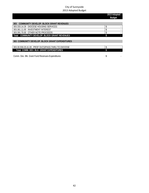|                                                       | 2013 Adopted<br><b>Budget</b> |
|-------------------------------------------------------|-------------------------------|
|                                                       |                               |
| <b>COMMUNITY DEVELOP. BLOCK GRANT REVENUES</b><br>303 |                               |
| 303.333.14.29 DIOCESE HOUSING SERVICES                |                               |
| 303.361.11.00 INVESTMENT INTEREST                     |                               |
| 303.391.70.00 OTHER NOTE PROCEEDS                     |                               |
| Total COMMUNITY DEVELOP. BLOCK GRANT REVENUES         |                               |
|                                                       |                               |
| 303 COMMUNITY DEVELOP, BLOCK GRANT EXPENDITURES       |                               |
|                                                       |                               |
| 303.30.559.20.41.00 PROF SVCS/PASS THRU TO DIOCESE    |                               |
| Total COMM. DEV. BLK. GRANT EXPENDITURES              |                               |
|                                                       |                               |
| Comm. Dev. Blk. Grant Fund Revenues-Expenditures      | đ                             |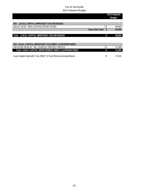| 2013 Adopted<br><b>Budget</b> |        |
|-------------------------------|--------|
|                               |        |
|                               |        |
| \$                            | 49,000 |
|                               | 49,000 |
|                               |        |
| \$                            | 49,000 |
|                               |        |
|                               |        |
|                               |        |
| \$                            | 31,490 |
|                               | 31,490 |
|                               |        |
| \$                            | 17,510 |
|                               |        |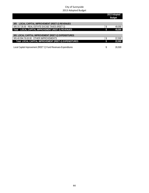|                                                               | 2013 Adopted<br><b>Budget</b> |        |
|---------------------------------------------------------------|-------------------------------|--------|
|                                                               |                               |        |
| LOCAL CAPITAL IMPROVEMENT (REET-2) REVENUES<br>305            |                               |        |
| 305.317.35.00 REAL ESTATE EXCISE TAXES (REET-2)               |                               | 49,000 |
| Total LOCAL CAPITAL IMPROVEMENT (REET-2) REVENUES             |                               | 49,000 |
|                                                               |                               |        |
| 305 LOCAL CAPITAL IMPROVEMENT (REET-2) EXPENDITURES           |                               |        |
| 305.40.594.76.63.00 OTHER IMPROVEMENTS                        |                               | 22,500 |
| Total LOCAL CAPITAL IMPROVEMENT (REET-2) EXPENDITURES         |                               | 22,500 |
|                                                               |                               |        |
| Local Capital Improvement (REET 2) Fund Revenues-Expenditures |                               | 26,500 |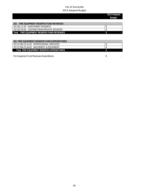|                                               | 2013 Adopted<br><b>Budget</b> |
|-----------------------------------------------|-------------------------------|
|                                               |                               |
| FIRE EQUIPMENT RESERVE FUND REVENUES<br>322   |                               |
| 322.361.11.00 INVESTMENT INTEREST             |                               |
| 322.367.00.00 CONTRIB FROM PRIVATE SOURCES    |                               |
| FIRE EQUIPMENT RESERVE FUND REVENUES<br>Total |                               |
|                                               |                               |

| 322 FIRE EQUIPMENT RESERVE FUND EXPENDITURES |  |  |  |
|----------------------------------------------|--|--|--|
| 322.22.594.22.41.00 PROFESSIONAL SERVICES    |  |  |  |
| 322.22.594.22.64.00 MACHINERY & EOUIPMENT    |  |  |  |
| Total FIRE EQUIPMENT RESERVE EXPENDITURES    |  |  |  |

Fire Equipment Fund Revenues-Expenditures -  $\$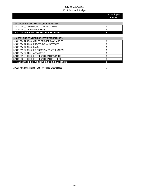|                                                     | 2013 Adopted<br><b>Budget</b> |
|-----------------------------------------------------|-------------------------------|
|                                                     |                               |
| 323 2011 FIRE STATION PROJECT REVENUES              |                               |
| 323.381.00.00 INTERFUND LOAN PROCEEDS               | \$                            |
| 323.391.00.00 BOND PROCEEDS                         |                               |
| Total 2011 FIRE STATION PROJECT REVENUES            |                               |
|                                                     |                               |
| 323 2011 FIRE STATION PROJECT EXPENDITURES          |                               |
| 323.02.594.22.40.00 OTHER SERVICES & CHARGES        | \$                            |
| <b>PROFESSIONAL SERVICES</b><br>323.02.594.22.41.00 |                               |
| 323.02.594.22.61.00<br>I AND                        |                               |
| 323.02.595.22.65.00 FIRE STATION CONSTRUCTION       | \$                            |
| 323.02.594.22.64.01<br>APPARATUS                    |                               |
| INTERFUND LOAN PAYMENT<br>323.02.581.20.00.00       |                               |
| INTERFUND LOAN INTEREST<br>323.02.592.80.00.00      |                               |
| <b>Total 2011 FIRE STATION PROJECT EXPENDITURES</b> |                               |

2011 Fire Station Project Fund Revenues-Expenditures -  $\frac{1}{2}$  sets and station  $\frac{1}{2}$  sets and station Project Fund Revenues-Expenditures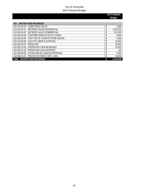**2013 Adopted Budget** 

| <b>WATER FUND REVENUES</b><br>410            |                 |
|----------------------------------------------|-----------------|
| 410.343.40.19 UNMETERED SALES                | \$<br>3,000     |
| METERED SALES-RESIDENTIAL<br>410.343.40.21   | \$<br>1,519,250 |
| METERED SALES-COMMERCIAL<br>410.343.40.22    | \$<br>611,820   |
| 410.343.40.94 CONTRIBUTIONS IN AID OF CONST  | \$<br>5,000     |
| 410.343.40.95 CONT AID OF CONST/FUTURE WATER | \$<br>5,000     |
| 410.343.40.96 SALE OF LABOR & SUPPLIES       | \$<br>15,000    |
| 410.343.40.97 PENALTIES                      | \$<br>25,000    |
| INTERFUND LOAN REVENUES<br>410.369.10.00     | \$<br>20,825    |
| INTERFUND LOAN INTEREST<br>410.366.10.00     | \$<br>133       |
| 410.369.90.00 OTHER MISCELLANEOUS REVENUE    | \$<br>3,000     |
| 410.389.10.01 PRIVATE PAYMENT-SIED LOAN      | \$<br>35,000    |
| <b>WATER FUND REVENUES</b><br>Total          | 2,243,028       |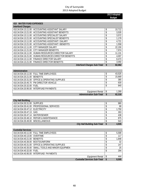|                                                               |                                                 |                                    | 2013 Adopted<br><b>Budget</b> |        |
|---------------------------------------------------------------|-------------------------------------------------|------------------------------------|-------------------------------|--------|
|                                                               |                                                 |                                    |                               |        |
| <b>WATER FUND EXPENSES</b><br>410<br><b>Interfund Charges</b> |                                                 |                                    |                               |        |
|                                                               | 410.34.534.13.11.00 ACCOUNTING ASSISTANT SALARY |                                    | \$                            | 10,712 |
| 410.34.534.13.21.00                                           | ACCOUNTING ASSISTANT BENEFITS                   |                                    | \$                            | 3,535  |
| 410.34.534.13.11.00                                           | ACCOUNTING SPECIALIST SALARY                    |                                    | \$                            | 3,572  |
| 410.34.534.13.21.00                                           | ACCOUNTING SPECIALIST BENEFITS                  |                                    | \$                            | 1,179  |
| 410.34.534.13.11.00                                           | ACCOUNTING ASSISTANT I SALARY                   |                                    | \$                            | 4,721  |
| 410.34.534.13.21.00                                           | ACCOUNTING ASSISTANT I BENEFITS                 |                                    | \$                            | 1,558  |
| 410.34.534.12.11.00                                           | CITY MANAGER SALARY                             |                                    | \$                            | 22,150 |
| 410.34.534.12.21.00                                           | CITY MANAGER BENEFITS                           |                                    | \$                            | 7,974  |
| 410.34.534.16.11.00                                           | HUMAN RESOURCES DIRECTOR SALARY                 |                                    | \$                            | 11,131 |
| 410.34.534.16.21.00                                           | HUMAN RESOURCES DIRECTOR BENEFITS               |                                    | \$                            | 4,007  |
| 410.34.534.13.11.00                                           | <b>FINANCE DIRECTOR SALARY</b>                  |                                    | \$                            | 8,473  |
|                                                               | 410.34.534.13.21.00 FINANCE DIRECTOR BENEFITS   |                                    | \$                            | 3,050  |
|                                                               |                                                 | <b>Interfund Charges Sub-Total</b> | \$                            | 82,062 |

| Administration               |                                                 |        |
|------------------------------|-------------------------------------------------|--------|
|                              | 410.34.534.20.11.00 FULL TIME EMPLOYEES         | 43,525 |
| 410.34.534.20.21.00 BENEFITS |                                                 | 15,669 |
|                              | 410.34.534.20.31.00 OFFICE & OPERATING SUPPLIES | 385    |
|                              | 410.34.534.20.45.70 PW DIRECTOR VEHICLE         | 630    |
| 410.34.534.20.32.00 FUEL     |                                                 | 840    |
|                              | 410.34.534.20.95.00 INTERFUND PAYMENTS          |        |
|                              | Equipment Rental                                | 1,269  |
|                              | <b>Administration Sub-Total</b>                 | 62,318 |

| <b>City Hall Building</b>         |                                           |       |
|-----------------------------------|-------------------------------------------|-------|
| 410.34.534.30.31.00 SUPPLIES      |                                           | 980   |
|                                   | 410.34.534.30.41.00 PROFESSIONAL SERVICES | 88    |
| 410.34.534.30.47.12 ELECTRICITY   |                                           | 1,750 |
| 410.34.534.30.47.13 GAS           |                                           | 263   |
| 410.34.534.30.47.14 WATER/SEWER   |                                           | 438   |
|                                   | 410.34.534.30.48.10 REPAIR & MAINTENANCE  | 875   |
| 410.34.534.30.49.00 MISCELLANEOUS |                                           | 543   |
|                                   | <b>City Hall Building Sub-Total</b>       | 4,935 |

| <b>Custodial Services</b>         |                                                    |                                     |       |
|-----------------------------------|----------------------------------------------------|-------------------------------------|-------|
|                                   | 410.34.534.40.11.00 FULL TIME EMPLOYEES            |                                     | 5.599 |
| 410.34.534.40.13.00 OVERTIME      |                                                    |                                     | 117   |
| 410.34.534.40.21.00 BENEFITS      |                                                    |                                     | 1,848 |
| 410.34.534.40.36.00 BOOTS/UNIFORM |                                                    |                                     | 32    |
|                                   | 410.34.534.40.31.00 OFFICE & OPERATING SUPPLIES    |                                     | 147   |
|                                   | 410.34.534.40.35.00 SMALL TOOLS AND MINOR EQUIPMEN |                                     | 25    |
| 410.34.534.40.32.00 FUEL          |                                                    |                                     | 294   |
|                                   | 410.34.534.40.95.00 INTERFUND PAYMENTS             |                                     |       |
|                                   |                                                    | Equipment Rental                    | 444   |
|                                   |                                                    | <b>Custodial Services Sub-Total</b> | 8,505 |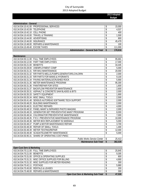**2013 Adopted Budget** 

| <b>Administration - General</b>           |                                           |    |         |
|-------------------------------------------|-------------------------------------------|----|---------|
| 410.34.534.10.41.00 PROFESSIONAL SERVICES |                                           |    | 15,000  |
| 410.34.534.10.42.09 TELEPHONE             |                                           | P  | 4,537   |
| 410.34.534.10.42.10 CELL PHONE            |                                           |    | 400     |
| 410.34.534.10.43.00 TRAVEL & TRAINING     |                                           |    | 1.500   |
| 410.34.534.10.44.00 ADVERTISING           |                                           |    | 800     |
| 410.34.534.10.46.00 INSURANCE             |                                           |    | 45,479  |
| 410.34.534.10.48.00 REPAIRS & MAINTENANCE |                                           |    | 100     |
| 410.34.534.10.49.40 EXCISE TAXES          |                                           |    | 111,000 |
|                                           | <b>Administration - General Sub-Total</b> | \$ | 178,816 |

| Maintenance         |                                                          |               |
|---------------------|----------------------------------------------------------|---------------|
| 410.34.534.50.11.00 | <b>FULL TIME EMPLOYEES</b>                               | \$<br>95,681  |
| 410.34.534.50.12.00 | PART TIME EMPLOYEES                                      | \$<br>17,000  |
| 410.34.534.50.21.00 | <b>BENEFITS</b>                                          | \$<br>34,445  |
| 410.34.534.50.28.00 | UNEMPLOYMENT COMP                                        | \$<br>5,000   |
| 410.34.534.50.31.31 | R/R MXU MAINTENANCE                                      | \$<br>20,000  |
| 410.34.534.50.31.32 | R/R PARTS-WELLS, PUMPS, GENERATORS, CHLORIN              | \$<br>2,000   |
| 410.34.534.50.31.33 | R/R PARTS FOR MAINS & HYDRANTS                           | \$<br>9,100   |
|                     | 410.34.534.50.31.34 PAVING MATERIALS/CRUSHED ROCK        | \$<br>5,900   |
| 410.34.534.50.31.35 | METER MAINTENANCE PROGRAM                                | \$<br>95,300  |
|                     | 410.34.534.50.31.36 PAINT/REPAIR FOR SITES               | \$<br>1,600   |
| 410.34.534.50.31.37 | BACKFLOW PREVENTOR MAINTENANCE                           | \$<br>2,600   |
| 410.34.534.50.35.31 | ASPHALT & CONCRETE SAW BLADES & BITS                     | \$<br>2,000   |
| 410.34.534.50.35.33 | <b>SAFETY EQUIPMENT</b>                                  | \$<br>1,900   |
|                     | 410.34.534.50.35.34 MISC SMALL TOOLS                     | \$<br>2,500   |
| 410.34.534.50.41.48 | SENSUS AUTOREAD SOFTWARE TECH SUPPORT                    | \$<br>2,000   |
| 410.34.534.50.48.20 | <b>BUILDING MAINTENANCE</b>                              | \$<br>2,000   |
| 410.34.534.50.48.31 | <b>ELECTRIC REPAIRS</b>                                  | \$<br>4,000   |
| 410.34.534.50.48.32 | PANEL MAINT & INFRARED PHOTO IMAGING                     | \$<br>2,000   |
| 410.34.534.50.48.33 | GENERATOR-SET PREVENTATIVE MAINT PROGRAM                 | \$<br>8,000   |
|                     | 410.34.534.50.48.34 CHLORINATOR PREVENTATIVE MAINTENANCE | \$<br>7,000   |
| 410.34.534.50.48.35 | P.R.V. PREVENTATIVE MAINTENANCE PROGRAM                  | \$<br>10,000  |
| 410.34.534.50.48.36 | METER BOX REPLACEMENT IN SIDEWALK                        | \$<br>5,000   |
|                     | 410.34.534.50.48.37 PUMP & MOTOR MAINTENANCE REPAIR      | \$<br>3,700   |
| 410.34.534.50.48.38 | REPAIR OF SMALL TOOLS                                    | \$<br>1,400   |
| 410.34.534.50.48.39 | METER TESTING/REPAIR                                     | \$<br>12,000  |
|                     | 410.34.534.50.48.48 SCADA/TELEMETRY MAINTENANCE          | \$<br>5,000   |
|                     | 410.34.534.50.95.31 SHARE OF OPERATING COST-PWSC         |               |
|                     | <b>Public Works Service Center</b>                       | \$<br>25,413  |
|                     | Maintenance Sub-Total                                    | \$<br>382,539 |

| <b>Oper-Cust Serv &amp; Marketing</b>                |        |
|------------------------------------------------------|--------|
| 410.34.534.70.11.00 FULL TIME EMPLOYEES              | 25,845 |
| 410.34.534.70.21.00 BENEFITS                         | 9,305  |
| 410.34.534.70.31.00 OFFICE & OPERATING SUPPLIES      | 800    |
| 410.34.534.70.31.31 MISC OFFICE SUPPLIES FOR BILLING | 4,900  |
| 410.34.534.70.31.32 MISC SUPPLIES FOR METER READING  | 300    |
| 410.34.534.70.42.11 POSTAGE                          | 5,880  |
| 410.34.534.70.45.00 RENTALS & LEASES                 | 200    |
| 410.34.534.70.48.00 REPAIRS & MAINTENANCE            | 300    |
| <b>Oper-Cust Serv &amp; Marketing Sub-Total</b>      | 47,530 |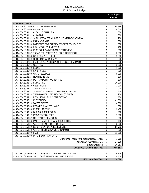**2013 Adopted Budget** 

| <b>Operations - General</b>                                  |                                                               |                          |         |  |
|--------------------------------------------------------------|---------------------------------------------------------------|--------------------------|---------|--|
|                                                              | 410.34.534.80.11.00 FULL TIME EMPLOYEES                       | \$                       | 99,999  |  |
| 410.34.534.80.21.00 BENEFITS                                 |                                                               | \$                       | 36,000  |  |
|                                                              | 410.34.534.80.31.22 CLEANING SUPPLIES                         | \$<br>\$                 | 500     |  |
|                                                              | 410.34.534.80.31.31 CHLORINE                                  |                          |         |  |
| 410.34.534.80.31.32 SUPPLIES/MATERIALS-GROUNDS MAINT(CASORON | \$                                                            | 1,200                    |         |  |
| 410.34.534.80.31.33 MARKING PAINT                            |                                                               | \$                       | 600     |  |
|                                                              | 410.34.534.80.31.34 BATTERIES FOR BARRICADES, TEST EQUIPMENT  | \$                       | 500     |  |
|                                                              | 410.34.534.80.31.35 INSULATION FOR METERS                     | \$                       | 700     |  |
|                                                              | 410.34.534.80.31.36 MISC CONES & BARRICADE EQUIPMENT          | \$                       | 500     |  |
|                                                              | 410.34.534.80.31.37 TREAD EZE, PENTRTING, HYDNT, TURBINE OIL  | \$                       | 3,000   |  |
|                                                              | 410.34.534.80.31.38 SALT FOR WELLS 10 & 11                    | \$                       | 2,000   |  |
|                                                              | 410.34.534.80.31.39 COOLER/POWERDER PKT                       | \$                       | 500     |  |
|                                                              | 410.34.534.80.32.31 FUEL- SMALL WATER PUMPS, DIESEL GENERATOR | \$                       | 500     |  |
| 410.34.534.80.36.01 CLOTHING                                 |                                                               | \$                       | 3,000   |  |
| 410.34.534.80.36.02 BOOTS                                    |                                                               | \$                       | 1,000   |  |
| 410.34.534.80.36.03 SAFETY GEAR                              |                                                               | \$                       | 800     |  |
| 410.34.534.80.41.00 WATER SAMPLES                            |                                                               | \$                       | 5,000   |  |
| 410.34.534.80.41.27 HEARING TESTS                            |                                                               | \$                       | 100     |  |
|                                                              | 410.34.534.80.41.28 DOT RANDOM DRUG TESTING                   | \$                       | 100     |  |
| 410.34.534.80.41.31 BMI CC PRG                               |                                                               | \$                       | 20,000  |  |
| 410.34.534.80.42.10 CELL PHONE                               |                                                               | \$                       | 1,000   |  |
| 410.34.534.80.43.31 TRAVEL/TRAINING                          |                                                               | \$                       | 2,000   |  |
|                                                              | 410.34.534.80.43.32 SUB-SECTION MEETINGS (EASTERN WASH)       | \$                       | 200     |  |
|                                                              | 410.34.534.80.43.33 TRAINING FOR CERTIFICATION (C.E.U.'S)     | \$                       | 900     |  |
|                                                              | 410.34.534.80.44.31 REQUIRED PUBLIC NOTIFICATIONS             | \$                       | 100     |  |
| 410.34.534.80.47.12 ELECTRICITY                              |                                                               | \$                       | 162,500 |  |
| 410.34.534.80.47.14 WATER/SEWER                              |                                                               | $\overline{\$}$          | 4,800   |  |
|                                                              | 410.34.534.80.48.00 REPAIRS & MAINTENANCE                     | $\overline{\mathcal{S}}$ | 600     |  |
| 410.34.534.80.49.00 MISCELLANEOUS                            |                                                               | \$                       | 3,400   |  |
|                                                              | 410.34.534.80.49.15 DUES/SUBSCRIPTIONS                        | \$                       | 900     |  |
|                                                              | 410.34.534.80.49.17 REGISTRATION FEES                         | \$                       | 2,000   |  |
|                                                              | 410.34.534.80.49.32 UTILITY NOTIFICATIONS                     | \$                       | 300     |  |
|                                                              | 410.34.534.80.49.33 MAINTENANCE FOR WIN-911 SPECTOR           | \$                       | 400     |  |
|                                                              | 410.34.534.80.51.31 WATER PERMIT - DEPT OF HEALTH             | \$                       | 5,500   |  |
|                                                              | 410.34.534.80.51.32 SVID IRRIGATION ASSESSMENTS               | \$                       | 51,792  |  |
|                                                              | 410.34.534.80.51.33 WATER TESTING WAIVERS TO D.O.H.           | \$                       | 800     |  |
| 410.34.534.80.32.00 FUEL                                     |                                                               | \$                       | 13,296  |  |
|                                                              | 410.34.534.80.95.00 INTERFUND PAYMENTS                        |                          |         |  |
|                                                              | Information Technology Equipment Replacement                  | \$                       | 1,889   |  |
|                                                              | Information Technology M&O                                    | \$                       | 23,328  |  |
|                                                              | <b>Equipment Rental</b>                                       | \$                       | 20,083  |  |
|                                                              | <b>Operations - General Sub-Total</b>                         | \$                       | 485,587 |  |

| , SIED LOANS PRINC-NEW HOLLAND & POWELL<br>410.34.582.01.78.00 | 30.509 |
|----------------------------------------------------------------|--------|
| 410.34.582.01.81.00 SIED LOANS INT-NEW HOLLAND & POWELL        | .120   |
| <b>SIED Loans Sub-Total</b>                                    | 34.628 |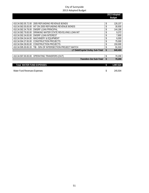|                                                                |    | 2013 Adopted  |
|----------------------------------------------------------------|----|---------------|
|                                                                |    | <b>Budget</b> |
|                                                                |    |               |
| 410.34.582.05.72.00<br>2005 REFUNDING REVENUE BONDS            | \$ | 126,107       |
| INT ON 2005 REFUNDING REVENUE BONDS<br>410.34.582.05.83.00     | \$ | 30,930        |
| <b>DWSRF LOAN PRINCIPAL</b><br>410.34.582.34.78.00             | \$ | 144,186       |
| DRINKING WATER STATE REVOLVING LOAN INT<br>410.34.582.79.83.00 | \$ | 9,372         |
| <b>DWSRF LOAN INTEREST</b><br>410.34.592.34.83.00              | \$ | 7,800         |
| 410.34.594.34.64.00<br><b>MACHINERY &amp; EQUIPMENT</b>        | \$ | 6,000         |
| 410.34.594.37.65.00<br><b>CONSTRUCTION PROJECTS</b>            | \$ | 75,000        |
| 410.34.594.39.65.00<br>CONSTRUCTION PROJECTS                   | \$ | 150,000       |
| TIB - 50% OF INTERSECTION PROJECT MATCH<br>410.34.595.30.65.33 | \$ | 91,010        |
| LT Debt/Capital Outlay Sub-Total                               | \$ | 640,404       |
|                                                                |    |               |
| 410.34.597.00.00.00 OPERATING TRANSFERS (OUT)                  | \$ | 70,200        |
| <b>Transfers Out Sub-Total</b>                                 | \$ | 70,200        |
|                                                                |    |               |
| Total MATED FIIND EVDENCES                                     | ¢  | 1 007 524     |

| Total WATER FUND EXPENSES    | 1.997.524 |
|------------------------------|-----------|
|                              |           |
| Water Fund Revenues-Expenses | 245,504   |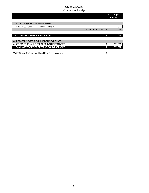|                                                 | 2013 Adopted<br><b>Budget</b> |         |
|-------------------------------------------------|-------------------------------|---------|
|                                                 |                               |         |
| <b>WATER/SEWER REVENUE BOND</b><br>415          |                               |         |
| 415.397.00.00 OPERATING TRANSFERS IN            | \$                            | 117,000 |
| <b>Transfers In Sub-Total</b>                   | \$                            | 117,000 |
|                                                 |                               |         |
| <b>WATER/SEWER REVENUE BOND</b><br><b>Total</b> | \$                            | 117,000 |
|                                                 |                               |         |
| <b>WATER/SEWER REVENUE BOND EXPENSES</b><br>415 |                               |         |
| 415.19.592.35.83.00 INTEREST ON LOAN TERM DEBT  | \$                            | 117,000 |
| <b>Total WATER/SEWER REVENUE BOND EXPENSES</b>  | \$                            | 117,000 |
|                                                 |                               |         |
| Water/Sewer Revenue Bond Fund Revenues-Expenses | \$                            |         |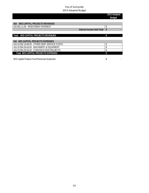|                                              | 2013 Adopted<br><b>Budget</b> |
|----------------------------------------------|-------------------------------|
|                                              |                               |
| <b>W/S CAPITAL PROJECTS REVENUES</b><br>416  |                               |
| 416.361.11.00 INVESTMENT INTEREST            | \$.                           |
| Interest Income Sub-Total                    |                               |
|                                              |                               |
| Total W/S CAPITAL PROJECTS REVENUES          |                               |
|                                              |                               |
| <b>416 W/S CAPITAL PROJECTS EXPENSES</b>     |                               |
| 416.19.592.19.89.00 OTHER DEBT SERVICE COSTS | S                             |
| 416.19.594.35.64.00 MACHINERY & EQUIPMENT    | \$                            |
| 416.19.594.35.65.00 CONSTRUCTION PROJECTS    |                               |
| Total W/S CAPITAL PROJECTS EXPENSES          |                               |
|                                              |                               |

W/S Capital Projects Fund Revenues-Expenses and the state of the state of the state of the state of the state of the state of the state of the state of the state of the state of the state of the state of the state of the s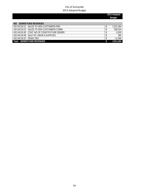|                                              | 2013 Adopted<br><b>Budget</b> |
|----------------------------------------------|-------------------------------|
|                                              |                               |
| <b>SEWER FUND REVENUES</b><br>420            |                               |
| 420.343.50.21 SALES TO GEN CUSTOMERS-RES     | 2,321,364                     |
| 420.343.50.22 SALES TO GEN CUSTOMERS-COMM    | 560,320                       |
| 420.343.50.95 CONT AID OF CONST/FUTURE SEWER | 8,200                         |
| 420.343.50.96 SALE OF LABOR & SUPPLIES       | 380                           |
| 420.343.50.97 PENALTIES                      | 21,000                        |
| <b>SEWER FUND REVENUES</b><br>Total          | 2,911,264                     |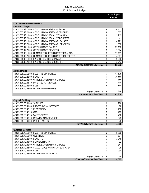|                                  |                                                 |                                    | 2013 Adopted<br><b>Budget</b> |        |
|----------------------------------|-------------------------------------------------|------------------------------------|-------------------------------|--------|
| <b>SEWER FUND EXENSES</b><br>420 |                                                 |                                    |                               |        |
| <b>Interfund Charges</b>         |                                                 |                                    |                               |        |
|                                  | 420.35.535.13.11.00 ACCOUNTING ASSISTANT SALARY |                                    | \$                            | 10,712 |
| 420.35.535.13.21.00              | ACCOUNTING ASSISTANT BENEFITS                   |                                    | \$                            | 3,535  |
| 420.35.535.13.11.00              | ACCOUNTING SPECIALIST SALARY                    |                                    | \$                            | 3,912  |
| 420.35.535.13.21.00              | ACCOUNTING SPECIALIST BENEFITS                  |                                    | \$                            | 1,291  |
| 420.35.535.13.11.00              | ACCOUNTING ASSISTANT I SALARY                   |                                    | \$                            | 4,721  |
| 420.35.535.13.21.00              | ACCOUNTING ASSISTANT I BENEFITS                 |                                    | \$                            | 1,558  |
| 420.35.535.12.11.00              | CITY MANAGER SALARY                             |                                    | \$                            | 22,150 |
| 420.35.535.12.21.00              | CITY MANAGER BENEFITS                           |                                    | \$                            | 7,974  |
| 420.35.535.16.11.00              | HUMAN RESOURCES DIRECTOR SALARY                 |                                    | \$                            | 11,131 |
| 420.35.535.16.21.00              | HUMAN RESOURCES DIRECTOR BENEFITS               |                                    | \$                            | 4,007  |
| 420.35.535.13.11.00              | <b>FINANCE DIRECTOR SALARY</b>                  |                                    | \$                            | 9,280  |
|                                  | 420.35.535.13.21.00 FINANCE DIRECTOR BENEFITS   |                                    | \$                            | 3,341  |
|                                  |                                                 | <b>Interfund Charges Sub-Total</b> | \$                            | 83,612 |

| Administration               |                                                 |        |
|------------------------------|-------------------------------------------------|--------|
|                              | 420.35.535.20.11.00 FULL TIME EMPLOYEES         | 43,525 |
| 420.35.535.20.21.00 BENEFITS |                                                 | 15,669 |
|                              | 420.35.535.20.31.00 OFFICE & OPERATING SUPPLIES | 385    |
|                              | 420.35.535.20.45.70 PW DIRECTOR VEHICLE         | 630    |
| 420.35.535.20.32.00 FUEL     |                                                 | 840    |
|                              | 420.35.535.20.95.00 INTERFUND PAYMENTS          |        |
|                              | Equipment Rental                                | 1,269  |
|                              | <b>Administration Sub-Total</b>                 | 62,318 |

| <b>City Hall Building</b>         |                                           |                                     |       |
|-----------------------------------|-------------------------------------------|-------------------------------------|-------|
| 420.35.535.30.31.00 SUPPLIES      |                                           |                                     | 980   |
|                                   | 420.35.535.30.41.00 PROFESSIONAL SERVICES |                                     | 88    |
| 420.35.535.30.47.12 ELECTRICITY   |                                           |                                     | 1,750 |
| 420.35.535.30.47.13 GAS           |                                           |                                     | 263   |
| 420.35.535.30.47.14 WATER/SEWER   |                                           |                                     | 438   |
|                                   | 420.35.535.30.48.10 REPAIR & MAINTENANCE  |                                     | 875   |
| 420.35.535.30.49.00 MISCELLANEOUS |                                           |                                     | 543   |
|                                   |                                           | <b>City Hall Building Sub-Total</b> | 4,935 |

| <b>Custodial Services</b>         |                                                     |                                     |       |
|-----------------------------------|-----------------------------------------------------|-------------------------------------|-------|
|                                   | 420.35.535.40.11.00 FULL TIME EMPLOYEES             |                                     | 5.599 |
| 420.35.535.40.13.00 OVERTIME      |                                                     |                                     | 117   |
| 420.35.535.40.21.00 BENEFITS      |                                                     |                                     | 1,848 |
| 420.35.535.40.36.00 BOOTS/UNIFORM |                                                     |                                     | 32    |
|                                   | 420.35.535.40.31.00 OFFICE & OPERATING SUPPLIES     |                                     | 147   |
|                                   | 420.35.535.40.35.00 SMALL TOOLS AND MINOR EQUIPMENT |                                     | 25    |
| 420.35.535.40.32.00 FUEL          |                                                     |                                     | 294   |
|                                   | 420.35.535.40.95.00 INTERFUND PAYMENTS              |                                     |       |
|                                   |                                                     | Equipment Rental                    | 444   |
|                                   |                                                     | <b>Custodial Services Sub-Total</b> | 8,505 |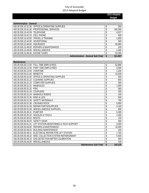**2013 Adopted Budget** 

| <b>Administration - General</b>                 |  |         |
|-------------------------------------------------|--|---------|
| 420.35.535.10.31.00 OFFICE & OPERATING SUPPLIES |  | 300     |
| 420.35.535.10.41.00 PROFESSIONAL SERVICES       |  | 165,300 |
| 420.35.535.10.42.09 TELEPHONE                   |  | 4,537   |
| 420.35.535.10.42.10 CELL PHONE                  |  | 400     |
| 420.35.535.10.43.00 TRAVEL & TRAINING           |  | 1,000   |
| 420.35.535.10.44.00 ADVERTISING                 |  | 300     |
| 420.35.535.10.46.00 INSURANCE                   |  | 83,960  |
| 420.35.535.10.48.00 REPAIRS & MAINTENANCE       |  | 100     |
| 420.35.535.10.49.00 MISCELLANEOUS               |  | 2,400   |
| 420.35.535.10.49.40 EXCISE TAXES                |  | 53,300  |
| <b>Administration - General Sub-Total</b>       |  | 311,597 |

| Maintenance                      |                                        |                       |                    |         |
|----------------------------------|----------------------------------------|-----------------------|--------------------|---------|
| 420.35.535.50.11.00              | <b>FULL TIME EMPLOYEES</b>             |                       | \$                 | 62,886  |
| 420.35.535.50.12.00              | PART TIME EMPLOYEES                    |                       | \$                 | 6,500   |
| 420.35.535.50.13.00              | OVERTIME                               |                       | \$                 | 1,200   |
| 420.35.535.50.21.00              | <b>BENEFITS</b>                        |                       | \$                 | 22,639  |
| 420.35.535.50.31.00              | <b>OFFICE &amp; OPERATING SUPPLIES</b> |                       | \$                 | 200     |
| 420.35.535.50.31.22              | <b>CLEANING SUPPLIES</b>               |                       | \$                 | 600     |
| 420.35.535.50.31.23              | <b>COMPUTER SUPPLIES</b>               |                       | \$                 | 300     |
| 420.35.535.50.31.31              | <b>MANHOLES</b>                        |                       | \$                 | 1,000   |
| 420.35.535.50.31.32              | <b>PIPF</b>                            |                       | \$                 | 900     |
| 420.35.535.50.31.33              | <b>COUPLERS</b>                        |                       | \$                 | 400     |
| 420.35.535.50.31.34              | <b>MANHOLE RISERS</b>                  |                       | \$                 | 100     |
| 420.35.535.50.31.35              | <b>RING &amp; LIDS</b>                 |                       | \$                 | 500     |
| 420.35.535.50.31.36              | SAFETY MATERIALS                       |                       | \$                 | 700     |
| 420.35.535.50.31.38 CRUSHED ROCK |                                        |                       | \$                 | 5,900   |
| 420.35.535.50.31.39              | <b>REPAIR PARTS/SUPPLIES</b>           |                       | \$                 | 4,100   |
| 420.35.535.50.31.49              | MISCELLANEOUS SUPPLIES                 |                       | \$                 | 500     |
| 420.35.535.50.35.31              | <b>PUMP R/R</b>                        |                       | \$                 | 9,300   |
| 420.35.535.50.35.32              | <b>NOZZLES &amp; TOOLS</b>             |                       | \$                 | 2,400   |
| 420.35.535.50.36.02              | <b>BOOTS</b>                           |                       | \$                 | 100     |
| 420.35.535.50.36.03              | SAFETY GEAR                            |                       | \$                 | 300     |
| 420.35.535.50.41.41              | LIFT STATION MONITORING & TECH SUPPORT |                       | \$                 | 5,000   |
| 420.35.535.50.48.00              | <b>REPAIRS &amp; MAINTENANCE</b>       |                       | \$                 | 10,000  |
| 420.35.535.50.48.20              | <b>BUILDING MAINTENANCE</b>            |                       | \$                 | 100     |
| 420.35.535.50.48.31              | ELECTRICAL REPAIR FOR LIFT STATION     |                       | \$                 | 1,700   |
| 420.35.535.50.48.32              | MISC COLLECTION SYSTEM REPAIRS/MAINT   |                       | \$                 | 5,400   |
| 420.35.535.50.48.33              | <b>GAS DETECTION METER CALIBRATION</b> |                       | \$                 | 300     |
| 420.35.535.50.49.00              | <b>MISCELLANEOUS</b>                   |                       | \$                 | 100     |
|                                  |                                        | Maintenance Sub-Total | $\mathbf{\hat{z}}$ | 143,125 |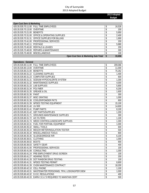**2013 Adopted Budget** 

| <b>Oper-Cust Serv &amp; Marketing</b>           |                                                 |   |        |
|-------------------------------------------------|-------------------------------------------------|---|--------|
| 420.35.535.70.11.00 FULL TIME EMPLOYEES         |                                                 |   | 16,526 |
| 420.35.535.70.13.00 OVERTIME                    |                                                 |   | 200    |
| 420.35.535.70.21.00 BENEFITS                    |                                                 |   | 5,950  |
| 420.35.535.70.31.00 OFFICE & OPERATING SUPPLIES |                                                 |   | 2,400  |
| 420.35.535.70.31.31 OFFICE SUPPLIES FOR BILLING |                                                 |   | 1,900  |
| 420.35.535.70.41.00 PROFESSIONAL SERVICES       |                                                 |   | 200    |
| 420.35.535.70.42.11 POSTAGE                     |                                                 |   | 5,880  |
| 420.35.535.70.45.00 RENTALS & LEASES            |                                                 |   | 200    |
| 420.35.535.70.48.00 REPAIRS & MAINTENANCE       |                                                 |   | 300    |
| 420.35.535.70.49.00 MISCELLANEOUS               |                                                 |   | 100    |
|                                                 | <b>Oper-Cust Serv &amp; Marketing Sub-Total</b> | S | 33.656 |

| <b>Operations - General</b>       |                                                               |               |
|-----------------------------------|---------------------------------------------------------------|---------------|
|                                   | 420.35.535.80.11.00 FULL TIME EMPLOYEES                       | \$<br>209,066 |
| 420.35.535.80.13.00 OVERTIME      |                                                               | \$<br>11,000  |
| 420.35.535.80.21.00 BENEFITS      |                                                               | \$<br>75,262  |
|                                   | 420.35.535.80.31.22 CLEANING SUPPLIES                         | \$<br>1,400   |
|                                   | 420.35.535.80.31.23 COMPUTER SUPPLIES                         | \$<br>600     |
|                                   | 420.35.535.80.31.31 SODIUM HYPOCHLORITE SYSTEM                | \$<br>1,300   |
|                                   | 420.35.535.80.31.32 MAINTENANCE SUPPLIES                      | \$<br>4,000   |
| 420.35.535.80.31.33 LAB SUPPLIES  |                                                               | \$<br>5,800   |
| 420.35.535.80.31.34 POLYMER       |                                                               | \$<br>6,200   |
| 420.35.535.80.31.35 GREASE & OIL  |                                                               | \$<br>1,600   |
| 420.35.535.80.31.36 PAINT         |                                                               | \$<br>300     |
| 420.35.535.80.31.37 MISC GRATING  |                                                               | \$<br>1,000   |
|                                   | 420.35.535.80.31.38 COOLER/POWDER PKTS                        | \$<br>800     |
|                                   | 420.35.535.80.31.39 NPDES TESTING EQUIPMENT                   | \$<br>15,100  |
| 420.35.535.80.31.40 UV R/R        |                                                               | \$<br>14,600  |
| 420.35.535.80.31.41 PUMP PARTS    |                                                               | \$<br>8,100   |
|                                   | 420.35.535.80.31.42 GBT PARTS/SUPPLIES                        | \$<br>1,200   |
|                                   | 420.35.535.80.31.71 GROUNDS MAINTENANCE SUPPLIES              | \$<br>300     |
| 420.35.535.80.31.72 A/C FILTERS   |                                                               | \$<br>1,100   |
|                                   | 420.35.535.80.31.74 WEED CONTROL/LANDSCAPE SUPPLIES           | \$<br>1,300   |
|                                   | 420.35.535.80.32.31 FUEL FOR PORTABL EQUIPMENT                | \$<br>1,000   |
| 420.35.535.80.35.32 SMALL TOOLS   |                                                               | \$<br>600     |
|                                   | 420.35.535.80.35.33 MEGOH METER/INSULATION TESTER             | \$<br>500     |
|                                   | 420.35.535.80.35.34 MISCELLANEOUS TOOLS                       | \$<br>800     |
|                                   | 420.35.535.80.35.35 SLUDGE/DREDGE R/R                         | \$<br>6,100   |
| 420.35.535.80.36.01 CLOTHING      |                                                               | \$<br>1,000   |
| 420.35.535.80.36.02 BOOTS         |                                                               | \$<br>900     |
| 420.35.535.80.36.03 SAFETY GEAR   |                                                               | \$<br>400     |
|                                   | 420.35.535.80.41.00 PROFESSIONAL SERVICES                     | \$<br>100     |
| 420.35.535.80.41.08 CONSULTING    |                                                               | \$<br>1,300   |
|                                   | 420.35.535.80.41.24 PRE-EMPLOYMENT DRUG SCREEN                | \$<br>100     |
| 420.35.535.80.41.27 HEARING TESTS |                                                               | \$<br>200     |
|                                   | 420.35.535.80.41.28 DOT RANDOM DRUG TESTING                   | \$<br>100     |
|                                   | 420.35.535.80.41.31 NPDES TESTING PERMIT                      | \$<br>8,800   |
|                                   | 420.35.535.80.41.39 CH2M MAINTENANCE CONTRACT                 | \$<br>18,200  |
| 420.35.535.80.42.10 CELL PHONE    |                                                               | \$<br>1,100   |
|                                   | 420.35.535.80.43.31 WASTEWATER PERSONNEL TRVL LODGNG/PER DIEM | \$<br>1,000   |
|                                   | 420.35.535.80.43.32 D.O.E. REGULATIONS                        | \$<br>400     |
|                                   | 420.35.535.80.43.33 EARN C.E.U.'S REQUIRED TO MAINTAIN CERT   | \$<br>500     |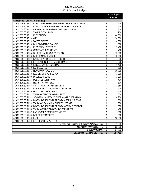|                                         |                                                              |                         | 2013 Adopted<br><b>Budget</b> |
|-----------------------------------------|--------------------------------------------------------------|-------------------------|-------------------------------|
| <b>Operations - General (Continued)</b> |                                                              |                         |                               |
| 420.35.535.80.44.31                     | PUBLIC AWARENESS WASTEWATER REG-MCL COMP                     | \$                      | 100                           |
|                                         | 420.35.535.80.44.32 PUBLIC NOTICES REQUIRED- ANY NEW COMPLIA | \$                      | 100                           |
|                                         | 420.35.535.80.45.31 PROPERTY LEASE-9TH & LINCOLN STATION     | \$                      | 800                           |
|                                         | 420.35.535.80.45.32 TANK RENTAL (LAB)                        | \$                      | 900                           |
| 420.35.535.80.47.12 ELECTRICITY         |                                                              | \$                      | 160,000                       |
| 420.35.535.80.47.13 GAS                 |                                                              | \$                      | 36,600                        |
| 420.35.535.80.47.14 WATER/SEWER         |                                                              | \$                      | 6,500                         |
|                                         | 420.35.535.80.48.20 BUILDING MAINTENANCE                     | \$                      | 300                           |
|                                         | 420.35.535.80.48.31 ELECTRICAL SERVICES                      | \$                      | 5,400                         |
|                                         | 420.35.535.80.48.33 GENERATOR CONTRACT                       | \$                      | 1,400                         |
|                                         | 420.35.535.80.48.34 SLUDGE HAULING (CONTRACT)                | \$                      | 75,000                        |
|                                         | 420.35.535.80.48.36 BOILER MAINTENANCE                       | \$                      | 3,000                         |
|                                         | 420.35.535.80.48.37 BACKFLOW PREVENTER TESTING               | \$                      | 300                           |
|                                         | 420.35.535.80.48.38 FIRE EXTINGUISHER MAINTENANCE            | $\overline{\$}$         | 300                           |
|                                         |                                                              | \$                      | 1,400                         |
| 420.35.535.80.48.40 LANDSCAPING         |                                                              | \$                      | 100                           |
| 420.35.535.80.48.41                     | <b>HVAC MAINTENANCE</b>                                      | \$                      | 10,500                        |
| 420.35.535.80.48.43                     | <b>LAB METER CALIBRATION</b>                                 | \$                      | 1,000                         |
| 420.35.535.80.49.00 MISCELLANEOUS       |                                                              | \$                      | 1,700                         |
|                                         | 420.35.535.80.49.15 DUES/SUBSCRIPTIONS                       | $\overline{\mathsf{s}}$ | 400                           |
| 420.35.535.80.49.17                     | <b>REGISTRATION FEES</b>                                     | \$                      | 800                           |
| 420.35.535.80.49.55                     | SVID IRRIGATION ASSESSMENT                                   | \$                      | 1,388                         |
| 420.35.535.80.49.57                     | LAB ACCREDITATION FEE PT SAMPLES                             | \$                      | 1,100                         |
|                                         | 420.35.535.80.49.59 UTILITY NOTIFICATIONS                    | \$                      | 200                           |
| 420.35.535.80.51.31                     | YAKIMA COUNTY LANDFILL FEES                                  | \$                      | 500                           |
| 420.35.535.80.51.32                     | SEMI-ANNUAL FEE- DOE FOR WWTP OPERATING                      | \$                      | 6,200                         |
| 420.35.535.80.51.33                     | BIOSOLIDS REMOVAL PROGRAM FEE-KING CONT                      | \$                      | 1,000                         |
| 420.35.535.80.51.34                     | YAKIMA CLEAN AIR AUTHORITY PERMIT                            | \$                      | 500                           |
| 420.35.535.80.51.35                     | BIOSOLIDS REMOVAL PROGRAM-PERMIT FEE DOE                     | \$                      | 1,500                         |
|                                         | 420.35.535.80.51.36 YAKIMA COUNTY BIOSOLIDS PERMIT FEE       | $\overline{\$}$         | 400                           |
|                                         | 420.35.535.80.51.37 LAB ACCREDITATION PERMIT FEE             | $\overline{\$}$         | 1,000                         |
|                                         | 420.35.535.80.51.39 BOILER PERMIT FEES                       | \$                      | 300                           |
| 420.35.535.80.32.00 FUEL                |                                                              | \$                      | 18,096                        |
|                                         | 420.35.535.80.95.00 INTERFUND PAYMENTS                       |                         |                               |
|                                         | Information Technology Equipment Replacement                 | \$                      | 1,889                         |
|                                         | Information Technology M&O                                   | \$                      | 23,328                        |
|                                         | <b>Equipment Rental</b>                                      | \$                      | 27,333                        |
|                                         | <b>Operations - General Sub-Total</b>                        | \$                      | 794,462                       |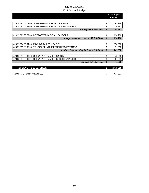|                                  |                                                             | 2013 Adopted    |
|----------------------------------|-------------------------------------------------------------|-----------------|
|                                  |                                                             | <b>Budget</b>   |
|                                  |                                                             |                 |
|                                  | 420.35.582.05.72.00 2005 REFUNDING REVENUE BONDS            | \$<br>68,894    |
|                                  | 420.35.582.05.83.00 2005 REFUNDING REVENUE BOND INTEREST    | \$<br>16,897    |
|                                  | <b>Debt Payments Sub-Total</b>                              | \$<br>85,791    |
|                                  |                                                             |                 |
|                                  | 420.35.582.35.78.00 INTERGOVERNMENTAL LOANS-SRF             | \$<br>634,700   |
|                                  | Intergovernmental Loans - SRF Sub-Total                     | \$<br>634,700   |
|                                  |                                                             |                 |
|                                  | 420.35.594.35.64.00 MACHINERY & EQUIPMENT                   | \$<br>150,000   |
|                                  | 420.35.595.30.65.33 TIB - 50% OF INTERSECTION PROJECT MATCH | \$<br>91,010    |
|                                  | Interfund Payments/Capital Outlay Sub-Total                 | \$<br>241,010   |
|                                  |                                                             |                 |
| 420.35.597.00.00.00              | OPERATING TRANSFERS (OUT)                                   | \$<br>46,800    |
| 420.35.597.00.00.01              | OPERATING TRANSFERS TO STORMWATER                           | \$<br>27,539    |
|                                  | <b>Transfers Out Sub-Total</b>                              | \$<br>74,339    |
|                                  |                                                             |                 |
| <b>Total SEWER FUND EXPENSES</b> |                                                             | \$<br>2,478,050 |
|                                  |                                                             |                 |
| Sewer Fund Revenues-Expenses     |                                                             | \$<br>433.213   |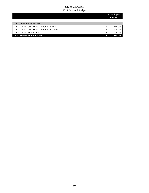|                                         | 2013 Adopted<br><b>Budget</b> |
|-----------------------------------------|-------------------------------|
| <b>GARBAGE REVENUES</b><br>430          |                               |
| 430.343.70.21 COLLECTION RECEIPTS-RES   | 600,000                       |
| 430.343.70.22 COLLECTION RECEIPTS-COMM  | 375,000                       |
| 430.343.70.97 PFNALTIFS                 | 20,000                        |
| <b>GARBAGE REVENUES</b><br><b>Total</b> | 995,000                       |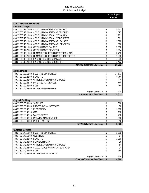|                             |                                                 |                                    | 2013 Adopted<br><b>Budget</b> |        |
|-----------------------------|-------------------------------------------------|------------------------------------|-------------------------------|--------|
|                             |                                                 |                                    |                               |        |
| <b>430 GARBAGE EXPENSES</b> |                                                 |                                    |                               |        |
| <b>Interfund Charges</b>    |                                                 |                                    |                               |        |
|                             | 430.37.537.13.11.00 ACCOUNTING ASSISTANT SALARY |                                    | \$                            | 5,142  |
| 430.37.537.13.21.00         | ACCOUNTING ASSISTANT BENEFITS                   |                                    | \$                            | 1,697  |
| 430.37.537.13.11.00         | ACCOUNTING SPECIALIST SALARY                    |                                    | \$                            | 1,701  |
| 430.37.537.13.21.00         | ACCOUNTING SPECIALIST BENEFITS                  |                                    | \$                            | 561    |
| 430.37.537.13.11.00         | ACCOUNTING ASSISTANT I SALARY                   |                                    | \$                            | 2,698  |
| 430.37.537.13.21.00         | ACCOUNTING ASSISTANT I BENEFITS                 |                                    | \$                            | 890    |
| 430.37.537.12.11.00         | CITY MANAGER SALARY                             |                                    | \$                            | 5,538  |
| 430.37.537.12.21.00         | CITY MANAGER BENEFITS                           |                                    | \$                            | 1,994  |
| 430.37.537.16.11.00         | HUMAN RESOURCES DIRECTOR SALARY                 |                                    | \$                            | 3,710  |
| 430.37.537.16.21.00         | HUMAN RESOURCES DIRECTOR BENEFITS               |                                    | \$                            | 1,336  |
| 430.37.537.13.11.00         | <b>FINANCE DIRECTOR SALARY</b>                  |                                    | \$                            | 4,035  |
| 430.37.537.13.21.00         | <b>FINANCE DIRECTOR BENEFITS</b>                |                                    | \$                            | 1,453  |
|                             |                                                 | <b>Interfund Charges Sub-Total</b> | \$                            | 30,753 |

| Administration                                  |        |
|-------------------------------------------------|--------|
| 430.37.537.20.11.00 FULL TIME EMPLOYEES         | 24,872 |
| 430.37.537.20.21.00 BENEFITS                    | 8,954  |
| 430.37.537.20.31.00 OFFICE & OPERATING SUPPLIES | 220    |
| 430.37.537.20.45.70 PW DIRECTOR VEHICLE         | 360    |
| 430.37.537.20.32.00 FUEL                        | 480    |
| 430.37.537.20.95.00 INTERFUND PAYMENTS          |        |
| Equipment Rental                                | 725    |
| <b>Administration Sub-Total</b>                 | 35,611 |

| <b>City Hall Building</b>         |                                           |  |       |
|-----------------------------------|-------------------------------------------|--|-------|
| 430.37.537.30.31.00 SUPPLIES      |                                           |  | 560   |
|                                   | 430.37.537.30.41.00 PROFESSIONAL SERVICES |  | 50    |
| 430.37.537.30.47.12 ELECTRICITY   |                                           |  | 1,000 |
| 430.37.537.30.47.13 GAS           |                                           |  | 150   |
| 430.37.537.30.47.14 WATER/SEWER   |                                           |  | 250   |
|                                   | 430.37.537.30.48.10 REPAIR & MAINTENANCE  |  | 500   |
| 430.37.537.30.49.00 MISCELLANEOUS |                                           |  | 310   |
|                                   | <b>City Hall Building Sub-Total</b>       |  | 2,820 |

| <b>Custodial Services</b>         |                                                    |                                     |       |
|-----------------------------------|----------------------------------------------------|-------------------------------------|-------|
|                                   | 430.37.537.40.11.00 FULL TIME EMPLOYEES            |                                     | 3,199 |
| 430.37.537.40.13.00 OVERTIME      |                                                    |                                     | 67    |
| 430.37.537.40.21.00 BENEFITS      |                                                    |                                     | 1,056 |
| 430.37.537.40.36.00 BOOTS/UNIFORM |                                                    |                                     | 18    |
|                                   | 430.37.537.40.31.00 OFFICE & OPERATING SUPPLIES    |                                     | 84    |
|                                   | 430.37.537.40.35.00 SMALL TOOLS AND MINOR EQUIPMEN |                                     | 14    |
| 430.37.537.40.32.00 FUEL          |                                                    |                                     | 168   |
|                                   | 430.37.537.40.95.00 INTERFUND PAYMENTS             |                                     |       |
|                                   |                                                    | Equipment Rental                    | 254   |
|                                   |                                                    | <b>Custodial Services Sub-Total</b> | 4,860 |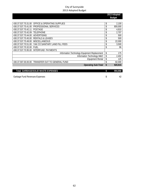|                     |                                              | 2013 Adopted  |
|---------------------|----------------------------------------------|---------------|
|                     |                                              | <b>Budget</b> |
|                     |                                              |               |
| 430.37.537.70.31.00 | <b>OFFICE &amp; OPERATING SUPPLIES</b>       | \$<br>2,100   |
| 430.37.537.70.41.00 | PROFESSIONAL SERVICES                        | \$<br>800,000 |
| 430.37.537.70.42.11 | <b>POSTAGE</b>                               | \$<br>4,810   |
| 430.37.537.70.42.09 | <b>TELEPHONE</b>                             | \$<br>2,707   |
| 430.37.537.70.44.00 | ADVERTISING                                  | \$<br>500     |
| 430.37.537.70.45.00 | <b>RENTALS &amp; LEASES</b>                  | \$<br>500     |
| 430.37.537.70.49.00 | <b>MISCELLANEOUS</b>                         | \$<br>22,000  |
| 430.37.537.70.51.00 | YAK CO SANITARY LAND FILL FEES               | \$<br>3,500   |
| 430.37.537.70.32.00 | <b>FUEL</b>                                  | \$<br>96      |
| 430.37.537.70.95.00 | INTERFUND PAYMENTS                           |               |
|                     | Information Technology Equipment Replacement | \$<br>175     |
|                     | Information Technology M&O                   | \$<br>2,402   |
|                     | <b>Equipment Rental</b>                      | \$<br>125     |
| 430.37.597.00.00.00 | TRANSFER OUT TO GENERAL FUND                 | \$<br>82,000  |
|                     | <b>Operating Sub-Total</b>                   | \$<br>920,915 |
|                     |                                              |               |
|                     | <b>Total GARBAGE/SOLID WASTE EXPENSES</b>    | \$<br>994,958 |

Garbage Fund Revenues-Expenses 42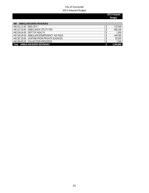#### **2013 Adopted Budget**

| AMBULANCE/EMS REVENUES<br>440              |           |
|--------------------------------------------|-----------|
| 440.311.11.00 FMS LFVY                     | 170,200   |
| 440.317.44.00 AMBULANCE UTILITY FEE        | 596,160   |
| 440.334.04.90 DEPT OF HEALTH               | 1.500     |
| 440.342.60.00 AMBULANCE/EMERGENCY AID FEES | 440,000   |
| 440.367.00.00 CONTRIB FROM PRIVATE SOURCES | 50,000    |
| 440.369.95.00 COLLECTION PROCEEDS          | 7,000     |
| Total AMBULANCE/FMS REVENUES               | 1.264.860 |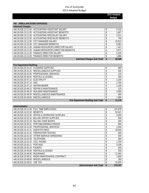|                            |                                                       | 2013 Adopted<br><b>Budget</b> |
|----------------------------|-------------------------------------------------------|-------------------------------|
|                            |                                                       |                               |
| 440 AMBULANCE/EMS EXPENSES |                                                       |                               |
| <b>Interfund Charges</b>   |                                                       |                               |
|                            | 440.26.526.13.11.00 ACCOUNTING ASSISTANT SALARY       | 5,142                         |
|                            | 440.26.526.13.21.00 ACCOUNTING ASSISTANT BENEFITS     | 1,697                         |
|                            | 440.26.526.13.11.00 ACCOUNTING SPECIALIST SALARY      | 2,211                         |
|                            | 440.26.526.13.21.00 ACCOUNTING SPECIALIST BENEFITS    | 730                           |
|                            | 440.26.526.12.11.00 CITY MANAGER SALARY               | 16,613                        |
|                            | 440.26.526.12.21.00 CITY MANAGER BENEFITS             | 5,981                         |
|                            | 440.26.526.16.11.00 HUMAN RESOURCES DIRECTOR SALARY   | 7,421                         |
|                            | 440.26.526.16.21.00 HUMAN RESOURCES DIRECTOR BENEFITS | 2,671                         |

|                                 | 440.26.526.13.11.00 FINANCE DIRECTOR SALARY   | \$ | 5,245  |
|---------------------------------|-----------------------------------------------|----|--------|
|                                 | 440.26.526.13.21.00 FINANCE DIRECTOR BENEFITS |    | 1,888  |
|                                 | <b>Interfund Charges Sub-Total</b>            | S  | 49,598 |
|                                 |                                               |    |        |
| <b>Fire Department Building</b> |                                               |    |        |
|                                 | 440.26.526.20.31.22 CLEANING SUPPLIES         | \$ | 900    |
|                                 | 440.26.526.20.31.31 MISCELLANEOUS SUPPLIES    |    | 300    |
|                                 | 440.26.526.20.41.00 PROFESSIONAL SERVICES     |    | 120    |
|                                 | 440.26.526.20.36.45 RENTALS & LEASES          |    | 300    |
| 440.26.526.20.47.12 ELECTRICITY |                                               |    | 2,200  |
| 440.26.526.20.47.13 GAS         |                                               |    | 1,750  |
| 440.26.526.20.47.14 WATER/SEWER |                                               | \$ | 1,100  |
|                                 | 440.26.526.20.48.10 REPAIR & MAINTENANCE      | \$ | 120    |
|                                 | 440.26.526.20.48.20 BUILDING MAINTENANCE      |    | 3,000  |
|                                 | 440.26.526.20.48.30 MISCELLANEOUS MAINTENANCE | \$ | 300    |

440.26.526.20.49.00 MISCELLANEOUS | \$ 1,080

*Fire Department Building Sub-Total* **\$ 11,170**

440.26.526.16.21.00 HUMAN RESOURCES DIRECTOR BENEFITS \$ 2,671

| Administration      |                                 |               |
|---------------------|---------------------------------|---------------|
| 440.26.526.10.11.00 | <b>FULL TIME EMPLOYEES</b>      | \$<br>147,679 |
| 440.26.526.10.21.00 | <b>BENEFITS</b>                 | \$<br>52,021  |
| 440.26.526.10.31.00 | OFFICE & OPERATING SUPPLIES     | \$<br>4,000   |
| 440.26.526.10.31.32 | <b>BILLING OFFICE SUPPLIES</b>  | \$<br>500     |
| 440.26.526.10.31.33 | BILLING CODE BOOKS              | \$<br>200     |
| 440.26.526.10.35.31 | PORTABLE/MOBILE RADIOS          | \$<br>800     |
| 440.26.526.10.41.00 | <b>PROFESSIONAL SERVICES</b>    | \$<br>1,000   |
| 440.26.526.10.41.31 | <b>DISPATCH FEES</b>            | \$<br>33,000  |
| 440.26.526.10.41.32 | <b>FIREFIGHTER TESTING</b>      | \$<br>400     |
| 440.26.526.10.41.33 | OTHER SERVICE-SHREDDING         | \$<br>500     |
| 440.26.526.10.42.09 | TELEPHONE                       | \$<br>300     |
| 440.26.526.10.42.10 | <b>CELL PHONE</b>               | \$<br>1,700   |
| 440.26.526.10.42.11 | <b>POSTAGE</b>                  | \$<br>3,206   |
| 440.26.526.10.42.19 | <b>PAGERS</b>                   | \$<br>400     |
| 440.26.526.10.45.00 | <b>RENTALS &amp; LEASES</b>     | \$<br>200     |
| 440.26.526.10.46.00 | <b>INSURANCE</b>                | \$<br>17,492  |
| 440.26.526.10.48.31 | RADIO MAINTENANCE CONTRACT      | \$<br>1,000   |
| 440.26.526.10.49.00 | <b>MISCELLANEOUS</b>            | \$<br>200     |
| 440.26.526.10.49.51 | USE TAX                         | \$<br>10,200  |
|                     | <b>Administration Sub-Total</b> | \$<br>274,797 |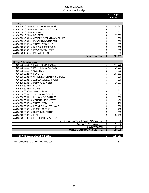**2013 Adopted Budget** 

| <b>Training</b>                   |                                                 |   |         |
|-----------------------------------|-------------------------------------------------|---|---------|
|                                   | 440.26.526.40.11.00 FULL TIME EMPLOYEES         |   | 104.641 |
|                                   | 440.26.526.40.12.00 PART TIME EMPLOYEES         |   | 3,500   |
| 440.26.526.40.13.00 OVERTIME      |                                                 |   | 8,000   |
| 440.26.526.40.21.00 BENEFITS      |                                                 |   | 37,670  |
|                                   | 440.26.526.40.31.00 OFFICE & OPERATING SUPPLIES |   | 500     |
|                                   | 440.26.526.40.31.31 EMS TRAINING MATERIAL       |   | 500     |
|                                   | 440.26.526.40.43.00 TRAVEL & TRAINING           |   | 1,500   |
|                                   | 440.26.526.40.49.15 DUES/SUBSCRIPTIONS          |   | 100     |
|                                   | 440.26.526.40.49.17 REGISTRATION FEES           |   | 2,000   |
| 440.26.526.40.49.31 PARAMEDIC CME |                                                 |   | 2,000   |
|                                   | <b>Training Sub-Total</b>                       | S | 160.411 |

| <b>FULL TIME EMPLOYEES</b><br>440.26.526.80.11.00<br>440.26.526.80.12.00<br>PART TIME EMPLOYEES<br>440.26.526.80.13.00<br><b>OVERTIME</b><br>440.26.526.80.21.00<br><b>BENEFITS</b><br><b>OFFICE &amp; OPERATING SUPPLIES</b><br>440.26.526.80.31.00<br>440.26.526.80.31.31<br>AMBULANCE EQUIPMENT<br><b>MEDICAL SUPPLIES</b><br>440.26.526.80.31.32<br>440.26.526.80.36.01<br><b>CLOTHING</b><br>440.26.526.80.36.02<br><b>BOOTS</b><br><b>SAFETY GEAR</b><br>440.26.526.80.36.03<br><b>ANNUAL PHYSICALS</b><br>440.26.526.80.41.31<br>\$<br>440.26.526.80.41.32<br>PHYSICALS-NEW HIRES | \$<br>448,855<br>\$<br>20,000<br>\$<br>45,000<br>\$<br>161,582<br>\$<br>700<br>\$<br>3,000<br>\$<br>10,000<br>\$<br>5,000<br>\$<br>1,000<br>\$<br>1,000<br>\$<br>2,000 |
|------------------------------------------------------------------------------------------------------------------------------------------------------------------------------------------------------------------------------------------------------------------------------------------------------------------------------------------------------------------------------------------------------------------------------------------------------------------------------------------------------------------------------------------------------------------------------------------|------------------------------------------------------------------------------------------------------------------------------------------------------------------------|
|                                                                                                                                                                                                                                                                                                                                                                                                                                                                                                                                                                                          |                                                                                                                                                                        |
|                                                                                                                                                                                                                                                                                                                                                                                                                                                                                                                                                                                          |                                                                                                                                                                        |
|                                                                                                                                                                                                                                                                                                                                                                                                                                                                                                                                                                                          |                                                                                                                                                                        |
|                                                                                                                                                                                                                                                                                                                                                                                                                                                                                                                                                                                          |                                                                                                                                                                        |
|                                                                                                                                                                                                                                                                                                                                                                                                                                                                                                                                                                                          |                                                                                                                                                                        |
|                                                                                                                                                                                                                                                                                                                                                                                                                                                                                                                                                                                          |                                                                                                                                                                        |
|                                                                                                                                                                                                                                                                                                                                                                                                                                                                                                                                                                                          |                                                                                                                                                                        |
|                                                                                                                                                                                                                                                                                                                                                                                                                                                                                                                                                                                          |                                                                                                                                                                        |
|                                                                                                                                                                                                                                                                                                                                                                                                                                                                                                                                                                                          |                                                                                                                                                                        |
|                                                                                                                                                                                                                                                                                                                                                                                                                                                                                                                                                                                          |                                                                                                                                                                        |
|                                                                                                                                                                                                                                                                                                                                                                                                                                                                                                                                                                                          |                                                                                                                                                                        |
|                                                                                                                                                                                                                                                                                                                                                                                                                                                                                                                                                                                          | 800                                                                                                                                                                    |
| 440.26.526.80.41.35<br><b>CONTAMINATION TEST</b>                                                                                                                                                                                                                                                                                                                                                                                                                                                                                                                                         | \$<br>400                                                                                                                                                              |
| <b>TRAVEL &amp; TRAINING</b><br>440.26.526.80.43.00                                                                                                                                                                                                                                                                                                                                                                                                                                                                                                                                      | \$<br>200                                                                                                                                                              |
| 440.26.526.80.48.00<br><b>REPAIRS &amp; MAINTENANCE</b>                                                                                                                                                                                                                                                                                                                                                                                                                                                                                                                                  | \$<br>3,500                                                                                                                                                            |
| <b>MISCELLANEOUS</b><br>440.26.526.80.49.00                                                                                                                                                                                                                                                                                                                                                                                                                                                                                                                                              | 700<br>\$                                                                                                                                                              |
| 440.26.526.80.49.18<br>UNIFORM CLEANING                                                                                                                                                                                                                                                                                                                                                                                                                                                                                                                                                  | \$<br>2,600                                                                                                                                                            |
| 440.26.526.80.32.00<br><b>FUEL</b>                                                                                                                                                                                                                                                                                                                                                                                                                                                                                                                                                       | \$<br>20,256                                                                                                                                                           |
| 440.26.526.80.95.00<br>INTERFUND PAYMENTS                                                                                                                                                                                                                                                                                                                                                                                                                                                                                                                                                |                                                                                                                                                                        |
| Information Technology Equipment Replacement                                                                                                                                                                                                                                                                                                                                                                                                                                                                                                                                             | \$<br>840                                                                                                                                                              |
| Information Technology M&O                                                                                                                                                                                                                                                                                                                                                                                                                                                                                                                                                               | \$<br>10,282                                                                                                                                                           |
| Equipment Rental                                                                                                                                                                                                                                                                                                                                                                                                                                                                                                                                                                         | \$<br>30,595                                                                                                                                                           |
| Rescue & Emergency Aid Sub-Total                                                                                                                                                                                                                                                                                                                                                                                                                                                                                                                                                         | \$<br>768,310                                                                                                                                                          |
|                                                                                                                                                                                                                                                                                                                                                                                                                                                                                                                                                                                          |                                                                                                                                                                        |
| <b>Total AMBULANCE/EMS EXPENSES</b>                                                                                                                                                                                                                                                                                                                                                                                                                                                                                                                                                      | \$<br>1,264,287                                                                                                                                                        |

Ambulance/EMS Fund Revenues-Expenses 6 and the state of the state  $\frac{1}{2}$  573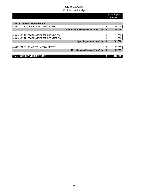|                                              |    | 2013 Adopted<br><b>Budget</b> |
|----------------------------------------------|----|-------------------------------|
|                                              |    |                               |
| <b>STORMWATER REVENUES</b><br>450            |    |                               |
| 450.334.03.10 DEPARTMENT OF ECOLOGY          | \$ | 50,000                        |
| Department of Ecology Grants Sub-Total       | \$ | 50,000                        |
|                                              |    |                               |
| STORMWATER FEES-RESIDENTIAL<br>450.343.83.21 |    | 139,000                       |
| 450.343.83.22 STORMWATER FEES-COMMERCIAL     |    | 22,000                        |
| <b>Operating Income Sub-Total</b>            | S. | 161,000                       |
|                                              |    |                               |
| 450.397.00.00 TRANSFER IN FROM SEWER         | \$ | 27,539                        |
| Miscellaneous Revenue Sub-Total              | \$ | 27,539                        |
|                                              |    |                               |
| Total<br><b>STORMWATER REVENUES</b>          |    | 238,539                       |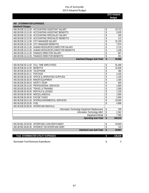|                                  |                                                       | 2013 Adopted<br><b>Budget</b> |
|----------------------------------|-------------------------------------------------------|-------------------------------|
|                                  |                                                       |                               |
| <b>450 STORMWATER EXPENSES</b>   |                                                       |                               |
| <b>Interfund Charges</b>         |                                                       |                               |
| 450.38.538.13.11.00              | ACCOUNTING ASSISTANT SALARY                           | \$<br>10,712                  |
|                                  | 450.38.538.13.21.00 ACCOUNTING ASSISTANT BENEFITS     | \$<br>3,535                   |
|                                  | 450.38.538.13.11.00 ACCOUNTING SPECIALIST SALARY      | \$<br>340                     |
|                                  | 450.38.538.13.21.00 ACCOUNTING SPECIALIST BENEFITS    | \$<br>112                     |
|                                  | 450.38.538.12.11.00 CITY MANAGER SALARY               | \$<br>22,150                  |
|                                  | 450.38.538.12.21.00 CITY MANAGER BENEFITS             | \$<br>7,974                   |
|                                  | 450.38.538.16.11.00 HUMAN RESOURCES DIRECTOR SALARY   | \$<br>3,710                   |
|                                  | 450.38.538.16.21.00 HUMAN RESOURCES DIRECTOR BENEFITS | \$<br>1,336                   |
|                                  | 450.38.538.13.11.00 FINANCE DIRECTOR SALARY           | \$<br>807                     |
| 450.38.538.13.21.00              | <b>FINANCE DIRECTOR BENEFITS</b>                      | \$<br>291                     |
|                                  | <b>Interfund Charges Sub-Total</b>                    | \$<br>50,966                  |
|                                  |                                                       |                               |
|                                  | 450.38.538.30.11.00 FULL TIME EMPLOYEES               | \$<br>91,468                  |
| 450.38.538.30.21.00              | <b>BENEFITS</b>                                       | \$<br>32,928                  |
| 450.38.538.30.42.09              | TELEPHONE                                             | \$<br>366                     |
| 450.38.538.30.42.11              | <b>POSTAGE</b>                                        | \$<br>4,100                   |
| 450.38.538.30.31.00              | <b>OFFICE &amp; OPERATING SUPPLIES</b>                | \$<br>2,100                   |
| 450.38.538.30.35.00              | MINOR EQUIPMENT                                       | \$<br>1,300                   |
| 450.38.538.30.36.03              | <b>SAFETY GEAR</b>                                    | \$<br>800                     |
| 450.38.538.30.41.00              | PROFESSIONAL SERVICES                                 | \$<br>1,800                   |
| 450.38.538.30.43.00              | <b>TRAVEL &amp; TRAINING</b>                          | \$<br>1,000                   |
| 450.38.538.30.45.00              | <b>RENTALS &amp; LEASES</b>                           | \$<br>1,100                   |
| 450.38.538.30.49.00              | <b>MISCELLANEOUS</b>                                  | \$<br>1,800                   |
| 450.38.538.30.49.40 EXCISE TAXES |                                                       | \$<br>3,000                   |
|                                  | 450.38.538.30.51.00 INTERGOVERNMENTAL SERVICES        | \$<br>10,000                  |
| 450.38.538.30.32.00 FUEL         |                                                       | \$<br>4,896                   |
| 450.38.538.30.95.00              | <b>INTERFUND RENTALS</b>                              |                               |
|                                  | Information Technology Equipment Replacement          | \$<br>200                     |
|                                  | Information Technology M&O                            | \$<br>2,362                   |
|                                  | <b>Equipment Rental</b>                               | \$<br>7,395                   |
|                                  | <b>Operating Sub-Total</b>                            | \$<br>166,615                 |
|                                  |                                                       |                               |

| 450.38.581.20.00.00 | INTERFUND LOAN REPAYMENT   |        |
|---------------------|----------------------------|--------|
| 450.38.592.38.82.00 | INTEREST ON INTERFUND DEBT | ィっへ    |
|                     | Interfund Loan Sub-Total   | 20.957 |
|                     |                            |        |

| <b>Total STORMWATER UTILITY EXPENSES</b> | 238.539 |
|------------------------------------------|---------|
| Stormwater Fund Revenues-Expenditures    |         |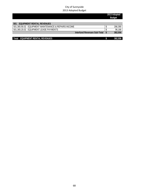|                                                      | 2013 Adopted<br><b>Budget</b> |
|------------------------------------------------------|-------------------------------|
| <b>EQUIPMENT RENTAL REVENUES</b><br>501              |                               |
| 501.365.90.02 EQUIPMENT MAINTENANCE & REPAIRS INCOME | 286,390                       |
| 501.365.20.02 EOUIPMENT LEASE PAYMENTS               | 96,166                        |
| Interfund Revenues Sub-Total                         | 382,556                       |
|                                                      |                               |
| <b>EQUIPMENT RENTAL REVENUES</b><br>Total            | 382,556                       |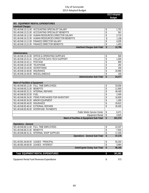|                                                       | 2013 Adopted<br><b>Budget</b> |
|-------------------------------------------------------|-------------------------------|
|                                                       |                               |
| 501 EQUIPMENT RENTAL EXPENDITURES                     |                               |
| <b>Interfund Charges</b>                              |                               |
| 501.48.548.13.11.00 ACCOUNTING SPECIALIST SALARY      | \$<br>1.701                   |
| 501.48.548.13.21.00 ACCOUNTING SPECIALIST BENEFITS    | \$<br>561                     |
| 501.48.548.16.11.00 HUMAN RESOURCES DIRECTOR SALARY   | \$<br>3,710                   |
| 501.48.548.16.21.00 HUMAN RESOURCES DIRECTOR BENEFITS | \$<br>1,336                   |
|                                                       | \$<br>4,035                   |
| 501.48.548.13.21.00 FINANCE DIRECTOR BENEFITS         | \$<br>1,453                   |
| <b>Interfund Charges Sub-Total</b>                    | \$<br>12,796                  |
|                                                       |                               |

| Administration |
|----------------|
|                |
|                |

|                                   | 501.48.548.10.31.00 OFFICE & OPERATING SUPPLIES  | 500    |
|-----------------------------------|--------------------------------------------------|--------|
|                                   | 501.48.548.10.41.41 COLLECTIVE DATA TECH SUPPORT | 1,500  |
| 501.48.548.10.42.11 POSTAGE       |                                                  | 895    |
| 501 48 548 10 42 09 TELEPHONE     |                                                  | 292    |
| 501.48.548.10.44.00 ADVERTISING   |                                                  | 200    |
| 501.48.548.10.46.00 INSURANCE     |                                                  | 20,990 |
| 501.48.548.10.49.00 MISCELLANEOUS |                                                  | 100    |
|                                   | <b>Administration Sub-Total</b>                  | 24,477 |

| <b>Maint of Facilities &amp; Equipment</b>           |               |         |
|------------------------------------------------------|---------------|---------|
| 501.48.548.65.11.00 FULL TIME EMPLOYEES              |               | 33,056  |
| 501.48.548.65.21.00 BENEFITS                         |               | 11,900  |
| 501.48.548.65.31.31 INTERNAL REPAIRS                 |               | 49,400  |
| 501.48.548.65.32.00 FUEL                             |               | 2,400   |
| 501.48.548.65.34.00 ITEMS PURCHASED FOR INVENTORY    |               | 16,600  |
| 501.48.548.65.35.00 MINOR EQUIPMENT                  |               | 1,300   |
| 501.48.548.65.46.00 INSURANCE                        |               | 29,622  |
| 501.48.548.65.48.42 EXTERNAL REPAIRS                 |               | 45,000  |
| 501.48.548.65.95.00 INTERFUND PAYMENTS               |               |         |
| <b>Public Works Service Center</b>                   | <sup>\$</sup> | 8,471   |
| Equipment Rental                                     | S             | 3,625   |
| <b>Maint of Facilities &amp; Equipment Sub-Total</b> | <b>S</b>      | 201,374 |

| <b>Operations - General</b>                 |    |         |
|---------------------------------------------|----|---------|
| 501.48.548.68.11.00 FULL TIME EMPLOYEES     |    | 22,037  |
| 501.48.548.68.21.00 BENEFITS                |    | 7,933   |
| 501.48.548.68.31.31 INTERNAL SHOP SUPPLIES  |    | 17,200  |
| <b>Operations - General Sub-Total</b>       | S  | 47,170  |
|                                             |    |         |
| 501.48.591.48.66.00 LEASES - PRINCIPAL      |    | 92,202  |
| 501.48.592.48.66.00 LEASES - INTEREST       |    | 3,964   |
| Debt/Capital Outlay Sub-Total               | -S | 96,166  |
|                                             |    |         |
| <b>Total EQUIPMENT RENTAL EXPENDITURES</b>  |    | 381,983 |
| Equipment Rental Fund Revenues-Expenditures |    | 573     |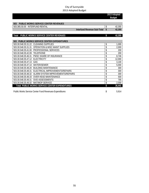|                                                                   | 2013 Adopted<br><b>Budget</b> |        |
|-------------------------------------------------------------------|-------------------------------|--------|
|                                                                   |                               |        |
| PUBLIC WORKS SERVICE CENTER REVENUES<br>503                       |                               |        |
| <b>INTERFUND RENTAL</b><br>503.365.50.00                          | \$                            | 42,355 |
| <b>Interfund Revenue Sub-Total</b>                                | $\mathbf{\hat{S}}$            | 42,355 |
|                                                                   |                               |        |
| PUBLIC WORKS SERVICE CENTER REVENUES<br>Total                     | \$                            | 42,355 |
|                                                                   |                               |        |
| 503 PUBLIC WORKS SERVICE CENTER EXPENDITURES                      |                               |        |
| 503.30.548.35.31.22<br><b>CLEANING SUPPLIES</b>                   | \$                            | 1,000  |
| <b>OPERATION &amp; MISC MAINT SUPPLIES</b><br>503.30.548.35.31.31 | \$                            | 2,000  |
| 503.30.548.35.41.00 PROFESSIONAL SERVICES                         | \$                            | 200    |
| 503.30.548.35.42.09<br><b>TELEPHONE</b>                           | \$                            | 200    |
| 503.30.548.35.46.31<br>PWSC SHARE OF INSURANCE                    | \$                            | 8,746  |
| 503.30.548.35.47.12<br><b>ELECTRICITY</b>                         | \$                            | 12,000 |
| 503.30.548.35.47.13<br>GAS                                        | \$                            | 3,100  |
| 503.30.548.35.47.14<br><b>WATER/SEWER</b>                         | \$                            | 5,000  |
| 503.30.548.35.48.20<br><b>BUILDING MAINTENANCE</b>                | \$                            | 300    |
| ELECTRICAL IMPROVEMENTS/REPAIRS<br>503.30.548.35.48.31            | \$                            | 300    |
| 503.30.548.35.48.32<br>ALARM SYSTEM IMPROVEMENTS/REPAIRS          | \$                            | 300    |
| 503.30.548.35.48.33<br><b>OVER HEAD MAINTENANCE</b>               | \$                            | 500    |
| 503.30.548.35.49.31<br><b>SVID ASSESSMENTS</b>                    | \$                            | 795    |
| 503.30.548.35.49.32<br><b>MAT/MOP SERVICE</b>                     | \$                            | 2,000  |
| <b>Total PUBLIC WORKS SERVICE CENTER EXPENDITURES</b>             | \$                            | 36,441 |

Public Works Service Center Fund Revenues-Expenditures 5,914 \$ 5,914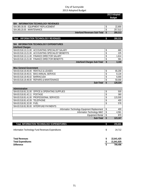|                                                         |                 | 2013 Adopted<br><b>Budget</b> |
|---------------------------------------------------------|-----------------|-------------------------------|
|                                                         |                 |                               |
| <b>INFORMATION TECHNOLOGY REVENUES</b><br>504           |                 |                               |
| 504.365.30.00 EQUIPMENT REPLACEMENT                     | \$              | 22,800                        |
| 504.365.20.00 MAINTENANCE                               | \$              | 257,513                       |
| <b>Interfund Revenues Sub-Total</b>                     | \$              | 280,313                       |
| <b>INFORMATION TECHNOLOGY REVENUES</b><br>Total         | \$              | 280,313                       |
|                                                         |                 |                               |
| <b>INFORMATION TECHNOLOGY EXPENDITURES</b><br>504       |                 |                               |
| <b>Interfund Charges</b>                                |                 |                               |
| ACCOUNTING SPECIALIST SALARY<br>504.83.518.13.11.00     | \$              | 680                           |
| 504.83.518.13.21.00<br>ACCOUNTING SPECIALIST BENEFITS   | \$              | 225                           |
| 504.83.518.13.11.00<br>FINANCE DIRECTOR SALARY          | \$              | 1,614                         |
| 504.83.518.13.21.00<br><b>FINANCE DIRECTOR BENEFITS</b> | \$              | 581                           |
| <b>Interfund Charges Sub-Total</b>                      | \$              | 3,100                         |
|                                                         |                 |                               |
| <b>Misc General Government</b>                          |                 |                               |
| 504.83.518.19.45.00 RENTALS & LEASES                    | \$              | 65,200                        |
| 504.83.518.19.45.01 BIAS ANNUAL SERVICE                 | \$              | 8,134                         |
| 504.83.518.19.45.02 BARRACUDA                           | \$              | 6,000                         |
| 504.83.518.19.48.00 REPAIRS & MAINTENANCE               | \$              | 50,000                        |
| Sub-Total                                               | \$              | 129,334                       |
|                                                         |                 |                               |
| Administration                                          |                 |                               |
| 504.83.518.81.31.00 OFFICE & OPERATING SUPPLIES         | \$              | 500                           |
| <b>POSTAGE</b><br>504.83.518.81.42.11                   | \$              | 360                           |
| 504.83.518.81.41.00 PROFESSIONAL SERVICES               | \$              | 115,500                       |
| 504.83.518.81.42.09 TELEPHONE                           | $\overline{\$}$ | 400                           |
| 504.83.518.81.32.00 FUEL                                | \$              | 576                           |
| 504.83.518.81.95.00<br><b>INTERFUND PAYMENTS</b>        |                 |                               |
| Information Technology Equipment Replacement            | \$              | 400                           |
| Information Technology M&O                              | \$              | 4,561                         |
| <b>Equipment Rental</b>                                 | $\overline{\$}$ | 870                           |
| Sub-Total                                               | \$              | 123,167                       |
| <b>Total INFORMATION TECHNOLOGY EXPENDITURES</b>        | \$              | 255,601                       |
|                                                         |                 |                               |
| Information Technology Fund Revenues-Expenditures       | \$              | 24,712                        |
|                                                         |                 |                               |
| <b>Total Revenues</b>                                   | \$              | 22,641,425                    |
| <b>Total Expenditures</b>                               | \$              | 21,841,929                    |

**Difference \$ 799,496**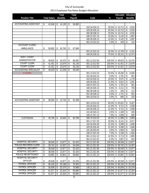|                              |                     |                           | Total           |    | <b>Total</b> |                                |               | Allocated                                    | Allocated                        |
|------------------------------|---------------------|---------------------------|-----------------|----|--------------|--------------------------------|---------------|----------------------------------------------|----------------------------------|
| <b>Position Title</b>        | <b>Total Salary</b> |                           | <b>Benefits</b> |    | Payroll      | Code                           | $\%$          | Payroll                                      | <b>Benefits</b>                  |
|                              |                     |                           |                 |    |              |                                |               |                                              |                                  |
| <b>ACCOUNTING ASSISTANT</b>  | \$<br>42,846        | \$                        | 14,139          | \$ | 56,985       |                                |               |                                              |                                  |
|                              |                     |                           |                 |    |              | 410.34.534.13                  | 25.0%         | \$10,712                                     | 3,535<br>\$                      |
|                              |                     |                           |                 |    |              | 420.35.535.13                  | 25.0%         | \$10,712                                     | \$<br>3,535                      |
|                              |                     |                           |                 |    |              | 450.38.538.13                  | 25.0%         | $\overline{$}10,712$                         | \$<br>3,535                      |
|                              |                     |                           |                 |    |              | 430.37.537.13                  | 12.0%         | $\overline{\mathcal{S}}$<br>5,142            | \$<br>1,697                      |
|                              |                     |                           |                 |    |              | 440.26.526.13                  | 12.0%         | $\overline{5,142}$<br>$\sqrt[6]{}$           | \$<br>1,697                      |
|                              |                     |                           |                 |    |              | 001.14.514.10                  | 1.0%          | $\sqrt{2}$<br>428                            | \$<br>$\overline{141}$           |
| <b>ACCOUNT CLERK/</b>        |                     |                           |                 |    |              |                                |               |                                              |                                  |
| AMBULANCE                    | \$<br>50,802        | \$                        | 16,765          | \$ | 67,566       |                                |               |                                              |                                  |
|                              |                     |                           |                 |    |              | 001.22.522.10                  | 25.0%         | $\overline{\$}$ 12,700                       | \$<br>4,191                      |
| ASST. COURT                  |                     |                           |                 |    |              | 440.26.526.10                  | 75.0%         | \$38,101                                     | $\sqrt{12,573}$                  |
| ADMINISTRATOR                |                     |                           |                 |    |              |                                |               |                                              |                                  |
| <b>COURT CLERK</b>           | \$<br>49,625        | \$                        | 16,376          | \$ | 66,002       | 001.12.512.50                  | 100.0%        | \$49,625                                     | \$16,376                         |
| <b>COURT CLERK</b>           | \$<br>41,451        | \$                        | 13,679          | \$ | 55,130       | 001.12.512.50<br>001.12.512.50 | 100.0%        | \$41,451                                     | \$13,679                         |
|                              | \$<br>41,451        | \$                        | 13,679          | \$ | 55,130       |                                | 100.0%        | \$41,451                                     | \$13,679                         |
| <b>ACCOUNTING SPECIALIST</b> | \$<br>34,019        | \$                        | 11,226          | \$ | 45,245       | 001.14.514.10                  |               |                                              |                                  |
| 9 months                     |                     |                           |                 |    |              | 101.40.543.13                  | 53.5%<br>5.0% | \$18,200<br>$\sqrt[6]{\frac{1}{2}}$<br>1,701 | \$<br>6,006<br>\$<br>561         |
|                              |                     |                           |                 |    |              | 410.34.534.13                  | 10.5%         | $\sqrt[6]{}$<br>3,572                        | \$<br>1,179                      |
|                              |                     |                           |                 |    |              | 420.35.535.13                  | 11.5%         | $\overline{\mathcal{S}}$<br>3,912            | $\overline{\mathsf{S}}$<br>1,291 |
|                              |                     |                           |                 |    |              | 430.37.537.13                  | 5.0%          | $\sqrt[6]{}$<br>1,701                        | \$<br>561                        |
|                              |                     |                           |                 |    |              | 440.26.526.13                  | 6.5%          | \$<br>2,211                                  | \$<br>730                        |
|                              |                     |                           |                 |    |              | 450.38.538.13                  | 1.0%          | \$<br>340                                    | \$<br>112                        |
|                              |                     |                           |                 |    |              | 501.48.548.13                  | 5.0%          | $\sqrt{2}$<br>1,701                          | \$<br>561                        |
|                              |                     |                           |                 |    |              | 504.18.518.13                  | 2.0%          | \$<br>680                                    | $\overline{225}$<br>\$           |
| <b>ACCOUNTING ASSISTANT</b>  | \$<br>38,540        | \$                        | 12,718          | \$ | 51,258       |                                |               |                                              |                                  |
|                              |                     |                           |                 |    |              | 001.14.514.10                  | 65.0%         | \$25,051                                     | 8,267<br>\$                      |
|                              |                     |                           |                 |    |              | 410.34.534.13                  | 12.3%         | \$<br>4,721                                  | \$<br>1,558                      |
|                              |                     |                           |                 |    |              | 420.35.535.13                  | 12.3%         | $\sqrt{2}$<br>4,721                          | \$<br>1,558                      |
|                              |                     |                           |                 |    |              | 101.40.543.13                  | 3.5%          | $\sqrt[6]{}$<br>1,349                        | \$<br>445                        |
|                              |                     |                           |                 |    |              | 430.37.537.13                  | 7.0%          | \$<br>2,698                                  | 890<br>\$                        |
| <b>CUSTODIAN</b>             | \$<br>45,706        | \$                        | 15,083          | \$ | 60,789       | 006.70.518.20                  | 26.3%         | 11,998<br>\$                                 | 3,959<br>\$                      |
|                              |                     |                           |                 |    |              | 001.17.517.20                  | 20.0%         | 9,141<br>\$                                  | \$<br>3,017                      |
|                              |                     |                           |                 |    |              | 410.34.534.40                  | 12.3% \$      | 5,599                                        | 1,848<br>\$                      |
|                              |                     |                           |                 |    |              | 420.35.535.40                  | 12.3%         | $\sqrt{3}$<br>5,599                          | \$<br>1,848                      |
|                              |                     |                           |                 |    |              | 101.40.543.40                  | $3.5\%$ \$    | 1,600                                        | \$<br>528                        |
|                              |                     |                           |                 |    |              | 430.37.537.40                  | $7.0\%$ \$    | 3,199                                        | \$<br>1,056                      |
|                              |                     |                           |                 |    |              | 001.12.512.10                  | 12.5% \$      | $\overline{5}$ , 713                         | \$<br>1,885                      |
|                              |                     |                           |                 |    |              | 001.21.521.02                  | $6.3\%$ \$    | 2,857                                        | \$<br>943                        |
| <b>HOSPITAL SECURITY</b>     | \$<br>38,548        | \$                        | 13,877          | \$ | 52,425       | 001.21.521.96                  | 100.0%        | \$38,548                                     | \$13,877                         |
| <b>POLICE RECORDS CLERK</b>  | \$<br>39,742        | \$                        | 14,307          | \$ | 54,049       | 001.21.521.93                  | 100.0%        | \$39,742                                     | \$14,307                         |
| <b>HOSPITAL SECURITY</b>     | \$<br>38,548        | $\boldsymbol{\mathsf{S}}$ | 13,877          | \$ | 52,425       | 001.21.521.96                  |               | 100.0% \$ 38,548                             | \$13,877                         |
| <b>HOSPITAL SECURITY</b>     | \$<br>38,548        | \$                        | 13,877          | \$ | 52,425       | 001.21.521.96                  |               | 100.0% \$ 38,548                             | \$13,877                         |
| <b>POLICE RECEPTIONIST</b>   | \$<br>43,891        | \$                        | 15,801          | \$ | 59,692       | 001.21.521.10                  | 100.0%        | \$43,891                                     | \$15,801                         |
| <b>HOSPITAL SECURITY</b>     |                     |                           |                 |    |              |                                |               |                                              |                                  |
| <b>OFFICER</b>               | \$<br>38,548        | \$                        | 13,877          | \$ | 52,425       | 001.21.521.96                  |               | 100.0% \$38,548                              | \$13,877                         |
| PATROL OFFICER               | \$<br>56,105        | \$                        | 20,198          | S  | 76,303       | 001.21.521.22                  |               | 100.0% \$ 56,105                             | \$20,198                         |
| PATROL OFFICER               | \$<br>56,609        | $\overline{\mathcal{S}}$  | 20,379          | \$ | 76,988       | 140.21.521.22                  |               | 100.0% \$ 56,609                             | \$20,379                         |
| PATROL OFFICER               | \$<br>61,677        | \$                        | 22,204          | \$ | 83,880       | 001.21.521.22                  |               | 100.0% \$ 61,677                             | \$22,204                         |
| PATROL OFFICER               | \$<br>61,677        | \$                        | 22,204          | \$ | 83,880       | 001.21.521.22                  |               | 100.0% \$ 61,677                             | \$22,204                         |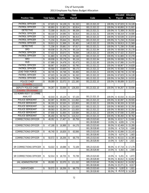| <b>Total Salary</b><br>$\%$<br><b>Position Title</b><br><b>Benefits</b><br>Payroll<br>Code<br>Payroll<br><b>Benefits</b><br>PATROL OFFICER<br>91,152<br>001.21.521.22<br>\$<br>67,023<br>$\boldsymbol{\mathsf{s}}$<br>24,128<br>\$<br>100.0% \$ 67,023<br>\$24,128<br>PATROL OFFICER<br>60,893<br>21,921<br>82,814<br>001.21.521.22<br>\$<br>\$<br>\$<br>100.0%<br>\$60,893<br>\$21,921<br><b>DETECTIVE</b><br>72,308<br>26,031<br>98,339<br>001.21.521.21<br>100.0% \$72,308<br>\$26,031<br>\$<br>\$<br>\$<br>PATROL OFFICER<br>24,595<br>001.21.521.31<br>\$24,595<br>68,319<br>\$<br>92,914<br>100.0%<br>\$68,319<br>\$<br>\$<br>PATROL OFFICER<br>22,874<br>63,539<br>001.21.521.22<br>100.0% \$ 63,539<br>\$22,874<br>\$<br>\$<br>\$<br>86,413<br>PATROL OFFICER<br>\$25,644<br>\$<br>71,234<br>25,644<br>96,878<br>001.21.521.22<br>100.0% \$71,234<br>\$<br>S<br>PATROL OFFICER<br>59,913<br>21,569<br>81,481<br>140.21.521.22<br>\$59,913<br>\$21,569<br>\$<br>\$<br>\$<br>100.0%<br><b>DETECTIVE</b><br>25,681<br>97,017<br>001.21.521.21<br>\$25,681<br>71,336<br>\$<br>100.0%<br>\$71,336<br>\$<br>\$<br>SRO<br>001.21.521.94<br>\$25,178<br>69,938<br>25,178<br>95,116<br>100.0%<br>\$69,938<br>\$<br>\$<br>\$<br>PATROL OFFICER<br>57,422<br>20,672<br>78,094<br>140.21.521.22<br>100.0% \$ 57,422<br>\$20,672<br>\$<br>\$<br>\$<br>PATROL OFFICER<br>\$<br>22,278<br>001.21.521.22<br>$\sqrt{22,278}$<br>61,883<br>\$<br>\$<br>84,160<br>100.0%<br>\$61,883<br>SRO<br>69,938<br>95,116<br>001.21.521.94<br>\$25,178<br>\$<br>25,178<br>100.0%<br>\$69,938<br>\$<br>S<br>HUD<br>24,478<br>92,473<br>001.21.521.95<br>\$<br>67,995<br>\$<br>\$<br>100.0%<br>\$67,995<br>\$24,478<br>PATROL OFFICER<br>001.21.521.22<br>68,967<br>24,828<br>93,795<br>100.0% \$68,967<br>\$24,828<br>\$<br>\$<br>\$<br>PATROL OFFICER<br>23,605<br>89,173<br>001.21.521.22<br>\$23,605<br>65,568<br>100.0%<br>\$65,568<br>\$<br>\$<br>\$<br><b>LEAD TASK FORCE</b><br>68,745<br>24,748<br>93,493<br>001.21.521.21<br>\$24,748<br>\$<br>\$<br>\$<br>100.0%<br>\$68,745<br>PATROL OFFICER<br>001.21.521.22<br>\$<br>67,023<br>24,128<br>91,152<br>100.0% \$ 67,023<br>\$24,128<br>\$<br>\$<br>PATROL OFFICER<br>73,790<br>\$<br>54,258<br>19,533<br>001.21.521.22<br>100.0%<br>\$54,258<br>\$19,533<br>\$<br>\$<br>POLICE CHIEF<br>001.21.521.10<br>$\overline{$}32,072$<br>89,089<br>32,072<br>121,160<br>100.0%<br>\$89,089<br>\$<br>\$<br>\$<br>11 months<br><b>DEPUTY POLICE CHIEF</b><br>001.21.521.10<br>33,936<br>128,203<br>100.0%<br>\$94,267<br>\$33,936<br>94,267<br>\$<br>\$<br>\$<br>3 months - 5% increase<br>1/2 ADMIN ASST/ 1/2 CRIME<br>001.21.521.10<br>ANALYST<br>\$<br>\$42,010<br>\$<br>42,010<br>\$<br>15,124<br>57,133<br>100.0%<br>\$15,124<br>POLICE SERGEANT<br>29,555<br>001.21.521.22<br>100.0% \$82,097<br>\$29,555<br>\$<br>82,097<br>\$<br>111,652<br>\$<br>POLICE SERGEANT<br>90,333<br>32,520<br>122,853<br>001.21.521.21<br>\$90,333<br>\$32,520<br>\$<br>\$<br>\$<br>100.0%<br>POLICE SERGEANT<br>32,250<br>121,833<br>001.21.521.22<br>\$32,250<br>89,583<br>100.0% \$89,583<br>\$<br>\$<br>\$<br>POLICE SERGEANT<br>001.21.521.22<br>\$32,250<br>89,583<br>32,250<br>121,833<br>100.0%<br>\$89,583<br>\$<br>\$<br>\$<br>POLICE SERGEANT<br>87,930<br>31,655<br>119,584<br>001.21.521.22<br>100.0% \$87,930<br>\$31,655<br>\$<br>\$<br>\$<br>POLICE SERGEANT<br>001.21.521.22<br>\$85,450<br>\$30,762<br>\$<br>85,450<br>30,762<br>\$<br>116,212<br>100.0%<br>\$<br><b>CORRECTIONS OFFICER</b><br>65,759<br>005.23.523.60<br>43,517<br>15,666<br>\$<br>48,352<br>17,407<br>\$<br>90.0%<br>\$<br>\$<br>\$<br>10.0% \$<br>4,835<br>\$<br>001.28.528.80<br>1,741<br><b>CORRECTIONS OFFICER</b><br>47,188<br>16,988<br>64,176<br>005.23.523.60<br>90.0%<br>\$42,469<br>\$15,289<br>\$<br>\$<br>\$<br>10.0%<br>001.28.528.80<br>\$<br>4,719<br>1,699<br>\$<br><b>CORRECTIONS OFFICER</b><br>46,740<br>16,826<br>\$<br>63,566<br>005.23.523.60<br>$90.0\%$ \$ 42,066<br>\$15,143<br>\$<br>\$<br>001.28.528.80<br>10.0% \$<br>4,674<br>\$<br>1,683<br><b>CORRECTIONS OFFICER</b><br>68,778<br>005.23.523.60<br>90.0% \$45,515<br>50,572<br>18,206<br>16,385<br>\$<br>\$<br>\$<br>\$<br>001.28.528.80<br>10.0%<br>\$<br>5,057<br>\$<br>1,821<br>SR CORRECTIONS OFFICER<br>\$<br>53,022<br>\$<br>19,088<br>\$<br>72,109<br>005.23.523.60<br>90.0% \$47,719<br>\$17,179<br>001.28.528.80<br>\$<br>\$<br>10.0%<br>5,302<br>1,909<br>SR CORRECTIONS OFFICER<br>\$<br>1,872<br>52,014<br>18,725<br>\$<br>70,739<br>005.23.523.60<br>10.0%<br>5,201<br>\$<br>\$<br>\$<br>001.28.528.80<br>90.0%<br>\$46,812<br>\$<br>16,852<br><b>JAIL ADMINISTRATOR</b><br>32,070<br>89,083<br>121,152<br>005.23.523.60<br>75.0%<br>\$66,812<br>\$24,052<br>\$<br>\$<br>\$<br>001.28.528.80<br>25.0%<br>\$22,271<br>8,017<br>\$<br><b>DISPATCHER</b><br>18,206<br>68,778<br>005.23.523.60<br>\$<br>50,572<br>$\overline{\mathcal{S}}$<br>10.0%<br>$\boldsymbol{\mathsf{s}}$<br>5,057<br>1,821<br>\$<br>\$<br>45,515<br>001.28.528.80<br>\$<br>$\overline{16,385}$<br>90.0% |  |  | Total | Total |  | Allocated Allocated |
|----------------------------------------------------------------------------------------------------------------------------------------------------------------------------------------------------------------------------------------------------------------------------------------------------------------------------------------------------------------------------------------------------------------------------------------------------------------------------------------------------------------------------------------------------------------------------------------------------------------------------------------------------------------------------------------------------------------------------------------------------------------------------------------------------------------------------------------------------------------------------------------------------------------------------------------------------------------------------------------------------------------------------------------------------------------------------------------------------------------------------------------------------------------------------------------------------------------------------------------------------------------------------------------------------------------------------------------------------------------------------------------------------------------------------------------------------------------------------------------------------------------------------------------------------------------------------------------------------------------------------------------------------------------------------------------------------------------------------------------------------------------------------------------------------------------------------------------------------------------------------------------------------------------------------------------------------------------------------------------------------------------------------------------------------------------------------------------------------------------------------------------------------------------------------------------------------------------------------------------------------------------------------------------------------------------------------------------------------------------------------------------------------------------------------------------------------------------------------------------------------------------------------------------------------------------------------------------------------------------------------------------------------------------------------------------------------------------------------------------------------------------------------------------------------------------------------------------------------------------------------------------------------------------------------------------------------------------------------------------------------------------------------------------------------------------------------------------------------------------------------------------------------------------------------------------------------------------------------------------------------------------------------------------------------------------------------------------------------------------------------------------------------------------------------------------------------------------------------------------------------------------------------------------------------------------------------------------------------------------------------------------------------------------------------------------------------------------------------------------------------------------------------------------------------------------------------------------------------------------------------------------------------------------------------------------------------------------------------------------------------------------------------------------------------------------------------------------------------------------------------------------------------------------------------------------------------------------------------------------------------------------------------------------------------------------------------------------------------------------------------------------------------------------------------------------------------------------------------------------------------------------------------------------------------------------------------------------------------------------------------------------------------------------------------------------------------------------------------------------------------------------------------------------------------------------------------------------------------------------------------------------------------------------------------------------------------------------------------------------------------------------------------------------------------------------------------|--|--|-------|-------|--|---------------------|
|                                                                                                                                                                                                                                                                                                                                                                                                                                                                                                                                                                                                                                                                                                                                                                                                                                                                                                                                                                                                                                                                                                                                                                                                                                                                                                                                                                                                                                                                                                                                                                                                                                                                                                                                                                                                                                                                                                                                                                                                                                                                                                                                                                                                                                                                                                                                                                                                                                                                                                                                                                                                                                                                                                                                                                                                                                                                                                                                                                                                                                                                                                                                                                                                                                                                                                                                                                                                                                                                                                                                                                                                                                                                                                                                                                                                                                                                                                                                                                                                                                                                                                                                                                                                                                                                                                                                                                                                                                                                                                                                                                                                                                                                                                                                                                                                                                                                                                                                                                                                                                                                            |  |  |       |       |  |                     |
|                                                                                                                                                                                                                                                                                                                                                                                                                                                                                                                                                                                                                                                                                                                                                                                                                                                                                                                                                                                                                                                                                                                                                                                                                                                                                                                                                                                                                                                                                                                                                                                                                                                                                                                                                                                                                                                                                                                                                                                                                                                                                                                                                                                                                                                                                                                                                                                                                                                                                                                                                                                                                                                                                                                                                                                                                                                                                                                                                                                                                                                                                                                                                                                                                                                                                                                                                                                                                                                                                                                                                                                                                                                                                                                                                                                                                                                                                                                                                                                                                                                                                                                                                                                                                                                                                                                                                                                                                                                                                                                                                                                                                                                                                                                                                                                                                                                                                                                                                                                                                                                                            |  |  |       |       |  |                     |
|                                                                                                                                                                                                                                                                                                                                                                                                                                                                                                                                                                                                                                                                                                                                                                                                                                                                                                                                                                                                                                                                                                                                                                                                                                                                                                                                                                                                                                                                                                                                                                                                                                                                                                                                                                                                                                                                                                                                                                                                                                                                                                                                                                                                                                                                                                                                                                                                                                                                                                                                                                                                                                                                                                                                                                                                                                                                                                                                                                                                                                                                                                                                                                                                                                                                                                                                                                                                                                                                                                                                                                                                                                                                                                                                                                                                                                                                                                                                                                                                                                                                                                                                                                                                                                                                                                                                                                                                                                                                                                                                                                                                                                                                                                                                                                                                                                                                                                                                                                                                                                                                            |  |  |       |       |  |                     |
|                                                                                                                                                                                                                                                                                                                                                                                                                                                                                                                                                                                                                                                                                                                                                                                                                                                                                                                                                                                                                                                                                                                                                                                                                                                                                                                                                                                                                                                                                                                                                                                                                                                                                                                                                                                                                                                                                                                                                                                                                                                                                                                                                                                                                                                                                                                                                                                                                                                                                                                                                                                                                                                                                                                                                                                                                                                                                                                                                                                                                                                                                                                                                                                                                                                                                                                                                                                                                                                                                                                                                                                                                                                                                                                                                                                                                                                                                                                                                                                                                                                                                                                                                                                                                                                                                                                                                                                                                                                                                                                                                                                                                                                                                                                                                                                                                                                                                                                                                                                                                                                                            |  |  |       |       |  |                     |
|                                                                                                                                                                                                                                                                                                                                                                                                                                                                                                                                                                                                                                                                                                                                                                                                                                                                                                                                                                                                                                                                                                                                                                                                                                                                                                                                                                                                                                                                                                                                                                                                                                                                                                                                                                                                                                                                                                                                                                                                                                                                                                                                                                                                                                                                                                                                                                                                                                                                                                                                                                                                                                                                                                                                                                                                                                                                                                                                                                                                                                                                                                                                                                                                                                                                                                                                                                                                                                                                                                                                                                                                                                                                                                                                                                                                                                                                                                                                                                                                                                                                                                                                                                                                                                                                                                                                                                                                                                                                                                                                                                                                                                                                                                                                                                                                                                                                                                                                                                                                                                                                            |  |  |       |       |  |                     |
|                                                                                                                                                                                                                                                                                                                                                                                                                                                                                                                                                                                                                                                                                                                                                                                                                                                                                                                                                                                                                                                                                                                                                                                                                                                                                                                                                                                                                                                                                                                                                                                                                                                                                                                                                                                                                                                                                                                                                                                                                                                                                                                                                                                                                                                                                                                                                                                                                                                                                                                                                                                                                                                                                                                                                                                                                                                                                                                                                                                                                                                                                                                                                                                                                                                                                                                                                                                                                                                                                                                                                                                                                                                                                                                                                                                                                                                                                                                                                                                                                                                                                                                                                                                                                                                                                                                                                                                                                                                                                                                                                                                                                                                                                                                                                                                                                                                                                                                                                                                                                                                                            |  |  |       |       |  |                     |
|                                                                                                                                                                                                                                                                                                                                                                                                                                                                                                                                                                                                                                                                                                                                                                                                                                                                                                                                                                                                                                                                                                                                                                                                                                                                                                                                                                                                                                                                                                                                                                                                                                                                                                                                                                                                                                                                                                                                                                                                                                                                                                                                                                                                                                                                                                                                                                                                                                                                                                                                                                                                                                                                                                                                                                                                                                                                                                                                                                                                                                                                                                                                                                                                                                                                                                                                                                                                                                                                                                                                                                                                                                                                                                                                                                                                                                                                                                                                                                                                                                                                                                                                                                                                                                                                                                                                                                                                                                                                                                                                                                                                                                                                                                                                                                                                                                                                                                                                                                                                                                                                            |  |  |       |       |  |                     |
|                                                                                                                                                                                                                                                                                                                                                                                                                                                                                                                                                                                                                                                                                                                                                                                                                                                                                                                                                                                                                                                                                                                                                                                                                                                                                                                                                                                                                                                                                                                                                                                                                                                                                                                                                                                                                                                                                                                                                                                                                                                                                                                                                                                                                                                                                                                                                                                                                                                                                                                                                                                                                                                                                                                                                                                                                                                                                                                                                                                                                                                                                                                                                                                                                                                                                                                                                                                                                                                                                                                                                                                                                                                                                                                                                                                                                                                                                                                                                                                                                                                                                                                                                                                                                                                                                                                                                                                                                                                                                                                                                                                                                                                                                                                                                                                                                                                                                                                                                                                                                                                                            |  |  |       |       |  |                     |
|                                                                                                                                                                                                                                                                                                                                                                                                                                                                                                                                                                                                                                                                                                                                                                                                                                                                                                                                                                                                                                                                                                                                                                                                                                                                                                                                                                                                                                                                                                                                                                                                                                                                                                                                                                                                                                                                                                                                                                                                                                                                                                                                                                                                                                                                                                                                                                                                                                                                                                                                                                                                                                                                                                                                                                                                                                                                                                                                                                                                                                                                                                                                                                                                                                                                                                                                                                                                                                                                                                                                                                                                                                                                                                                                                                                                                                                                                                                                                                                                                                                                                                                                                                                                                                                                                                                                                                                                                                                                                                                                                                                                                                                                                                                                                                                                                                                                                                                                                                                                                                                                            |  |  |       |       |  |                     |
|                                                                                                                                                                                                                                                                                                                                                                                                                                                                                                                                                                                                                                                                                                                                                                                                                                                                                                                                                                                                                                                                                                                                                                                                                                                                                                                                                                                                                                                                                                                                                                                                                                                                                                                                                                                                                                                                                                                                                                                                                                                                                                                                                                                                                                                                                                                                                                                                                                                                                                                                                                                                                                                                                                                                                                                                                                                                                                                                                                                                                                                                                                                                                                                                                                                                                                                                                                                                                                                                                                                                                                                                                                                                                                                                                                                                                                                                                                                                                                                                                                                                                                                                                                                                                                                                                                                                                                                                                                                                                                                                                                                                                                                                                                                                                                                                                                                                                                                                                                                                                                                                            |  |  |       |       |  |                     |
|                                                                                                                                                                                                                                                                                                                                                                                                                                                                                                                                                                                                                                                                                                                                                                                                                                                                                                                                                                                                                                                                                                                                                                                                                                                                                                                                                                                                                                                                                                                                                                                                                                                                                                                                                                                                                                                                                                                                                                                                                                                                                                                                                                                                                                                                                                                                                                                                                                                                                                                                                                                                                                                                                                                                                                                                                                                                                                                                                                                                                                                                                                                                                                                                                                                                                                                                                                                                                                                                                                                                                                                                                                                                                                                                                                                                                                                                                                                                                                                                                                                                                                                                                                                                                                                                                                                                                                                                                                                                                                                                                                                                                                                                                                                                                                                                                                                                                                                                                                                                                                                                            |  |  |       |       |  |                     |
|                                                                                                                                                                                                                                                                                                                                                                                                                                                                                                                                                                                                                                                                                                                                                                                                                                                                                                                                                                                                                                                                                                                                                                                                                                                                                                                                                                                                                                                                                                                                                                                                                                                                                                                                                                                                                                                                                                                                                                                                                                                                                                                                                                                                                                                                                                                                                                                                                                                                                                                                                                                                                                                                                                                                                                                                                                                                                                                                                                                                                                                                                                                                                                                                                                                                                                                                                                                                                                                                                                                                                                                                                                                                                                                                                                                                                                                                                                                                                                                                                                                                                                                                                                                                                                                                                                                                                                                                                                                                                                                                                                                                                                                                                                                                                                                                                                                                                                                                                                                                                                                                            |  |  |       |       |  |                     |
|                                                                                                                                                                                                                                                                                                                                                                                                                                                                                                                                                                                                                                                                                                                                                                                                                                                                                                                                                                                                                                                                                                                                                                                                                                                                                                                                                                                                                                                                                                                                                                                                                                                                                                                                                                                                                                                                                                                                                                                                                                                                                                                                                                                                                                                                                                                                                                                                                                                                                                                                                                                                                                                                                                                                                                                                                                                                                                                                                                                                                                                                                                                                                                                                                                                                                                                                                                                                                                                                                                                                                                                                                                                                                                                                                                                                                                                                                                                                                                                                                                                                                                                                                                                                                                                                                                                                                                                                                                                                                                                                                                                                                                                                                                                                                                                                                                                                                                                                                                                                                                                                            |  |  |       |       |  |                     |
|                                                                                                                                                                                                                                                                                                                                                                                                                                                                                                                                                                                                                                                                                                                                                                                                                                                                                                                                                                                                                                                                                                                                                                                                                                                                                                                                                                                                                                                                                                                                                                                                                                                                                                                                                                                                                                                                                                                                                                                                                                                                                                                                                                                                                                                                                                                                                                                                                                                                                                                                                                                                                                                                                                                                                                                                                                                                                                                                                                                                                                                                                                                                                                                                                                                                                                                                                                                                                                                                                                                                                                                                                                                                                                                                                                                                                                                                                                                                                                                                                                                                                                                                                                                                                                                                                                                                                                                                                                                                                                                                                                                                                                                                                                                                                                                                                                                                                                                                                                                                                                                                            |  |  |       |       |  |                     |
|                                                                                                                                                                                                                                                                                                                                                                                                                                                                                                                                                                                                                                                                                                                                                                                                                                                                                                                                                                                                                                                                                                                                                                                                                                                                                                                                                                                                                                                                                                                                                                                                                                                                                                                                                                                                                                                                                                                                                                                                                                                                                                                                                                                                                                                                                                                                                                                                                                                                                                                                                                                                                                                                                                                                                                                                                                                                                                                                                                                                                                                                                                                                                                                                                                                                                                                                                                                                                                                                                                                                                                                                                                                                                                                                                                                                                                                                                                                                                                                                                                                                                                                                                                                                                                                                                                                                                                                                                                                                                                                                                                                                                                                                                                                                                                                                                                                                                                                                                                                                                                                                            |  |  |       |       |  |                     |
|                                                                                                                                                                                                                                                                                                                                                                                                                                                                                                                                                                                                                                                                                                                                                                                                                                                                                                                                                                                                                                                                                                                                                                                                                                                                                                                                                                                                                                                                                                                                                                                                                                                                                                                                                                                                                                                                                                                                                                                                                                                                                                                                                                                                                                                                                                                                                                                                                                                                                                                                                                                                                                                                                                                                                                                                                                                                                                                                                                                                                                                                                                                                                                                                                                                                                                                                                                                                                                                                                                                                                                                                                                                                                                                                                                                                                                                                                                                                                                                                                                                                                                                                                                                                                                                                                                                                                                                                                                                                                                                                                                                                                                                                                                                                                                                                                                                                                                                                                                                                                                                                            |  |  |       |       |  |                     |
|                                                                                                                                                                                                                                                                                                                                                                                                                                                                                                                                                                                                                                                                                                                                                                                                                                                                                                                                                                                                                                                                                                                                                                                                                                                                                                                                                                                                                                                                                                                                                                                                                                                                                                                                                                                                                                                                                                                                                                                                                                                                                                                                                                                                                                                                                                                                                                                                                                                                                                                                                                                                                                                                                                                                                                                                                                                                                                                                                                                                                                                                                                                                                                                                                                                                                                                                                                                                                                                                                                                                                                                                                                                                                                                                                                                                                                                                                                                                                                                                                                                                                                                                                                                                                                                                                                                                                                                                                                                                                                                                                                                                                                                                                                                                                                                                                                                                                                                                                                                                                                                                            |  |  |       |       |  |                     |
|                                                                                                                                                                                                                                                                                                                                                                                                                                                                                                                                                                                                                                                                                                                                                                                                                                                                                                                                                                                                                                                                                                                                                                                                                                                                                                                                                                                                                                                                                                                                                                                                                                                                                                                                                                                                                                                                                                                                                                                                                                                                                                                                                                                                                                                                                                                                                                                                                                                                                                                                                                                                                                                                                                                                                                                                                                                                                                                                                                                                                                                                                                                                                                                                                                                                                                                                                                                                                                                                                                                                                                                                                                                                                                                                                                                                                                                                                                                                                                                                                                                                                                                                                                                                                                                                                                                                                                                                                                                                                                                                                                                                                                                                                                                                                                                                                                                                                                                                                                                                                                                                            |  |  |       |       |  |                     |
|                                                                                                                                                                                                                                                                                                                                                                                                                                                                                                                                                                                                                                                                                                                                                                                                                                                                                                                                                                                                                                                                                                                                                                                                                                                                                                                                                                                                                                                                                                                                                                                                                                                                                                                                                                                                                                                                                                                                                                                                                                                                                                                                                                                                                                                                                                                                                                                                                                                                                                                                                                                                                                                                                                                                                                                                                                                                                                                                                                                                                                                                                                                                                                                                                                                                                                                                                                                                                                                                                                                                                                                                                                                                                                                                                                                                                                                                                                                                                                                                                                                                                                                                                                                                                                                                                                                                                                                                                                                                                                                                                                                                                                                                                                                                                                                                                                                                                                                                                                                                                                                                            |  |  |       |       |  |                     |
|                                                                                                                                                                                                                                                                                                                                                                                                                                                                                                                                                                                                                                                                                                                                                                                                                                                                                                                                                                                                                                                                                                                                                                                                                                                                                                                                                                                                                                                                                                                                                                                                                                                                                                                                                                                                                                                                                                                                                                                                                                                                                                                                                                                                                                                                                                                                                                                                                                                                                                                                                                                                                                                                                                                                                                                                                                                                                                                                                                                                                                                                                                                                                                                                                                                                                                                                                                                                                                                                                                                                                                                                                                                                                                                                                                                                                                                                                                                                                                                                                                                                                                                                                                                                                                                                                                                                                                                                                                                                                                                                                                                                                                                                                                                                                                                                                                                                                                                                                                                                                                                                            |  |  |       |       |  |                     |
|                                                                                                                                                                                                                                                                                                                                                                                                                                                                                                                                                                                                                                                                                                                                                                                                                                                                                                                                                                                                                                                                                                                                                                                                                                                                                                                                                                                                                                                                                                                                                                                                                                                                                                                                                                                                                                                                                                                                                                                                                                                                                                                                                                                                                                                                                                                                                                                                                                                                                                                                                                                                                                                                                                                                                                                                                                                                                                                                                                                                                                                                                                                                                                                                                                                                                                                                                                                                                                                                                                                                                                                                                                                                                                                                                                                                                                                                                                                                                                                                                                                                                                                                                                                                                                                                                                                                                                                                                                                                                                                                                                                                                                                                                                                                                                                                                                                                                                                                                                                                                                                                            |  |  |       |       |  |                     |
|                                                                                                                                                                                                                                                                                                                                                                                                                                                                                                                                                                                                                                                                                                                                                                                                                                                                                                                                                                                                                                                                                                                                                                                                                                                                                                                                                                                                                                                                                                                                                                                                                                                                                                                                                                                                                                                                                                                                                                                                                                                                                                                                                                                                                                                                                                                                                                                                                                                                                                                                                                                                                                                                                                                                                                                                                                                                                                                                                                                                                                                                                                                                                                                                                                                                                                                                                                                                                                                                                                                                                                                                                                                                                                                                                                                                                                                                                                                                                                                                                                                                                                                                                                                                                                                                                                                                                                                                                                                                                                                                                                                                                                                                                                                                                                                                                                                                                                                                                                                                                                                                            |  |  |       |       |  |                     |
|                                                                                                                                                                                                                                                                                                                                                                                                                                                                                                                                                                                                                                                                                                                                                                                                                                                                                                                                                                                                                                                                                                                                                                                                                                                                                                                                                                                                                                                                                                                                                                                                                                                                                                                                                                                                                                                                                                                                                                                                                                                                                                                                                                                                                                                                                                                                                                                                                                                                                                                                                                                                                                                                                                                                                                                                                                                                                                                                                                                                                                                                                                                                                                                                                                                                                                                                                                                                                                                                                                                                                                                                                                                                                                                                                                                                                                                                                                                                                                                                                                                                                                                                                                                                                                                                                                                                                                                                                                                                                                                                                                                                                                                                                                                                                                                                                                                                                                                                                                                                                                                                            |  |  |       |       |  |                     |
|                                                                                                                                                                                                                                                                                                                                                                                                                                                                                                                                                                                                                                                                                                                                                                                                                                                                                                                                                                                                                                                                                                                                                                                                                                                                                                                                                                                                                                                                                                                                                                                                                                                                                                                                                                                                                                                                                                                                                                                                                                                                                                                                                                                                                                                                                                                                                                                                                                                                                                                                                                                                                                                                                                                                                                                                                                                                                                                                                                                                                                                                                                                                                                                                                                                                                                                                                                                                                                                                                                                                                                                                                                                                                                                                                                                                                                                                                                                                                                                                                                                                                                                                                                                                                                                                                                                                                                                                                                                                                                                                                                                                                                                                                                                                                                                                                                                                                                                                                                                                                                                                            |  |  |       |       |  |                     |
|                                                                                                                                                                                                                                                                                                                                                                                                                                                                                                                                                                                                                                                                                                                                                                                                                                                                                                                                                                                                                                                                                                                                                                                                                                                                                                                                                                                                                                                                                                                                                                                                                                                                                                                                                                                                                                                                                                                                                                                                                                                                                                                                                                                                                                                                                                                                                                                                                                                                                                                                                                                                                                                                                                                                                                                                                                                                                                                                                                                                                                                                                                                                                                                                                                                                                                                                                                                                                                                                                                                                                                                                                                                                                                                                                                                                                                                                                                                                                                                                                                                                                                                                                                                                                                                                                                                                                                                                                                                                                                                                                                                                                                                                                                                                                                                                                                                                                                                                                                                                                                                                            |  |  |       |       |  |                     |
|                                                                                                                                                                                                                                                                                                                                                                                                                                                                                                                                                                                                                                                                                                                                                                                                                                                                                                                                                                                                                                                                                                                                                                                                                                                                                                                                                                                                                                                                                                                                                                                                                                                                                                                                                                                                                                                                                                                                                                                                                                                                                                                                                                                                                                                                                                                                                                                                                                                                                                                                                                                                                                                                                                                                                                                                                                                                                                                                                                                                                                                                                                                                                                                                                                                                                                                                                                                                                                                                                                                                                                                                                                                                                                                                                                                                                                                                                                                                                                                                                                                                                                                                                                                                                                                                                                                                                                                                                                                                                                                                                                                                                                                                                                                                                                                                                                                                                                                                                                                                                                                                            |  |  |       |       |  |                     |
|                                                                                                                                                                                                                                                                                                                                                                                                                                                                                                                                                                                                                                                                                                                                                                                                                                                                                                                                                                                                                                                                                                                                                                                                                                                                                                                                                                                                                                                                                                                                                                                                                                                                                                                                                                                                                                                                                                                                                                                                                                                                                                                                                                                                                                                                                                                                                                                                                                                                                                                                                                                                                                                                                                                                                                                                                                                                                                                                                                                                                                                                                                                                                                                                                                                                                                                                                                                                                                                                                                                                                                                                                                                                                                                                                                                                                                                                                                                                                                                                                                                                                                                                                                                                                                                                                                                                                                                                                                                                                                                                                                                                                                                                                                                                                                                                                                                                                                                                                                                                                                                                            |  |  |       |       |  |                     |
|                                                                                                                                                                                                                                                                                                                                                                                                                                                                                                                                                                                                                                                                                                                                                                                                                                                                                                                                                                                                                                                                                                                                                                                                                                                                                                                                                                                                                                                                                                                                                                                                                                                                                                                                                                                                                                                                                                                                                                                                                                                                                                                                                                                                                                                                                                                                                                                                                                                                                                                                                                                                                                                                                                                                                                                                                                                                                                                                                                                                                                                                                                                                                                                                                                                                                                                                                                                                                                                                                                                                                                                                                                                                                                                                                                                                                                                                                                                                                                                                                                                                                                                                                                                                                                                                                                                                                                                                                                                                                                                                                                                                                                                                                                                                                                                                                                                                                                                                                                                                                                                                            |  |  |       |       |  |                     |
|                                                                                                                                                                                                                                                                                                                                                                                                                                                                                                                                                                                                                                                                                                                                                                                                                                                                                                                                                                                                                                                                                                                                                                                                                                                                                                                                                                                                                                                                                                                                                                                                                                                                                                                                                                                                                                                                                                                                                                                                                                                                                                                                                                                                                                                                                                                                                                                                                                                                                                                                                                                                                                                                                                                                                                                                                                                                                                                                                                                                                                                                                                                                                                                                                                                                                                                                                                                                                                                                                                                                                                                                                                                                                                                                                                                                                                                                                                                                                                                                                                                                                                                                                                                                                                                                                                                                                                                                                                                                                                                                                                                                                                                                                                                                                                                                                                                                                                                                                                                                                                                                            |  |  |       |       |  |                     |
|                                                                                                                                                                                                                                                                                                                                                                                                                                                                                                                                                                                                                                                                                                                                                                                                                                                                                                                                                                                                                                                                                                                                                                                                                                                                                                                                                                                                                                                                                                                                                                                                                                                                                                                                                                                                                                                                                                                                                                                                                                                                                                                                                                                                                                                                                                                                                                                                                                                                                                                                                                                                                                                                                                                                                                                                                                                                                                                                                                                                                                                                                                                                                                                                                                                                                                                                                                                                                                                                                                                                                                                                                                                                                                                                                                                                                                                                                                                                                                                                                                                                                                                                                                                                                                                                                                                                                                                                                                                                                                                                                                                                                                                                                                                                                                                                                                                                                                                                                                                                                                                                            |  |  |       |       |  |                     |
|                                                                                                                                                                                                                                                                                                                                                                                                                                                                                                                                                                                                                                                                                                                                                                                                                                                                                                                                                                                                                                                                                                                                                                                                                                                                                                                                                                                                                                                                                                                                                                                                                                                                                                                                                                                                                                                                                                                                                                                                                                                                                                                                                                                                                                                                                                                                                                                                                                                                                                                                                                                                                                                                                                                                                                                                                                                                                                                                                                                                                                                                                                                                                                                                                                                                                                                                                                                                                                                                                                                                                                                                                                                                                                                                                                                                                                                                                                                                                                                                                                                                                                                                                                                                                                                                                                                                                                                                                                                                                                                                                                                                                                                                                                                                                                                                                                                                                                                                                                                                                                                                            |  |  |       |       |  |                     |
|                                                                                                                                                                                                                                                                                                                                                                                                                                                                                                                                                                                                                                                                                                                                                                                                                                                                                                                                                                                                                                                                                                                                                                                                                                                                                                                                                                                                                                                                                                                                                                                                                                                                                                                                                                                                                                                                                                                                                                                                                                                                                                                                                                                                                                                                                                                                                                                                                                                                                                                                                                                                                                                                                                                                                                                                                                                                                                                                                                                                                                                                                                                                                                                                                                                                                                                                                                                                                                                                                                                                                                                                                                                                                                                                                                                                                                                                                                                                                                                                                                                                                                                                                                                                                                                                                                                                                                                                                                                                                                                                                                                                                                                                                                                                                                                                                                                                                                                                                                                                                                                                            |  |  |       |       |  |                     |
|                                                                                                                                                                                                                                                                                                                                                                                                                                                                                                                                                                                                                                                                                                                                                                                                                                                                                                                                                                                                                                                                                                                                                                                                                                                                                                                                                                                                                                                                                                                                                                                                                                                                                                                                                                                                                                                                                                                                                                                                                                                                                                                                                                                                                                                                                                                                                                                                                                                                                                                                                                                                                                                                                                                                                                                                                                                                                                                                                                                                                                                                                                                                                                                                                                                                                                                                                                                                                                                                                                                                                                                                                                                                                                                                                                                                                                                                                                                                                                                                                                                                                                                                                                                                                                                                                                                                                                                                                                                                                                                                                                                                                                                                                                                                                                                                                                                                                                                                                                                                                                                                            |  |  |       |       |  |                     |
|                                                                                                                                                                                                                                                                                                                                                                                                                                                                                                                                                                                                                                                                                                                                                                                                                                                                                                                                                                                                                                                                                                                                                                                                                                                                                                                                                                                                                                                                                                                                                                                                                                                                                                                                                                                                                                                                                                                                                                                                                                                                                                                                                                                                                                                                                                                                                                                                                                                                                                                                                                                                                                                                                                                                                                                                                                                                                                                                                                                                                                                                                                                                                                                                                                                                                                                                                                                                                                                                                                                                                                                                                                                                                                                                                                                                                                                                                                                                                                                                                                                                                                                                                                                                                                                                                                                                                                                                                                                                                                                                                                                                                                                                                                                                                                                                                                                                                                                                                                                                                                                                            |  |  |       |       |  |                     |
|                                                                                                                                                                                                                                                                                                                                                                                                                                                                                                                                                                                                                                                                                                                                                                                                                                                                                                                                                                                                                                                                                                                                                                                                                                                                                                                                                                                                                                                                                                                                                                                                                                                                                                                                                                                                                                                                                                                                                                                                                                                                                                                                                                                                                                                                                                                                                                                                                                                                                                                                                                                                                                                                                                                                                                                                                                                                                                                                                                                                                                                                                                                                                                                                                                                                                                                                                                                                                                                                                                                                                                                                                                                                                                                                                                                                                                                                                                                                                                                                                                                                                                                                                                                                                                                                                                                                                                                                                                                                                                                                                                                                                                                                                                                                                                                                                                                                                                                                                                                                                                                                            |  |  |       |       |  |                     |
|                                                                                                                                                                                                                                                                                                                                                                                                                                                                                                                                                                                                                                                                                                                                                                                                                                                                                                                                                                                                                                                                                                                                                                                                                                                                                                                                                                                                                                                                                                                                                                                                                                                                                                                                                                                                                                                                                                                                                                                                                                                                                                                                                                                                                                                                                                                                                                                                                                                                                                                                                                                                                                                                                                                                                                                                                                                                                                                                                                                                                                                                                                                                                                                                                                                                                                                                                                                                                                                                                                                                                                                                                                                                                                                                                                                                                                                                                                                                                                                                                                                                                                                                                                                                                                                                                                                                                                                                                                                                                                                                                                                                                                                                                                                                                                                                                                                                                                                                                                                                                                                                            |  |  |       |       |  |                     |
|                                                                                                                                                                                                                                                                                                                                                                                                                                                                                                                                                                                                                                                                                                                                                                                                                                                                                                                                                                                                                                                                                                                                                                                                                                                                                                                                                                                                                                                                                                                                                                                                                                                                                                                                                                                                                                                                                                                                                                                                                                                                                                                                                                                                                                                                                                                                                                                                                                                                                                                                                                                                                                                                                                                                                                                                                                                                                                                                                                                                                                                                                                                                                                                                                                                                                                                                                                                                                                                                                                                                                                                                                                                                                                                                                                                                                                                                                                                                                                                                                                                                                                                                                                                                                                                                                                                                                                                                                                                                                                                                                                                                                                                                                                                                                                                                                                                                                                                                                                                                                                                                            |  |  |       |       |  |                     |
|                                                                                                                                                                                                                                                                                                                                                                                                                                                                                                                                                                                                                                                                                                                                                                                                                                                                                                                                                                                                                                                                                                                                                                                                                                                                                                                                                                                                                                                                                                                                                                                                                                                                                                                                                                                                                                                                                                                                                                                                                                                                                                                                                                                                                                                                                                                                                                                                                                                                                                                                                                                                                                                                                                                                                                                                                                                                                                                                                                                                                                                                                                                                                                                                                                                                                                                                                                                                                                                                                                                                                                                                                                                                                                                                                                                                                                                                                                                                                                                                                                                                                                                                                                                                                                                                                                                                                                                                                                                                                                                                                                                                                                                                                                                                                                                                                                                                                                                                                                                                                                                                            |  |  |       |       |  |                     |
|                                                                                                                                                                                                                                                                                                                                                                                                                                                                                                                                                                                                                                                                                                                                                                                                                                                                                                                                                                                                                                                                                                                                                                                                                                                                                                                                                                                                                                                                                                                                                                                                                                                                                                                                                                                                                                                                                                                                                                                                                                                                                                                                                                                                                                                                                                                                                                                                                                                                                                                                                                                                                                                                                                                                                                                                                                                                                                                                                                                                                                                                                                                                                                                                                                                                                                                                                                                                                                                                                                                                                                                                                                                                                                                                                                                                                                                                                                                                                                                                                                                                                                                                                                                                                                                                                                                                                                                                                                                                                                                                                                                                                                                                                                                                                                                                                                                                                                                                                                                                                                                                            |  |  |       |       |  |                     |
|                                                                                                                                                                                                                                                                                                                                                                                                                                                                                                                                                                                                                                                                                                                                                                                                                                                                                                                                                                                                                                                                                                                                                                                                                                                                                                                                                                                                                                                                                                                                                                                                                                                                                                                                                                                                                                                                                                                                                                                                                                                                                                                                                                                                                                                                                                                                                                                                                                                                                                                                                                                                                                                                                                                                                                                                                                                                                                                                                                                                                                                                                                                                                                                                                                                                                                                                                                                                                                                                                                                                                                                                                                                                                                                                                                                                                                                                                                                                                                                                                                                                                                                                                                                                                                                                                                                                                                                                                                                                                                                                                                                                                                                                                                                                                                                                                                                                                                                                                                                                                                                                            |  |  |       |       |  |                     |
|                                                                                                                                                                                                                                                                                                                                                                                                                                                                                                                                                                                                                                                                                                                                                                                                                                                                                                                                                                                                                                                                                                                                                                                                                                                                                                                                                                                                                                                                                                                                                                                                                                                                                                                                                                                                                                                                                                                                                                                                                                                                                                                                                                                                                                                                                                                                                                                                                                                                                                                                                                                                                                                                                                                                                                                                                                                                                                                                                                                                                                                                                                                                                                                                                                                                                                                                                                                                                                                                                                                                                                                                                                                                                                                                                                                                                                                                                                                                                                                                                                                                                                                                                                                                                                                                                                                                                                                                                                                                                                                                                                                                                                                                                                                                                                                                                                                                                                                                                                                                                                                                            |  |  |       |       |  |                     |
|                                                                                                                                                                                                                                                                                                                                                                                                                                                                                                                                                                                                                                                                                                                                                                                                                                                                                                                                                                                                                                                                                                                                                                                                                                                                                                                                                                                                                                                                                                                                                                                                                                                                                                                                                                                                                                                                                                                                                                                                                                                                                                                                                                                                                                                                                                                                                                                                                                                                                                                                                                                                                                                                                                                                                                                                                                                                                                                                                                                                                                                                                                                                                                                                                                                                                                                                                                                                                                                                                                                                                                                                                                                                                                                                                                                                                                                                                                                                                                                                                                                                                                                                                                                                                                                                                                                                                                                                                                                                                                                                                                                                                                                                                                                                                                                                                                                                                                                                                                                                                                                                            |  |  |       |       |  |                     |
|                                                                                                                                                                                                                                                                                                                                                                                                                                                                                                                                                                                                                                                                                                                                                                                                                                                                                                                                                                                                                                                                                                                                                                                                                                                                                                                                                                                                                                                                                                                                                                                                                                                                                                                                                                                                                                                                                                                                                                                                                                                                                                                                                                                                                                                                                                                                                                                                                                                                                                                                                                                                                                                                                                                                                                                                                                                                                                                                                                                                                                                                                                                                                                                                                                                                                                                                                                                                                                                                                                                                                                                                                                                                                                                                                                                                                                                                                                                                                                                                                                                                                                                                                                                                                                                                                                                                                                                                                                                                                                                                                                                                                                                                                                                                                                                                                                                                                                                                                                                                                                                                            |  |  |       |       |  |                     |
|                                                                                                                                                                                                                                                                                                                                                                                                                                                                                                                                                                                                                                                                                                                                                                                                                                                                                                                                                                                                                                                                                                                                                                                                                                                                                                                                                                                                                                                                                                                                                                                                                                                                                                                                                                                                                                                                                                                                                                                                                                                                                                                                                                                                                                                                                                                                                                                                                                                                                                                                                                                                                                                                                                                                                                                                                                                                                                                                                                                                                                                                                                                                                                                                                                                                                                                                                                                                                                                                                                                                                                                                                                                                                                                                                                                                                                                                                                                                                                                                                                                                                                                                                                                                                                                                                                                                                                                                                                                                                                                                                                                                                                                                                                                                                                                                                                                                                                                                                                                                                                                                            |  |  |       |       |  |                     |
|                                                                                                                                                                                                                                                                                                                                                                                                                                                                                                                                                                                                                                                                                                                                                                                                                                                                                                                                                                                                                                                                                                                                                                                                                                                                                                                                                                                                                                                                                                                                                                                                                                                                                                                                                                                                                                                                                                                                                                                                                                                                                                                                                                                                                                                                                                                                                                                                                                                                                                                                                                                                                                                                                                                                                                                                                                                                                                                                                                                                                                                                                                                                                                                                                                                                                                                                                                                                                                                                                                                                                                                                                                                                                                                                                                                                                                                                                                                                                                                                                                                                                                                                                                                                                                                                                                                                                                                                                                                                                                                                                                                                                                                                                                                                                                                                                                                                                                                                                                                                                                                                            |  |  |       |       |  |                     |
|                                                                                                                                                                                                                                                                                                                                                                                                                                                                                                                                                                                                                                                                                                                                                                                                                                                                                                                                                                                                                                                                                                                                                                                                                                                                                                                                                                                                                                                                                                                                                                                                                                                                                                                                                                                                                                                                                                                                                                                                                                                                                                                                                                                                                                                                                                                                                                                                                                                                                                                                                                                                                                                                                                                                                                                                                                                                                                                                                                                                                                                                                                                                                                                                                                                                                                                                                                                                                                                                                                                                                                                                                                                                                                                                                                                                                                                                                                                                                                                                                                                                                                                                                                                                                                                                                                                                                                                                                                                                                                                                                                                                                                                                                                                                                                                                                                                                                                                                                                                                                                                                            |  |  |       |       |  |                     |
|                                                                                                                                                                                                                                                                                                                                                                                                                                                                                                                                                                                                                                                                                                                                                                                                                                                                                                                                                                                                                                                                                                                                                                                                                                                                                                                                                                                                                                                                                                                                                                                                                                                                                                                                                                                                                                                                                                                                                                                                                                                                                                                                                                                                                                                                                                                                                                                                                                                                                                                                                                                                                                                                                                                                                                                                                                                                                                                                                                                                                                                                                                                                                                                                                                                                                                                                                                                                                                                                                                                                                                                                                                                                                                                                                                                                                                                                                                                                                                                                                                                                                                                                                                                                                                                                                                                                                                                                                                                                                                                                                                                                                                                                                                                                                                                                                                                                                                                                                                                                                                                                            |  |  |       |       |  |                     |
|                                                                                                                                                                                                                                                                                                                                                                                                                                                                                                                                                                                                                                                                                                                                                                                                                                                                                                                                                                                                                                                                                                                                                                                                                                                                                                                                                                                                                                                                                                                                                                                                                                                                                                                                                                                                                                                                                                                                                                                                                                                                                                                                                                                                                                                                                                                                                                                                                                                                                                                                                                                                                                                                                                                                                                                                                                                                                                                                                                                                                                                                                                                                                                                                                                                                                                                                                                                                                                                                                                                                                                                                                                                                                                                                                                                                                                                                                                                                                                                                                                                                                                                                                                                                                                                                                                                                                                                                                                                                                                                                                                                                                                                                                                                                                                                                                                                                                                                                                                                                                                                                            |  |  |       |       |  |                     |
|                                                                                                                                                                                                                                                                                                                                                                                                                                                                                                                                                                                                                                                                                                                                                                                                                                                                                                                                                                                                                                                                                                                                                                                                                                                                                                                                                                                                                                                                                                                                                                                                                                                                                                                                                                                                                                                                                                                                                                                                                                                                                                                                                                                                                                                                                                                                                                                                                                                                                                                                                                                                                                                                                                                                                                                                                                                                                                                                                                                                                                                                                                                                                                                                                                                                                                                                                                                                                                                                                                                                                                                                                                                                                                                                                                                                                                                                                                                                                                                                                                                                                                                                                                                                                                                                                                                                                                                                                                                                                                                                                                                                                                                                                                                                                                                                                                                                                                                                                                                                                                                                            |  |  |       |       |  |                     |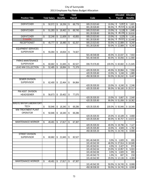|                           |                     | Total           | <b>Total</b> |               |            | Allocated              | Allocated        |
|---------------------------|---------------------|-----------------|--------------|---------------|------------|------------------------|------------------|
| <b>Position Title</b>     | <b>Total Salary</b> | <b>Benefits</b> | Payroll      | Code          | $\%$       | Payroll                | <b>Benefits</b>  |
|                           |                     |                 |              |               |            |                        |                  |
| <b>DISPATCHER</b>         | \$<br>50,572        | \$<br>18,206    | \$<br>68,778 | 005.23.523.60 | 10.0%      | 5,057<br>\$            | \$<br>1,821      |
|                           |                     |                 |              | 001.28.528.80 | 90.0%      | 45,515<br>\$           | \$<br>16,385     |
| <b>DISPATCHER</b>         | 51,283<br>\$        | 18,462<br>\$    | \$<br>69,745 | 005.23.523.60 | 10.0%      | 5,128<br>\$            | \$<br>1,846      |
|                           |                     |                 |              | 001.28.528.80 | 90.0%      | 46,155<br>\$           | \$16,616         |
| <b>DISPATCHER</b>         | 32,246<br>\$        | 11,609<br>\$    | \$<br>43,855 | 005.23.523.60 | 10.0%      | 3,225<br>\$            | 1,161<br>\$      |
| 9 months                  |                     |                 |              | 001.28.528.80 | 90.0%      | 29,021<br>\$           | \$<br>10,448     |
| <b>RECEPTIONIST</b>       | \$<br>45,777        | \$<br>16,480    | \$<br>62,257 | 005.23.523.60 | 50.0%      | \$22,889               | 8,240<br>\$      |
|                           |                     |                 |              | 001.28.528.80 | 50.0%      | $\sqrt{$}22,889$       | \$<br>8,240      |
| <b>EQUIPMENT SERVICES</b> |                     |                 |              |               |            |                        |                  |
| <b>SUPERVISOR</b>         | \$<br>55,094        | 19,834<br>\$    | \$<br>74,927 |               |            |                        |                  |
|                           |                     |                 |              | 501.48.548.68 | 40.0%      | \$22,037               | 7,933<br>\$      |
|                           |                     |                 |              | 501.48.548.65 | 60.0%      | \$33,056               | \$11,900         |
| PARKS MAINTENANCE         |                     |                 |              |               |            |                        |                  |
| <b>SUPERVISOR</b>         | \$<br>60,682        | 21,845<br>\$    | \$<br>82,527 | 006.70.576.80 | 100.0%     | \$60,682               | \$21,845         |
| <b>LEAD WW COLLECTION</b> | 52,485<br>\$        | 18,894<br>\$    | \$<br>71,379 |               |            |                        |                  |
|                           |                     |                 |              | 420.35.535.50 | 40.0%      | \$20,994               | 7,558<br>\$      |
|                           |                     |                 |              | 420.35.535.80 | 10.0%      | \$<br>5,248            | \$<br>1,889      |
|                           |                     |                 |              | 450.38.538.30 | 50.0%      | $\sqrt{$}$ 26,242      | \$<br>9,447      |
| <b>SEWER DIVISION</b>     |                     |                 |              |               |            |                        |                  |
| <b>SUPERVISOR</b>         | \$<br>62,400        | \$<br>22,464    | \$<br>84,864 |               |            |                        |                  |
|                           |                     |                 |              | 420.35.535.50 | 10.0%      | \$<br>6,240            | 2,246<br>\$      |
|                           |                     |                 |              | 420.35.535.80 | 90.0%      | $\overline{\$}$ 56,160 | $\sqrt{$}20,217$ |
| PW ASST. DIVISION         |                     |                 |              |               |            |                        |                  |
| <b>HEAD/SEWER</b>         | \$<br>56,673        | 20,402<br>\$    | \$<br>77,075 |               |            |                        |                  |
|                           |                     |                 |              | 420.35.535.50 | 10.0%      | \$<br>5,667            | 2,040<br>\$      |
|                           |                     |                 |              | 420.35.535.80 | 90.0%      | \$51,006               | \$18,362         |
| WASTE WATER LABORATORY    |                     |                 |              |               |            |                        |                  |
| <b>TECH</b>               | 50,946<br>\$        | 18,340<br>\$    | \$<br>69,286 | 420.35.535.80 | 100.0%     | \$50,946               | \$18,340         |
| <b>WW TREATMENT PLANT</b> |                     |                 |              |               |            |                        |                  |
| <b>OPERATOR</b>           | \$<br>50,946        | \$<br>18,340    | \$<br>69,286 |               |            |                        |                  |
|                           |                     |                 |              | 420.35.535.50 |            | 20.0% \$10,189         | 3,668<br>\$      |
|                           |                     |                 |              | 420.35.535.80 | 80.0%      | $\sqrt{$}40,757$       | \$<br>14,672     |
| MAINTENANCE WORKER        | 49,491<br>\$        | \$<br>17,817    | \$<br>67,307 |               |            |                        |                  |
|                           |                     |                 |              | 420.35.535.50 |            | 40.0% \$19,796         | 7,127<br>\$      |
|                           |                     |                 |              | 420.35.535.80 | 10.0% \$   | 4,949                  | 1,782<br>\$      |
|                           |                     |                 |              | 450.38.535.30 |            | 50.0% \$24,745         | \$<br>8,908      |
| <b>STREET DIVISION</b>    |                     |                 |              |               |            |                        |                  |
| <b>SUPERVISOR</b>         | \$<br>60,682        | \$21,845        | \$<br>82,527 |               |            |                        |                  |
|                           |                     |                 |              | 001.46.546.50 | $3.0\%$ \$ | 1,820                  | \$<br>655        |
|                           |                     |                 |              | 101.40.542.30 |            | 46.0% \$ 27,914        | \$10,049         |
|                           |                     |                 |              | 101.40.542.61 | 4.0%       | \$<br>2,427            | \$<br>874        |
|                           |                     |                 |              | 101.40.542.64 |            | 23.0% \$13,957         | 5,024<br>\$      |
|                           |                     |                 |              | 101.40.542.66 | $3.0\%$ \$ | 1,820                  | 655<br>\$        |
|                           |                     |                 |              | 101.40.542.70 | $1.0\%$ \$ | 607                    | \$<br>218        |
|                           |                     |                 |              | 101.40.542.90 | 20.0%      | \$12,136               | \$<br>4,369      |
| <b>MAINTENANCE WORKER</b> | 49,491<br>\$        | 17,817<br>\$    | \$<br>67,307 |               |            |                        |                  |
|                           |                     |                 |              | 101.40.542.30 |            | 50.0% \$ 24,745        | 8,908<br>\$      |
|                           |                     |                 |              | 450.38.538.30 |            | 50.0% \$ 24,745        | \$<br>8,908      |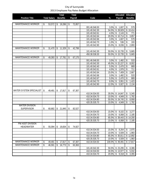|                           |    |                     | Total |                 | Total |         |               | Allocated   | Allocated                         |                         |                    |
|---------------------------|----|---------------------|-------|-----------------|-------|---------|---------------|-------------|-----------------------------------|-------------------------|--------------------|
| <b>Position Title</b>     |    | <b>Total Salary</b> |       | <b>Benefits</b> |       | Payroll | Code          | %           | Payroll                           |                         | <b>Benefits</b>    |
|                           |    |                     |       |                 |       |         |               |             |                                   |                         |                    |
| <b>MAINTENANCE WORKER</b> | \$ | 53,572              | \$    | 19,286          | \$    | 72,857  |               |             |                                   |                         |                    |
|                           |    |                     |       |                 |       |         | 001.46.546.50 | 3.0%        | \$<br>1,607                       | \$                      | 579                |
|                           |    |                     |       |                 |       |         | 101.40.542.30 | 54.0%       | \$<br>28,929                      | $\sqrt[6]{\frac{1}{2}}$ | 10,414             |
|                           |    |                     |       |                 |       |         | 101.40.542.61 | 4.0%        | \$<br>2,143                       | \$                      | 771                |
|                           |    |                     |       |                 |       |         | 101.40.542.64 | 20.0%       | \$<br>10,714                      | \$                      | 3,857              |
|                           |    |                     |       |                 |       |         | 101.40.542.66 | 3.0%        | \$<br>1,607                       | \$                      | 579                |
|                           |    |                     |       |                 |       |         | 101.40.542.70 | 1.0%        | \$<br>536                         | \$                      | 193                |
|                           |    |                     |       |                 |       |         | 101.40.542.90 | 15.0%       | 8,036<br>\$                       | \$                      | 2,893              |
| <b>MAINTENANCE WORKER</b> | \$ | 31,470              | \$    | 11,329          | \$    | 42,799  |               |             |                                   |                         |                    |
|                           |    |                     |       |                 |       |         | 101.40.542.30 | 50.0%       | \$15,735                          | \$                      | 5,665              |
|                           |    |                     |       |                 |       |         | 450.38.538.30 | 50.0%       | \$15,735                          | \$                      | 5,665              |
| <b>MAINTENANCE WORKER</b> | \$ | 49,393              | \$    | 17,781          | \$    | 67,175  |               |             |                                   |                         |                    |
|                           |    |                     |       |                 |       |         | 001.46.546.50 | 3.0%        | 1,482<br>\$                       | \$                      | 533                |
|                           |    |                     |       |                 |       |         | 101.40.542.30 | 45.0%       | $\sqrt{$22,227}$                  | \$                      | 8,002              |
|                           |    |                     |       |                 |       |         | 101.40.542.40 | 5.0%        | \$<br>2,470                       | \$                      | 889                |
|                           |    |                     |       |                 |       |         | 101.40.542.61 | 4.0%        | $\sqrt[6]{}$<br>1,976             | \$                      | 711                |
|                           |    |                     |       |                 |       |         | 101.40.542.64 | 15.0%       | $\overline{\mathcal{S}}$<br>7,409 | \$                      | 2,667              |
|                           |    |                     |       |                 |       |         | 101.40.542.66 | 3.0%        | $\sqrt[6]{}$<br>1,482             | \$                      | 533                |
|                           |    |                     |       |                 |       |         | 101.40.542.67 | $5.0\%$ \$  | 2,470                             | \$                      | 889                |
|                           |    |                     |       |                 |       |         | 101.40.542.70 | $8.0\%$ \$  | 3,951                             | \$                      | 1,423              |
|                           |    |                     |       |                 |       |         | 101.40.542.90 | 12.0%       | 5,927<br>\$                       | \$                      | 2,134              |
|                           |    |                     |       |                 |       |         |               |             |                                   |                         |                    |
| WATER SYSTEM SPECIALIST   | \$ | 49,491              | \$    | 17,817          | \$    | 67,307  |               |             |                                   |                         |                    |
|                           |    |                     |       |                 |       |         | 410.34.534.50 | 30.0%       | \$14,847                          | \$                      | 5,345              |
|                           |    |                     |       |                 |       |         | 410.34.534.70 | 10.0%       | \$<br>4,949                       | \$                      | 1,782              |
|                           |    |                     |       |                 |       |         | 410.34.534.80 | 50.0%       | $\sqrt{$}$ 24,745                 | \$                      | 8,908              |
|                           |    |                     |       |                 |       |         | 420.35.535.70 | 10.0%       | \$<br>4,949                       | \$                      | 1,782              |
| <b>WATER DIVISION</b>     |    |                     |       |                 |       |         |               |             |                                   |                         |                    |
| <b>SUPERVISOR</b>         | \$ | 60,682              | \$    | 21,845          | \$    | 82,527  |               |             |                                   |                         |                    |
|                           |    |                     |       |                 |       |         | 410.34.534.50 | 15.0%       | 9,102<br>\$                       | \$                      | 3,277              |
|                           |    |                     |       |                 |       |         | 410.34.534.70 | 10.0%       | $\overline{\mathcal{S}}$<br>6,068 | \$                      | 2,185              |
|                           |    |                     |       |                 |       |         | 410.34.534.80 | 65.0%       | \$<br>$\overline{39,443}$         | \$                      | 14,200             |
|                           |    |                     |       |                 |       |         | 420.35.535.70 | 10.0%       | \$<br>6,068                       | \$                      | 2,185              |
| PW ASST DIVISION          |    |                     |       |                 |       |         |               |             |                                   |                         |                    |
| <b>HEAD/WATER</b>         | \$ | 55,094              | \$    | 19,834          | \$    | 74,927  |               |             |                                   |                         |                    |
|                           |    |                     |       |                 |       |         | 410.34.534.50 | 15.0%       | $\sqrt{3}$<br>8,264               | \$                      | 2,975              |
|                           |    |                     |       |                 |       |         | 410.34.534.70 | 10.0%       | \$<br>5,509                       | \$                      | 1,983              |
|                           |    |                     |       |                 |       |         | 410.34.534.80 |             | 65.0% \$ 35,811                   | \$                      | 12,892             |
|                           |    |                     |       |                 |       |         | 420.35.535.70 | 10.0%       | \$<br>5,509                       | \$                      | 1,983              |
| <b>MAINTENANCE WORKER</b> | \$ | 49,491              | \$    | 17,817          | \$    | 67,307  | 410.34.534.50 | 100.0%      | \$49,491                          |                         | \$17,817           |
| <b>MAINTENANCE WORKER</b> | \$ | 46,591              | \$    | 16,773          | \$    | 63,363  |               |             |                                   |                         |                    |
|                           |    |                     |       |                 |       |         | 101.40.542.30 | 50.0%       | \$23,295                          | \$                      | 8,386              |
|                           |    |                     |       |                 |       |         | 410.34.534.50 | 30.0%       | \$13,977                          | \$                      | 5,032              |
|                           |    |                     |       |                 |       |         | 410.34.534.70 | $20.0\%$ \$ | 9,318                             | \$                      | $\overline{3,}355$ |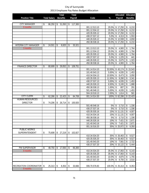|                             |                     | Total           | Total         |                                |                  | Allocated                                      | Allocated                  |
|-----------------------------|---------------------|-----------------|---------------|--------------------------------|------------------|------------------------------------------------|----------------------------|
| <b>Position Title</b>       | <b>Total Salary</b> | <b>Benefits</b> | Payroll       | Code                           | $\%$             | Payroll                                        | <b>Benefits</b>            |
|                             |                     |                 |               |                                |                  |                                                |                            |
| <b>CITY MANAGER</b>         | 86,250<br>\$        | 31,050<br>\$    | 117,300<br>\$ |                                |                  |                                                |                            |
| 9 months                    |                     |                 |               | 001.12.513.10                  | 20.0%            | \$17,250                                       | 6,210<br>\$                |
|                             |                     |                 |               | 001.12.534.12                  | 20.0%            | $\overline{\$}$ 17,250                         | \$<br>6,210                |
|                             |                     |                 |               | 420.35.535.12                  | 20.0%            | \$17,250                                       | \$<br>6,210                |
|                             |                     |                 |               | 430.37.537.12                  | 5.0%             | $\sqrt[6]{\frac{1}{2}}$<br>4,313               | 1,553<br>\$                |
|                             |                     |                 |               | 440.26.526.12                  | 15.0%            | $\overline{$}3\overline{12,}938$               | \$<br>4,658                |
|                             |                     |                 |               | 450.38.538.16                  | 20.0%            | \$17,250                                       | \$<br>6,210                |
| <b>INTERIM CITY MANAGER</b> | 24,501<br>\$        | 8,820<br>\$     | 33,321<br>\$  |                                |                  |                                                |                            |
| 3 months                    |                     |                 |               | 001.13.513.10                  | 20.0%            | \$<br>4,900                                    | 1,764<br>\$                |
|                             |                     |                 |               | 001.12.534.12                  | 20.0%            | \$<br>4,900                                    | \$<br>1,764                |
|                             |                     |                 |               | 420.35.535.12                  | 20.0%            | \$<br>4,900<br>$\sqrt{2}$                      | \$<br>1,764                |
|                             |                     |                 |               | 430.37.537.12<br>440.26.526.12 | 5.0%<br>15.0%    | 1,225<br>$\sqrt[6]{}$<br>3,675                 | \$<br>441<br>\$<br>1,323   |
|                             |                     |                 |               | 450.38.538.16                  | 20.0%            |                                                | \$<br>1,764                |
|                             |                     |                 |               |                                |                  | \$<br>4,900                                    |                            |
| <b>FINANCE DIRECTOR</b>     | \$<br>80,699        | 29,052<br>\$    | 109,751<br>\$ |                                |                  |                                                |                            |
|                             |                     |                 |               | 001.14.514.10                  | 53.50%           | \$<br>43,174                                   | 15,543<br>\$               |
|                             |                     |                 |               | 101.40.543.13                  | 5.00%            | 4,035<br>\$                                    | \$<br>1,453                |
|                             |                     |                 |               | 410.34.534.13<br>420.35.535.13 | 10.50%<br>11.50% | 8,473<br>\$                                    | \$<br>3,050                |
|                             |                     |                 |               | 430.37.537.13                  |                  | 9,280<br>\$<br>4,035<br>\$                     | 3,341<br>\$                |
|                             |                     |                 |               | 440.26.526.13                  | 5.00%<br>6.50%   | 5,245                                          | 1,453<br>\$                |
|                             |                     |                 |               | 450.38.538.13                  | 1.00%            | \$<br>807<br>\$                                | 1,888<br>\$<br>\$<br>291   |
|                             |                     |                 |               | 501.48.548.13                  | 5.00%            | 4,035<br>Ŝ.                                    | \$<br>1,453                |
|                             |                     |                 |               | 504.18.518.13                  | 2.00%            | \$<br>1,614                                    | \$<br>581                  |
| <b>CITY CLERK</b>           | 62,286              | 22,423          | 84,708        | 001.14.514.30                  | 100%             | \$62,286                                       | \$22,423                   |
| <b>HUMAN RESOURCES</b>      | \$                  | \$              | \$            |                                |                  |                                                |                            |
|                             |                     |                 |               |                                |                  |                                                |                            |
| <b>DIRECTOR</b>             | 74,206<br>\$        | \$<br>26,714    | 100,920<br>\$ | 501.48.548.16                  |                  |                                                |                            |
|                             |                     |                 |               | 430.37.537.16                  | 5%<br>5%         | 3,710<br>\$<br>\$<br>$\overline{3,710}$        | 1,336<br>\$<br>\$<br>1,336 |
|                             |                     |                 |               | 420.35.535.16                  | 15%              | \$<br>11,131                                   | \$<br>4,007                |
|                             |                     |                 |               | 410.34.534.16                  | 15%              | $\overline{11,}131$<br>$\sqrt[6]{\frac{1}{2}}$ | \$<br>4,007                |
|                             |                     |                 |               | 450.38.538.16                  | 5%               | \$<br>3,710                                    | \$<br>1,336                |
|                             |                     |                 |               | 440.26.526.16                  | 10%              | \$<br>7,421                                    | \$<br>2,671                |
|                             |                     |                 |               | 101.40.543.16                  | 10% \$           |                                                | \$<br>2,671                |
|                             |                     |                 |               | 001.16.516.20                  | 35%              | 7,421<br>\$25,972                              | \$<br>9,350                |
| <b>PUBLIC WORKS</b>         |                     |                 |               |                                |                  |                                                |                            |
| SUPERINTENDENT              | \$<br>75,608        | 27,219<br>\$    | 102,827<br>\$ |                                |                  |                                                |                            |
|                             |                     |                 |               | 410.34.534.20                  | 35%              | \$26,463                                       | 9,527<br>\$                |
|                             |                     |                 |               | 420.35.535.20                  | 35%              | $\sqrt{$}$ 26,463                              | \$<br>9,527                |
|                             |                     |                 |               | 101.40.543.20                  | 10%              | $\sqrt[6]{\frac{1}{2}}$<br>7,561               | \$<br>2,722                |
|                             |                     |                 |               | 430.37.537.20                  | 20%              | \$15,122                                       | \$<br>5,444                |
| <b>PW SUPERVISOR</b>        | 48,750<br>\$        | 17,550<br>\$    | 66,300<br>\$  |                                |                  |                                                |                            |
| 9 months                    |                     |                 |               | 410.34.534.20                  | 35.0%            | \$17,063                                       | \$<br>6,143                |
|                             |                     |                 |               | 420.35.535.20                  | 35.0%            | $\sqrt{$}17,063$                               | \$<br>6,143                |
|                             |                     |                 |               | 101.40.543.20                  | 10.0%            | $\sqrt{2}$<br>4,875                            | \$<br>1,755                |
|                             |                     |                 |               | 430.37.537.20                  | 20.0%            | \$<br>9,750                                    | \$<br>3,510                |
|                             |                     |                 |               |                                |                  |                                                |                            |
| RECREATION COORDINATOR      | 25,313<br>\$        | 8,353<br>\$     | \$<br>33,666  | 006.70.576.83                  | 100.0%           | \$25,313                                       | 8,353<br>\$                |
| 9 months                    |                     |                 |               |                                |                  |                                                |                            |
|                             |                     |                 |               |                                |                  |                                                |                            |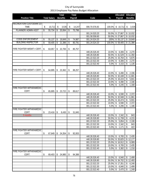|                                   |    |                     |                 | Total  |    | Total   |               |             | Allocated                          | Allocated |                 |
|-----------------------------------|----|---------------------|-----------------|--------|----|---------|---------------|-------------|------------------------------------|-----------|-----------------|
| <b>Position Title</b>             |    | <b>Total Salary</b> | <b>Benefits</b> |        |    | Payroll | Code          | $\%$        | Payroll                            |           | <b>Benefits</b> |
|                                   |    |                     |                 |        |    |         |               |             |                                    |           |                 |
| RECREATION CUSTODIAN 1/2          |    |                     |                 |        |    |         |               |             |                                    |           |                 |
| <b>TIME</b>                       | \$ | 10,712              | \$              | 3,535  | \$ | 14,247  | 006.70.576.83 | 100.0%      | \$10,712                           | \$        | 3,535           |
| PLANNER/ ADMIN ASST               | \$ | 55,734              | \$              | 20,064 | \$ | 75,798  |               |             |                                    |           |                 |
|                                   |    |                     |                 |        |    |         | 001.24.520.20 | 50.0%       | \$27,867                           |           | \$10,032        |
|                                   |    |                     |                 |        |    |         | 001.58.558.60 | 50.0%       | $\overline{\mathcal{E}}$<br>27,867 | \$        | 10,032          |
| <b>CODE ENFORCEMENT</b>           | \$ | 55,137              | \$              | 19,849 | \$ | 74,987  | 001.24.524.20 | 100%        | \$55,137                           |           | \$19,849        |
| <b>BUILDING INSPECTOR</b>         | \$ | 59,405              | \$              | 21,386 | \$ | 80,791  | 001.24.524.20 | 100.0%      | \$59,405                           |           | \$21,386        |
| FIRE FIGHTER W/EMT-I CERT.        | \$ | 63,057              | \$              | 22,700 | \$ | 85,757  |               |             |                                    |           |                 |
|                                   |    |                     |                 |        |    |         | 440.26.526.40 | 10.0%       | $\mathsf{\$}$<br>6,306             | \$        | 2,270           |
|                                   |    |                     |                 |        |    |         | 440.26.526.80 | 50.0%       | $\overline{\$}$ 31,529             | \$        | 11,350          |
|                                   |    |                     |                 |        |    |         | 001.22.522.20 | 25.0%       | \$15,764                           | \$        | 5,675           |
|                                   |    |                     |                 |        |    |         | 001.22.522.30 | 10.0%       | 6,306<br>\$                        | \$        | 2,270           |
|                                   |    |                     |                 |        |    |         | 001.22.522.40 | 5.0%        | 3,153<br>\$                        | \$        | 1,135           |
|                                   |    |                     |                 |        |    |         |               |             |                                    |           |                 |
| FIRE FIGHTER W/EMT-I CERT.        | \$ | 64,895              | \$              | 23,362 | \$ | 88,257  | 440.26.526.40 | 10.0%       | \$<br>6,490                        | \$        | 2,336           |
|                                   |    |                     |                 |        |    |         | 440.26.526.80 | 50.0%       | $\overline{\$}$ 32,448             | \$        | 11,681          |
|                                   |    |                     |                 |        |    |         | 001.22.522.20 | 25.0%       | \$16,224                           | \$        | 5,841           |
|                                   |    |                     |                 |        |    |         | 001.22.522.30 | 10.0%       | \$<br>6,490                        | \$        | 2,336           |
|                                   |    |                     |                 |        |    |         | 001.22.522.40 | 5.0%        | 3,245<br>\$                        | \$        | 1,168           |
| FIRE FIGHTER W/PARAMEDIC          |    |                     |                 |        |    |         |               |             |                                    |           |                 |
| CERT.                             | \$ | 65,895              | \$              | 23,722 | \$ | 89,617  |               |             |                                    |           |                 |
|                                   |    |                     |                 |        |    |         | 440.26.526.40 | 10.0%       | \$<br>6,590                        | \$        | 2,372           |
|                                   |    |                     |                 |        |    |         | 440.26.526.80 | 50.0%       | \$32,948                           | \$        | 11,861          |
|                                   |    |                     |                 |        |    |         | 001.22.522.20 | 25.0%       | \$16,474                           | \$        | 5,931           |
|                                   |    |                     |                 |        |    |         | 001.22.522.30 | 10.0%       | \$<br>6,590                        | \$        | 2,372           |
|                                   |    |                     |                 |        |    |         | 001.22.522.40 | 5.0%        | \$<br>3,295                        | \$        | 1,186           |
| <b>FIRE FIGHTER W/PARAMEDIC</b>   |    |                     |                 |        |    |         |               |             |                                    |           |                 |
| CERT.                             | \$ | 23,416              | \$              | 8,430  | \$ | 31,845  |               |             |                                    |           |                 |
| 5 months                          |    |                     |                 |        |    |         | 440.26.526.40 | 10.0%       | \$<br>2,342                        | \$        | 843             |
|                                   |    |                     |                 |        |    |         | 440.26.526.80 | 50.0%       | $\overline{\mathcal{L}}$<br>11,708 | \$        | 4,215           |
|                                   |    |                     |                 |        |    |         | 001.22.522.20 | 25.0%       | \$<br>5,854                        | \$        | 2,108           |
|                                   |    |                     |                 |        |    |         | 001.22.522.30 | 10.0% \$    | 2,342                              | \$        | 843             |
|                                   |    |                     |                 |        |    |         | 001.22.522.40 | 5.0%        | \$<br>1,171                        | \$        | 422             |
| FIRE FIGHTER W/PARAMEDIC          |    |                     |                 |        |    |         |               |             |                                    |           |                 |
| CERT.                             | \$ | 67,649              | \$              | 24,354 | \$ | 92,003  |               |             |                                    |           |                 |
|                                   |    |                     |                 |        |    |         | 440.26.526.40 | 10.0%       | \$<br>6,765                        | \$        | 2,435           |
|                                   |    |                     |                 |        |    |         | 440.26.526.80 | 50.0%       | \$33,825                           | \$        | 12,177          |
|                                   |    |                     |                 |        |    |         | 001.22.522.20 | 25.0%       | \$16,912                           | \$        | 6,089           |
|                                   |    |                     |                 |        |    |         | 001.22.522.30 | 10.0% \$    | 6,765                              | \$        | 2,435           |
|                                   |    |                     |                 |        |    |         | 001.22.522.40 | 5.0%        | $\frac{1}{2}$<br>3,382             | \$        | 1,218           |
| FIRE FIGHTER W/PARAMEDIC<br>CERT. | \$ | 69,403              | \$              | 24,985 | \$ | 94,388  |               |             |                                    |           |                 |
|                                   |    |                     |                 |        |    |         | 440.26.526.40 | 10.0%       | $\sqrt[6]{\frac{1}{2}}$<br>6,940   | \$        | 2,499           |
|                                   |    |                     |                 |        |    |         | 440.26.526.80 | 50.0%       | \$34,702                           | \$        | 12,493          |
|                                   |    |                     |                 |        |    |         | 001.22.522.20 | 25.0%       | \$<br>17,351                       | \$        | 6,246           |
|                                   |    |                     |                 |        |    |         | 001.22.522.30 | $10.0\%$ \$ | 6,940                              | \$        | 2,499           |
|                                   |    |                     |                 |        |    |         | 001.22.522.40 | $5.0\%$ \$  | 3,470                              | \$        | 1,249           |
|                                   |    |                     |                 |        |    |         |               |             |                                    |           |                 |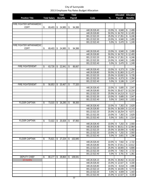|                                 |                     |    | Total           |    | <b>Total</b> |                                |                | Allocated                                     | Allocated                       |  |
|---------------------------------|---------------------|----|-----------------|----|--------------|--------------------------------|----------------|-----------------------------------------------|---------------------------------|--|
| <b>Position Title</b>           | <b>Total Salary</b> |    | <b>Benefits</b> |    | Payroll      | Code                           | $\%$           | Payroll                                       | <b>Benefits</b>                 |  |
|                                 |                     |    |                 |    |              |                                |                |                                               |                                 |  |
| <b>FIRE FIGHTER W/PARAMEDIC</b> |                     |    |                 |    |              |                                |                |                                               |                                 |  |
| CERT.                           | \$<br>69,403        | \$ | 24,985          | \$ | 94,388       |                                |                |                                               |                                 |  |
|                                 |                     |    |                 |    |              | 440.26.526.40                  | 10.0%          | \$<br>6,940                                   | 2,499<br>\$                     |  |
|                                 |                     |    |                 |    |              | 440.26.526.80                  | 50.0%          | \$34,702                                      | \$12,493                        |  |
|                                 |                     |    |                 |    |              | 001.22.522.20                  | 25.0%          | $\overline{17,351}$                           | \$<br>6,246                     |  |
|                                 |                     |    |                 |    |              | 001.22.522.30                  | 10.0%          | \$<br>6,940                                   | \$<br>2,499                     |  |
|                                 |                     |    |                 |    |              | 001.22.522.40                  | 5.0%           | $\overline{\mathcal{L}}$<br>3,470             | \$<br>1,249                     |  |
| <b>FIRE FIGHTER W/PARAMEDIC</b> |                     |    |                 |    |              |                                |                |                                               |                                 |  |
| CERT.                           | \$<br>69,403        | \$ | 24,985          | \$ | 94,388       |                                |                |                                               |                                 |  |
|                                 |                     |    |                 |    |              | 440.26.526.40                  | 10.0%          | \$<br>6,940                                   | 2,499<br>\$                     |  |
|                                 |                     |    |                 |    |              | 440.26.526.80                  | 50.0%          | $\overline{\$}$ 34,702                        | $\sqrt{$}72,493$                |  |
|                                 |                     |    |                 |    |              | 001.22.522.20                  | 25.0%          | $\overline{\$}$ 17,351                        | \$<br>6,246                     |  |
|                                 |                     |    |                 |    |              | 001.22.522.30<br>001.22.522.40 | 10.0%<br>5.0%  | $\sqrt{2}$<br>6,940                           | \$<br>2,499                     |  |
|                                 |                     |    |                 |    |              |                                |                | \$<br>3,470                                   | \$<br>1,249                     |  |
| FIRE FIGHTER/EMT                | \$<br>63,726        | \$ | 22,941          | \$ | 86,667       |                                |                |                                               |                                 |  |
|                                 |                     |    |                 |    |              | 440.26.526.40<br>440.26.526.80 | 10.0%<br>50.0% | 6,373<br>\$                                   | 2,294<br>\$<br>$\sqrt{$}11,471$ |  |
|                                 |                     |    |                 |    |              | 001.22.522.20                  | 25.0%          | \$31,863                                      |                                 |  |
|                                 |                     |    |                 |    |              | 001.22.522.30                  | 10.0%          | \$15,932<br>$\overline{\mathcal{S}}$<br>6,373 | \$<br>5,735<br>\$<br>2,294      |  |
|                                 |                     |    |                 |    |              | 001.22.522.40                  | 5.0%           | $\sqrt[6]{}$<br>3,186                         | \$<br>1,147                     |  |
| <b>FIRE FIGHTER/EMT</b>         | \$<br>56,853        | \$ | 20,467          | \$ | 77,320       |                                |                |                                               |                                 |  |
|                                 |                     |    |                 |    |              | 440.26.526.40                  | 10.0%          | \$<br>5,685                                   | 2,047<br>\$                     |  |
|                                 |                     |    |                 |    |              | 440.26.526.80                  | 50.0%          | \$28,427                                      | 10,234<br>\$                    |  |
|                                 |                     |    |                 |    |              | 001.22.522.20                  | 25.0%          | \$14,213                                      | \$<br>5,117                     |  |
|                                 |                     |    |                 |    |              | 001.22.522.30                  | 10.0%          | \$<br>5,685                                   | \$<br>2,047                     |  |
|                                 |                     |    |                 |    |              | 001.22.522.40                  | 5.0%           | \$<br>2,843                                   | \$<br>1,023                     |  |
| <b>FLOOR CAPTAIN</b>            | \$<br>73,015        | \$ | 26,285          | \$ | 99,300       |                                |                |                                               |                                 |  |
|                                 |                     |    |                 |    |              | 440.26.526.40                  | 10.0%          | 7,302<br>\$                                   | 2,629<br>\$                     |  |
|                                 |                     |    |                 |    |              | 440.26.526.80                  | 50.0%          | \$36,508                                      | \$<br>13,143                    |  |
|                                 |                     |    |                 |    |              | 001.22.522.20                  | 25.0%          | \$18,254                                      | 6,571<br>\$                     |  |
|                                 |                     |    |                 |    |              | 001.22.522.30                  | 10.0%          | \$<br>7,302                                   | 2,629<br>\$                     |  |
|                                 |                     |    |                 |    |              | 001.22.522.40                  | 5.0%           | \$<br>3,651                                   | \$<br>1,314                     |  |
| <b>FLOOR CAPTAIN</b>            | \$<br>72,022        | \$ | 25,928          | \$ | 97,950       |                                |                |                                               |                                 |  |
|                                 |                     |    |                 |    |              | 440.26.526.40                  | 10.0% \$       | 7,202                                         | 2,593<br>\$                     |  |
|                                 |                     |    |                 |    |              | 440.26.526.80                  | 50.0%          | $\sqrt{$}36,011$                              | $\overline{$}3, 12, 964$        |  |
|                                 |                     |    |                 |    |              | 001.22.522.20                  | 25.0%          | \$18,006                                      | \$<br>6,482                     |  |
|                                 |                     |    |                 |    |              | 001.22.522.30                  | 10.0% \$       | 7,202                                         | 2,593<br>\$                     |  |
|                                 |                     |    |                 |    |              | 001.22.522.40                  | 5.0%           | $\overline{\mathbf{3}}$<br>3,601              | \$<br>1,296                     |  |
| <b>FLOOR CAPTAIN</b>            | \$<br>75,621        | \$ | 27,224          | \$ | 102,845      |                                |                |                                               |                                 |  |
|                                 |                     |    |                 |    |              | 440.26.526.40                  | 10.0%          | $\sqrt[6]{\frac{1}{2}}$<br>7,562              | 2,722<br>\$                     |  |
|                                 |                     |    |                 |    |              | 440.26.526.80                  | 50.0%          | $\overline{\$}$ 37,811                        | \$<br>13,612                    |  |
|                                 |                     |    |                 |    |              | 001.22.522.20                  | 25.0%          | \$18,905                                      | \$<br>6,806                     |  |
|                                 |                     |    |                 |    |              | 001.22.522.30                  | 10.0%          | $\sqrt{2}$<br>7,562                           | 2,722<br>\$                     |  |
|                                 |                     |    |                 |    |              | 001.22.522.40                  | 5.0%           | - \$<br>3,781                                 | \$<br>1,361                     |  |
| <b>DEPUTY CHIEF</b>             | \$<br>80,177        | S. | 28,864          | \$ | 109,041      |                                |                |                                               |                                 |  |
| 10 months                       |                     |    |                 |    |              | 440.26.526.10                  | 35.0%          | \$28,062                                      | \$10,102                        |  |
|                                 |                     |    |                 |    |              | 440.26.526.40                  | 15.0%          | \$12,027                                      | 4,330<br>\$                     |  |
|                                 |                     |    |                 |    |              | 440.26.526.80                  | 10.0%          | \$<br>8,018                                   | 2,886<br>\$                     |  |
|                                 |                     |    |                 |    |              | 001.22.522.10                  |                | 20.0% \$16,035                                | \$<br>5,773                     |  |
|                                 |                     |    |                 |    |              | 001.22.522.20                  | 5.0% \$        | 4,009                                         | \$<br>1,443                     |  |
|                                 |                     |    |                 |    |              | 001.22.522.40                  |                | 15.0% \$12,027                                | \$<br>4,330                     |  |